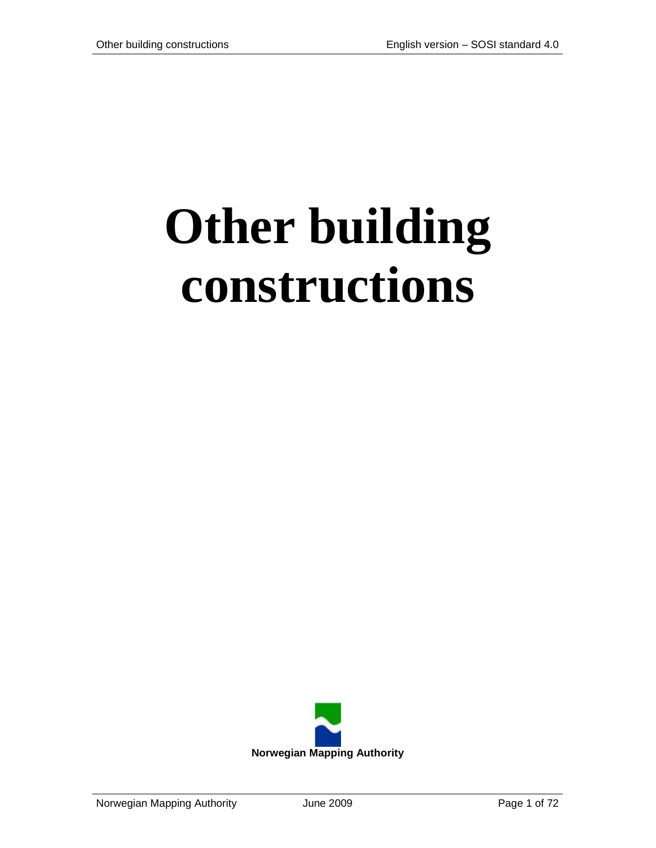# **Other building constructions**

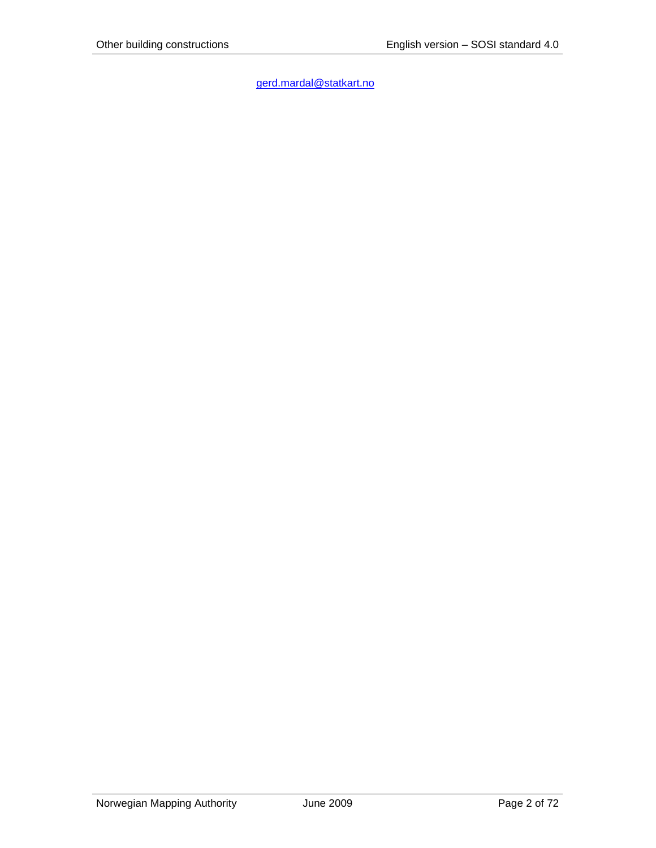[gerd.mardal@statkart.no](mailto:gerd.mardal@statkart.no)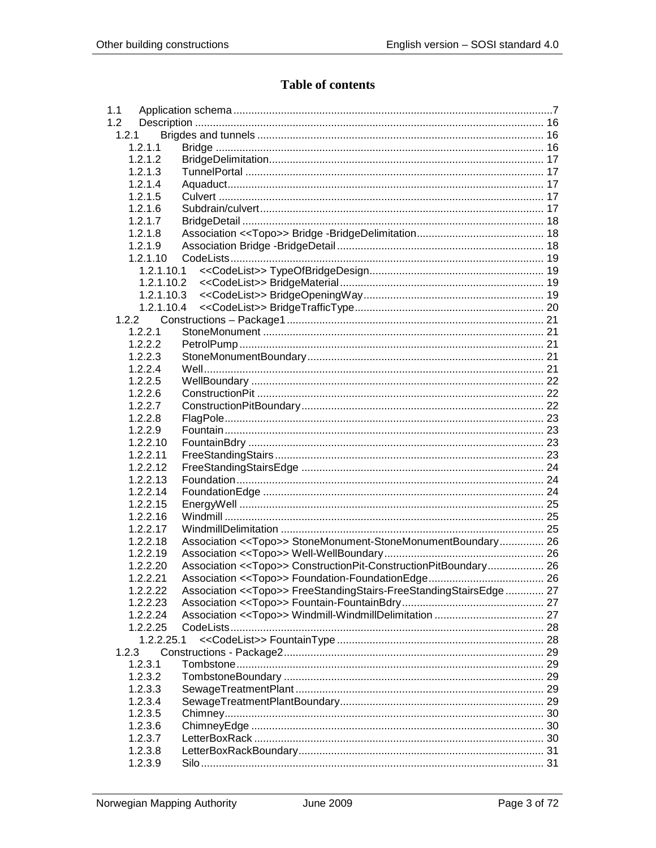# **Table of contents**

| 1.1        |                                                                            |  |
|------------|----------------------------------------------------------------------------|--|
| 1.2        |                                                                            |  |
| 1.2.1      |                                                                            |  |
| 1.2.1.1    |                                                                            |  |
| 1.2.1.2    |                                                                            |  |
| 1.2.1.3    |                                                                            |  |
| 1.2.1.4    |                                                                            |  |
| 1.2.1.5    |                                                                            |  |
| 1.2.1.6    |                                                                            |  |
| 1.2.1.7    |                                                                            |  |
| 1.2.1.8    |                                                                            |  |
| 1.2.1.9    |                                                                            |  |
| 1.2.1.10   |                                                                            |  |
| 1.2.1.10.1 |                                                                            |  |
| 1.2.1.10.2 |                                                                            |  |
|            |                                                                            |  |
| 1.2.1.10.3 |                                                                            |  |
| 1.2.1.10.4 |                                                                            |  |
| 1.2.2      |                                                                            |  |
| 1.2.2.1    |                                                                            |  |
| 1.2.2.2    |                                                                            |  |
| 1.2.2.3    |                                                                            |  |
| 1.2.2.4    |                                                                            |  |
| 1.2.2.5    |                                                                            |  |
| 1.2.2.6    |                                                                            |  |
| 1.2.2.7    |                                                                            |  |
| 1.2.2.8    |                                                                            |  |
| 1.2.2.9    |                                                                            |  |
| 1.2.2.10   |                                                                            |  |
| 1.2.2.11   |                                                                            |  |
| 1.2.2.12   |                                                                            |  |
| 1.2.2.13   |                                                                            |  |
| 1.2.2.14   |                                                                            |  |
| 1.2.2.15   |                                                                            |  |
| 1.2.2.16   |                                                                            |  |
| 1.2.2.17   |                                                                            |  |
| 1.2.2.18   | Association << Topo>> StoneMonument-StoneMonumentBoundary 26               |  |
| 1.2.2.19   |                                                                            |  |
|            |                                                                            |  |
| 1.2.2.20   | Association < <topo>&gt; ConstructionPit-ConstructionPitBoundary 26</topo> |  |
| 1.2.2.21   |                                                                            |  |
| 1.2.2.22   | Association << Topo>> FreeStandingStairs-FreeStandingStairsEdge 27         |  |
| 1.2.2.23   |                                                                            |  |
| 1.2.2.24   |                                                                            |  |
| 1.2.2.25   |                                                                            |  |
| 1.2.2.25.1 |                                                                            |  |
| 1.2.3      |                                                                            |  |
| 1.2.3.1    |                                                                            |  |
| 1.2.3.2    |                                                                            |  |
| 1.2.3.3    |                                                                            |  |
| 1.2.3.4    |                                                                            |  |
| 1.2.3.5    |                                                                            |  |
| 1.2.3.6    |                                                                            |  |
| 1.2.3.7    |                                                                            |  |
| 1.2.3.8    |                                                                            |  |
| 1.2.3.9    |                                                                            |  |
|            |                                                                            |  |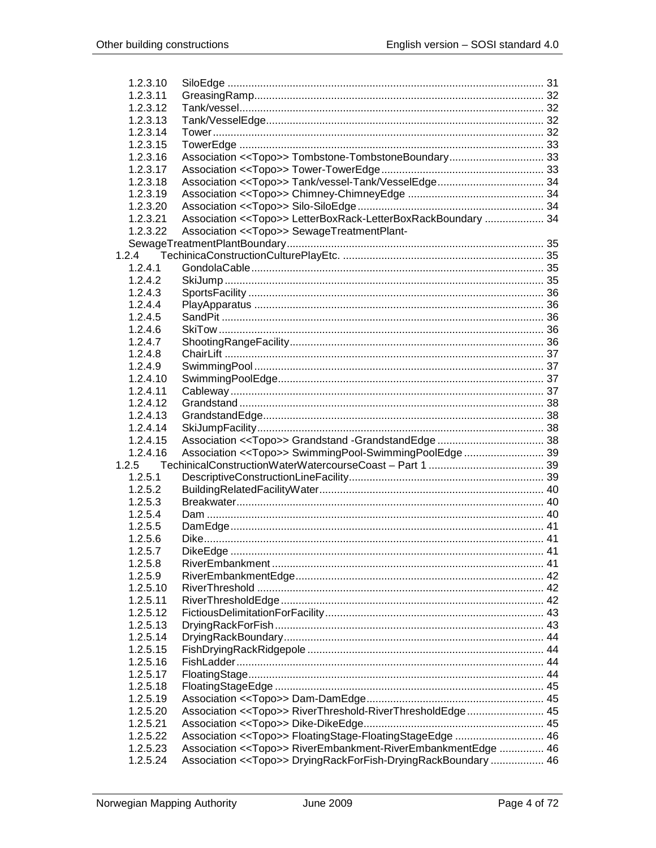| 1.2.3.10 |                                                                |  |
|----------|----------------------------------------------------------------|--|
| 1.2.3.11 |                                                                |  |
| 1.2.3.12 |                                                                |  |
| 1.2.3.13 |                                                                |  |
| 1.2.3.14 |                                                                |  |
| 1.2.3.15 |                                                                |  |
| 1.2.3.16 | Association < <topo>&gt; Tombstone-TombstoneBoundary 33</topo> |  |
| 1.2.3.17 |                                                                |  |
| 1.2.3.18 |                                                                |  |
| 1.2.3.19 |                                                                |  |
| 1.2.3.20 |                                                                |  |
| 1.2.3.21 | Association << Topo>> LetterBoxRack-LetterBoxRackBoundary  34  |  |
| 1.2.3.22 | Association << Topo>> SewageTreatmentPlant-                    |  |
|          |                                                                |  |
| 1.2.4    |                                                                |  |
| 1.2.4.1  |                                                                |  |
| 1.2.4.2  |                                                                |  |
| 1.2.4.3  |                                                                |  |
| 1.2.4.4  |                                                                |  |
| 1.2.4.5  |                                                                |  |
| 1.2.4.6  |                                                                |  |
| 1.2.4.7  |                                                                |  |
| 1.2.4.8  |                                                                |  |
| 1.2.4.9  |                                                                |  |
| 1.2.4.10 |                                                                |  |
| 1.2.4.11 |                                                                |  |
|          |                                                                |  |
| 1.2.4.12 |                                                                |  |
| 1.2.4.13 |                                                                |  |
| 1.2.4.14 |                                                                |  |
| 1.2.4.15 |                                                                |  |
| 1.2.4.16 | Association << Topo>> SwimmingPool-SwimmingPoolEdge 39         |  |
| 1.2.5    |                                                                |  |
| 1.2.5.1  |                                                                |  |
| 1.2.5.2  |                                                                |  |
| 1.2.5.3  |                                                                |  |
| 1.2.5.4  |                                                                |  |
| 1.2.5.5  |                                                                |  |
| 1.2.5.6  |                                                                |  |
| 1.2.5.7  |                                                                |  |
| 1.2.5.8  |                                                                |  |
| 1.2.5.9  |                                                                |  |
| 1.2.5.10 |                                                                |  |
| 1.2.5.11 |                                                                |  |
| 1.2.5.12 |                                                                |  |
| 1.2.5.13 |                                                                |  |
| 1.2.5.14 |                                                                |  |
| 1.2.5.15 |                                                                |  |
| 1.2.5.16 |                                                                |  |
| 1.2.5.17 |                                                                |  |
| 1.2.5.18 |                                                                |  |
| 1.2.5.19 |                                                                |  |
| 1.2.5.20 | Association << Topo>> RiverThreshold-RiverThresholdEdge 45     |  |
| 1.2.5.21 |                                                                |  |
| 1.2.5.22 | Association << Topo>> FloatingStage-FloatingStageEdge  46      |  |
| 1.2.5.23 | Association << Topo>> RiverEmbankment-RiverEmbankmentEdge  46  |  |
| 1.2.5.24 | Association << Topo>> DryingRackForFish-DryingRackBoundary  46 |  |
|          |                                                                |  |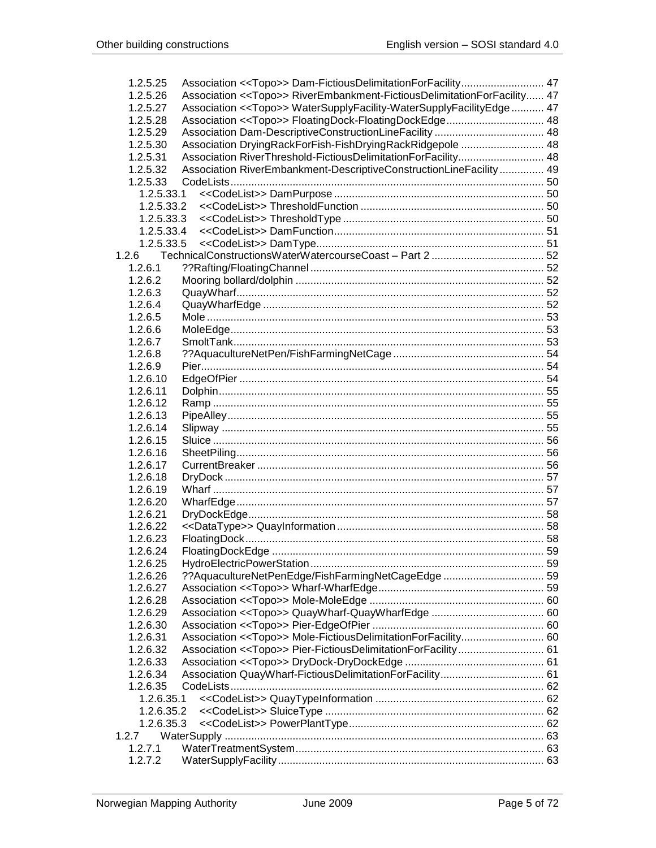| 1.2.5.25   | Association << Topo>> Dam-Fictious Delimitation For Facility 47          |  |
|------------|--------------------------------------------------------------------------|--|
| 1.2.5.26   | Association << Topo>> RiverEmbankment-FictiousDelimitationForFacility 47 |  |
| 1.2.5.27   | Association << Topo>> WaterSupplyFacility-WaterSupplyFacilityEdge 47     |  |
| 1.2.5.28   | Association << Topo>> FloatingDock-FloatingDockEdge 48                   |  |
| 1.2.5.29   |                                                                          |  |
| 1.2.5.30   | Association DryingRackForFish-FishDryingRackRidgepole  48                |  |
| 1.2.5.31   | Association RiverThreshold-FictiousDelimitationForFacility 48            |  |
| 1.2.5.32   | Association RiverEmbankment-DescriptiveConstructionLineFacility  49      |  |
| 1.2.5.33   |                                                                          |  |
| 1.2.5.33.1 |                                                                          |  |
| 1.2.5.33.2 |                                                                          |  |
| 1.2.5.33.3 |                                                                          |  |
| 1.2.5.33.4 |                                                                          |  |
| 1.2.5.33.5 |                                                                          |  |
| 1.2.6      |                                                                          |  |
| 1.2.6.1    |                                                                          |  |
| 1.2.6.2    |                                                                          |  |
| 1.2.6.3    |                                                                          |  |
| 1.2.6.4    |                                                                          |  |
| 1.2.6.5    |                                                                          |  |
| 1.2.6.6    |                                                                          |  |
| 1.2.6.7    |                                                                          |  |
| 1.2.6.8    |                                                                          |  |
| 1.2.6.9    |                                                                          |  |
| 1.2.6.10   |                                                                          |  |
| 1.2.6.11   |                                                                          |  |
| 1.2.6.12   |                                                                          |  |
| 1.2.6.13   |                                                                          |  |
| 1.2.6.14   |                                                                          |  |
| 1.2.6.15   |                                                                          |  |
| 1.2.6.16   |                                                                          |  |
| 1.2.6.17   |                                                                          |  |
| 1.2.6.18   |                                                                          |  |
| 1.2.6.19   |                                                                          |  |
| 1.2.6.20   |                                                                          |  |
| 1.2.6.21   |                                                                          |  |
| 1.2.6.22   |                                                                          |  |
| 1.2.6.23   |                                                                          |  |
| 1.2.6.24   |                                                                          |  |
| 1.2.6.25   |                                                                          |  |
| 1.2.6.26   |                                                                          |  |
| 1.2.6.27   |                                                                          |  |
| 1.2.6.28   |                                                                          |  |
| 1.2.6.29   |                                                                          |  |
| 1.2.6.30   |                                                                          |  |
| 1.2.6.31   | Association << Topo>> Mole-FictiousDelimitationForFacility 60            |  |
| 1.2.6.32   | Association < <topo>&gt; Pier-FictiousDelimitationForFacility 61</topo>  |  |
| 1.2.6.33   |                                                                          |  |
| 1.2.6.34   |                                                                          |  |
| 1.2.6.35   |                                                                          |  |
| 1.2.6.35.1 |                                                                          |  |
| 1.2.6.35.2 |                                                                          |  |
| 1.2.6.35.3 |                                                                          |  |
| 1.2.7      |                                                                          |  |
| 1.2.7.1    |                                                                          |  |
| 1.2.7.2    |                                                                          |  |
|            |                                                                          |  |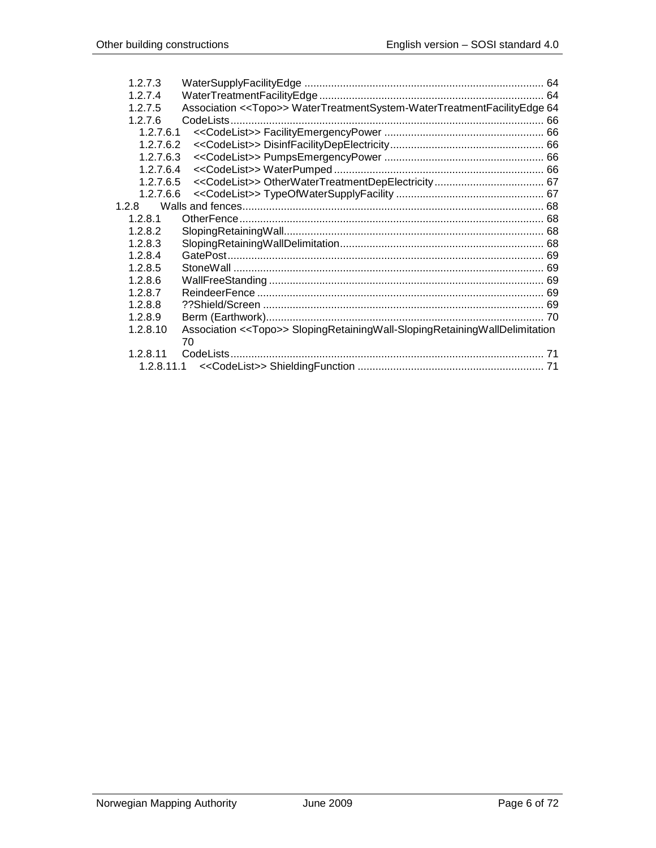| 1.2.7.3   |                                                                                       |  |
|-----------|---------------------------------------------------------------------------------------|--|
| 1.2.7.4   |                                                                                       |  |
| 1.2.7.5   | Association << Topo>> WaterTreatmentSystem-WaterTreatmentFacilityEdge 64              |  |
| 1.2.7.6   | CodeLists                                                                             |  |
| 1.2.7.6.1 |                                                                                       |  |
| 1.2.7.6.2 |                                                                                       |  |
| 1.2.7.6.3 |                                                                                       |  |
| 1.2.7.6.4 |                                                                                       |  |
| 1.2.7.6.5 |                                                                                       |  |
| 1.2.7.6.6 |                                                                                       |  |
| 1.2.8     |                                                                                       |  |
| 1.2.8.1   |                                                                                       |  |
| 1.2.8.2   |                                                                                       |  |
| 1.2.8.3   |                                                                                       |  |
| 1.2.8.4   |                                                                                       |  |
| 1.2.8.5   |                                                                                       |  |
| 1.2.8.6   |                                                                                       |  |
| 1.2.8.7   |                                                                                       |  |
| 1.2.8.8   |                                                                                       |  |
| 1.2.8.9   |                                                                                       |  |
| 1.2.8.10  | Association < <topo>&gt; SlopingRetainingWall-SlopingRetainingWallDelimitation</topo> |  |
|           | 70                                                                                    |  |
| 1.2.8.11  |                                                                                       |  |
|           |                                                                                       |  |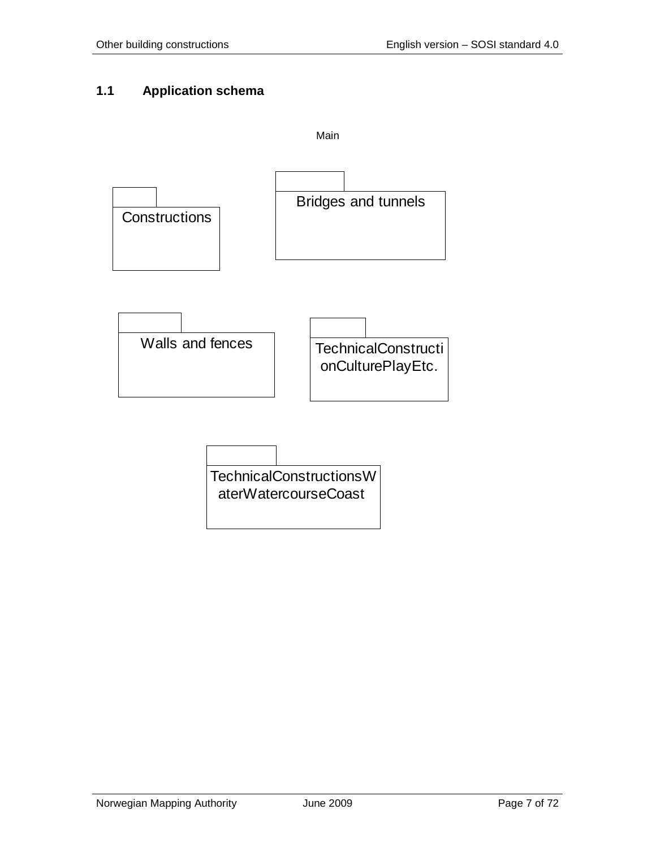# <span id="page-6-0"></span>**1.1 Application schema**

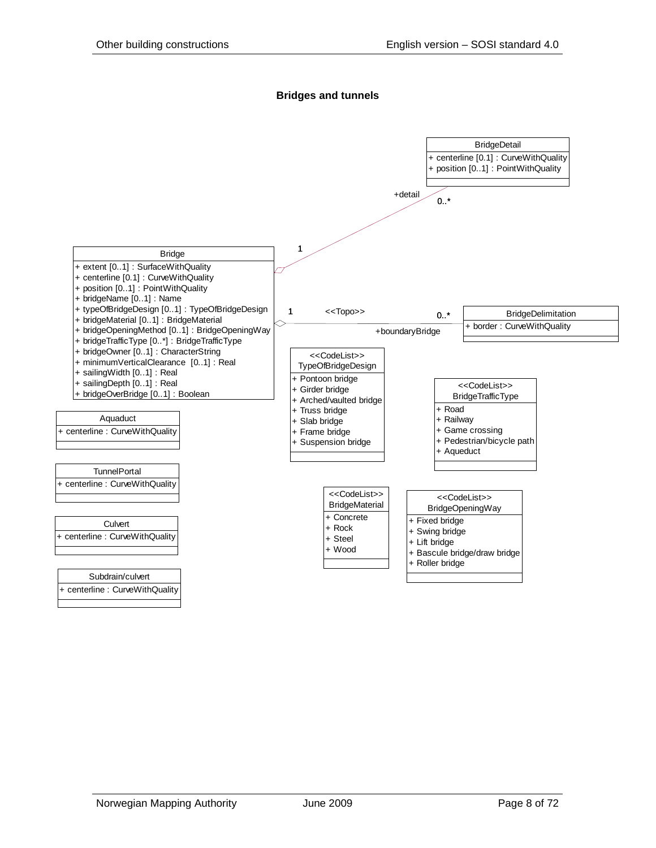#### **Bridges and tunnels**

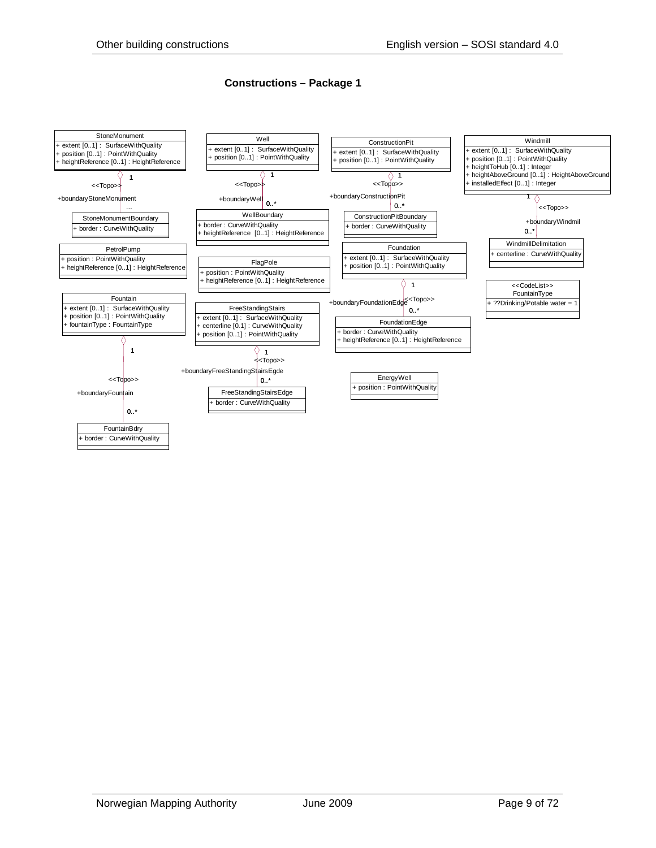#### **Constructions – Package 1**

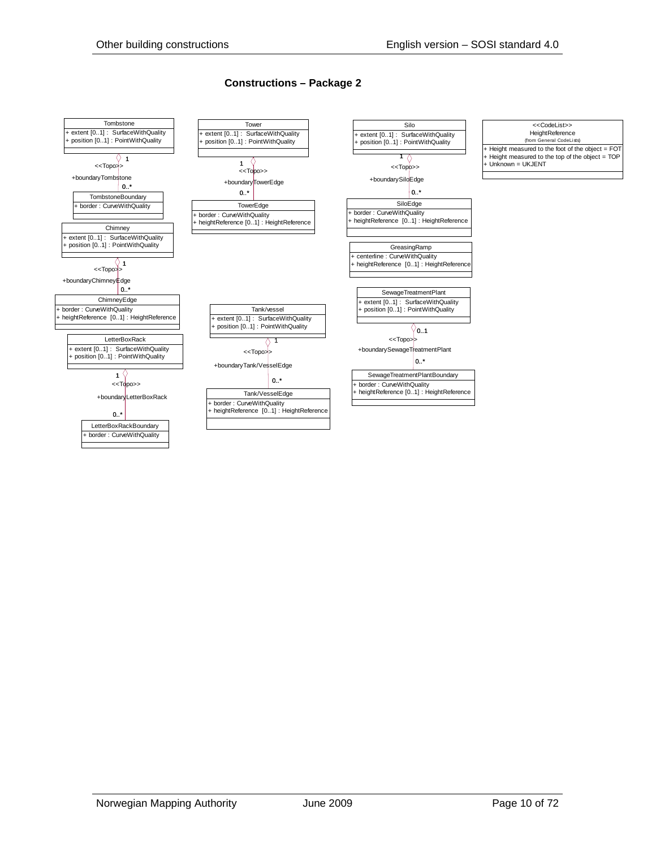#### **Constructions – Package 2**

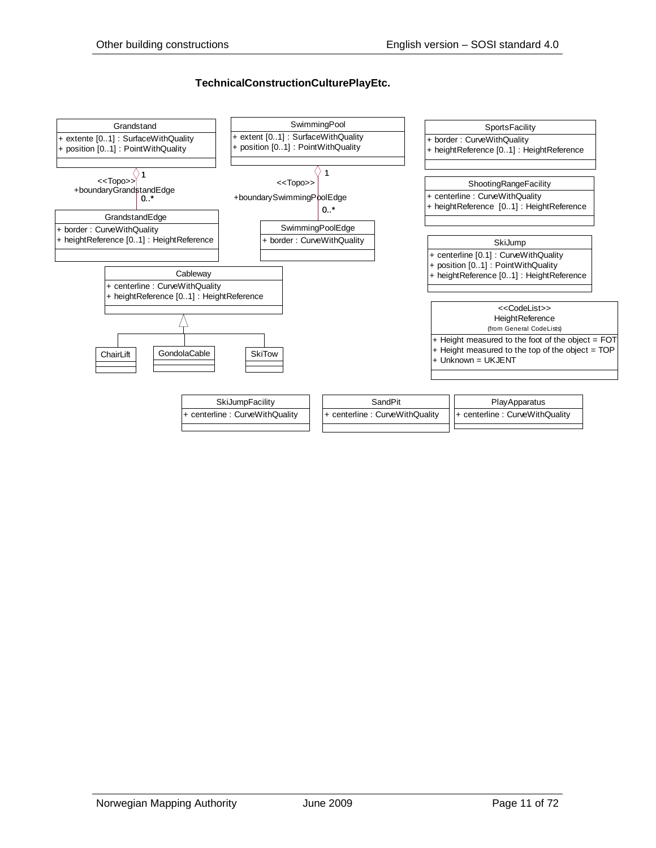#### **TechnicalConstructionCulturePlayEtc.**

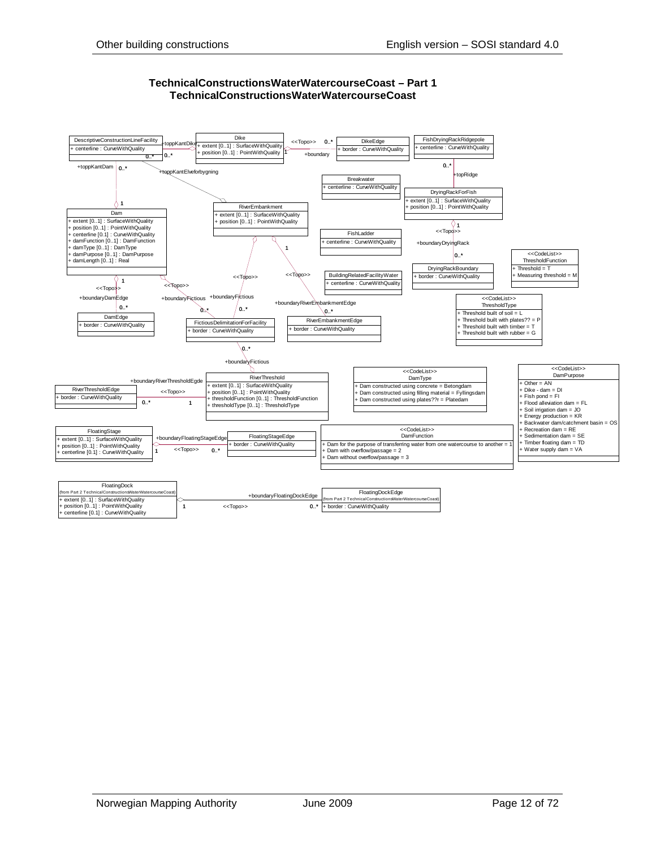

#### **TechnicalConstructionsWaterWatercourseCoast – Part 1 TechnicalConstructionsWaterWatercourseCoast**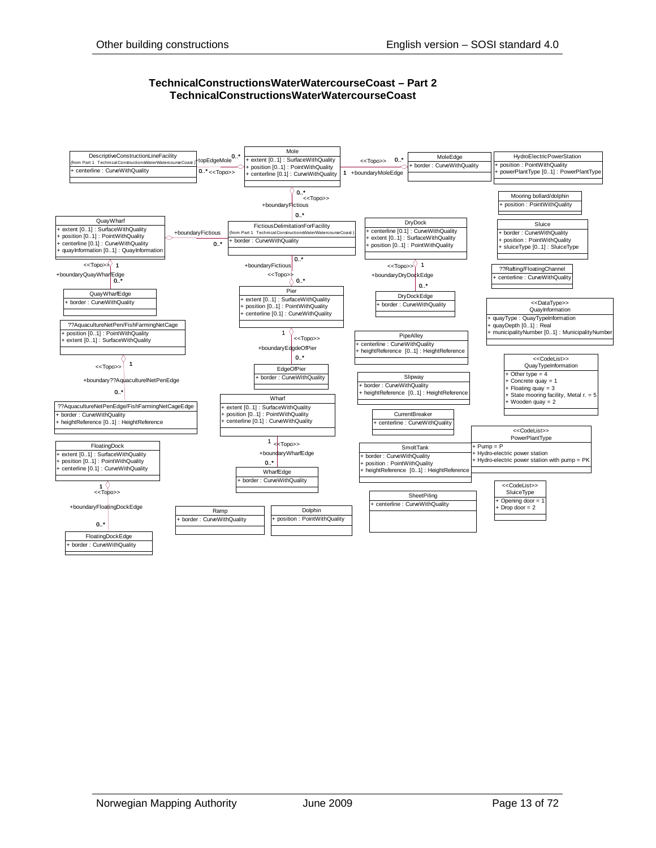#### **TechnicalConstructionsWaterWatercourseCoast – Part 2 TechnicalConstructionsWaterWatercourseCoast**

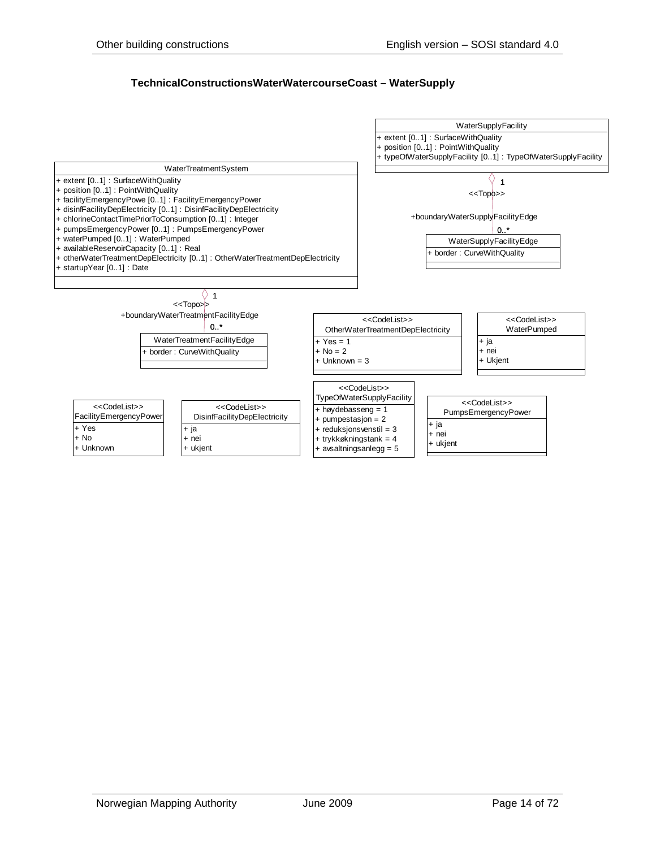#### **TechnicalConstructionsWaterWatercourseCoast – WaterSupply**

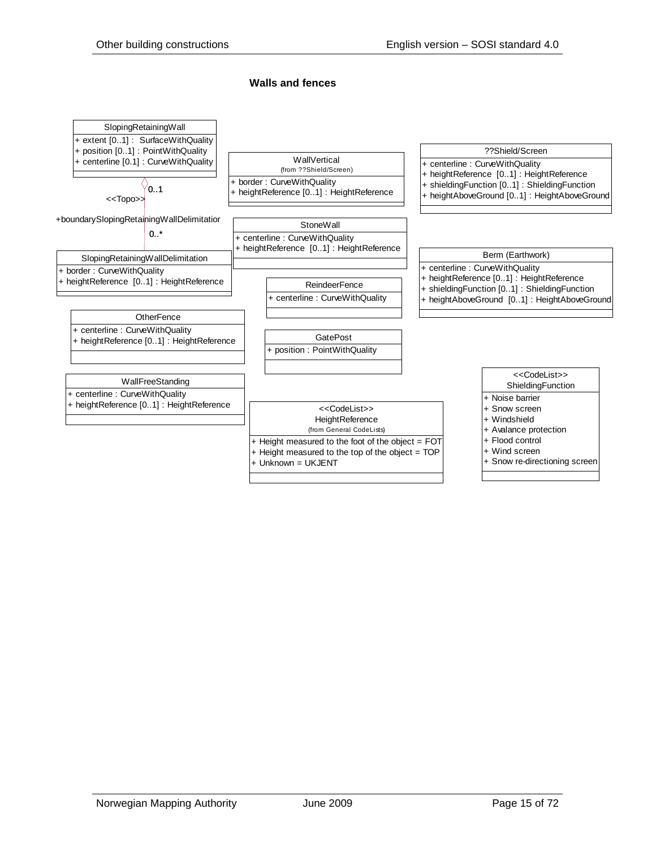#### **Walls and fences**

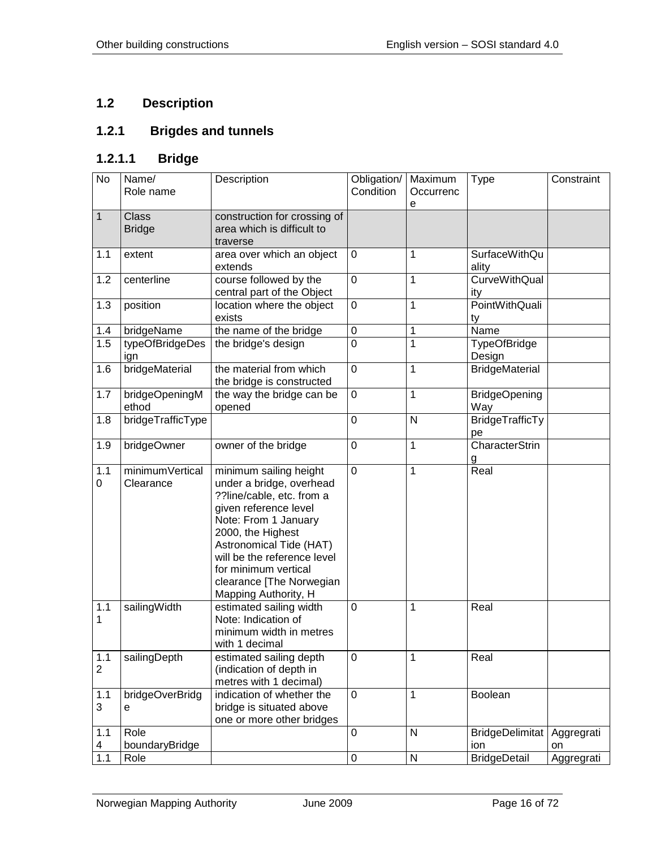# <span id="page-15-0"></span>**1.2 Description**

# <span id="page-15-1"></span>**1.2.1 Brigdes and tunnels**

## <span id="page-15-2"></span>**1.2.1.1 Bridge**

| $\overline{N}$        | Name/<br>Role name           | Description                                                                                                                                                                                                                                                                                 | Obligation/<br>Condition | Maximum<br>Occurrenc<br>e | <b>Type</b>                   | Constraint       |
|-----------------------|------------------------------|---------------------------------------------------------------------------------------------------------------------------------------------------------------------------------------------------------------------------------------------------------------------------------------------|--------------------------|---------------------------|-------------------------------|------------------|
| $\mathbf{1}$          | Class<br><b>Bridge</b>       | construction for crossing of<br>area which is difficult to<br>traverse                                                                                                                                                                                                                      |                          |                           |                               |                  |
| 1.1                   | extent                       | area over which an object<br>extends                                                                                                                                                                                                                                                        | 0                        | 1                         | <b>SurfaceWithQu</b><br>ality |                  |
| 1.2                   | centerline                   | course followed by the<br>central part of the Object                                                                                                                                                                                                                                        | 0                        | 1                         | <b>CurveWithQual</b><br>ity   |                  |
| 1.3                   | position                     | location where the object<br>exists                                                                                                                                                                                                                                                         | 0                        | $\mathbf 1$               | <b>PointWithQuali</b><br>ty   |                  |
| 1.4                   | bridgeName                   | the name of the bridge                                                                                                                                                                                                                                                                      | $\pmb{0}$                | $\mathbf 1$               | Name                          |                  |
| 1.5                   | typeOfBridgeDes<br>ign       | the bridge's design                                                                                                                                                                                                                                                                         | $\mathbf 0$              | $\mathbf 1$               | <b>TypeOfBridge</b><br>Design |                  |
| 1.6                   | bridgeMaterial               | the material from which<br>the bridge is constructed                                                                                                                                                                                                                                        | 0                        | 1                         | <b>BridgeMaterial</b>         |                  |
| 1.7                   | bridgeOpeningM<br>ethod      | the way the bridge can be<br>opened                                                                                                                                                                                                                                                         | $\mathbf 0$              | 1                         | <b>BridgeOpening</b><br>Way   |                  |
| 1.8                   | bridgeTrafficType            |                                                                                                                                                                                                                                                                                             | 0                        | $\mathsf{N}$              | BridgeTrafficTy<br>pe         |                  |
| 1.9                   | bridgeOwner                  | owner of the bridge                                                                                                                                                                                                                                                                         | $\mathbf 0$              | 1                         | <b>CharacterStrin</b><br>g    |                  |
| 1.1<br>0              | minimumVertical<br>Clearance | minimum sailing height<br>under a bridge, overhead<br>??line/cable, etc. from a<br>given reference level<br>Note: From 1 January<br>2000, the Highest<br>Astronomical Tide (HAT)<br>will be the reference level<br>for minimum vertical<br>clearance [The Norwegian<br>Mapping Authority, H | $\mathbf 0$              | 1                         | Real                          |                  |
| 1.1<br>1              | sailingWidth                 | estimated sailing width<br>Note: Indication of<br>minimum width in metres<br>with 1 decimal                                                                                                                                                                                                 | 0                        | 1                         | Real                          |                  |
| 1.1<br>$\overline{2}$ | sailingDepth                 | estimated sailing depth<br>(indication of depth in<br>metres with 1 decimal)                                                                                                                                                                                                                | $\pmb{0}$                | 1                         | Real                          |                  |
| 1.1<br>3              | bridgeOverBridg<br>e         | indication of whether the<br>bridge is situated above<br>one or more other bridges                                                                                                                                                                                                          | 0                        | 1                         | Boolean                       |                  |
| 1.1<br>4              | Role<br>boundaryBridge       |                                                                                                                                                                                                                                                                                             | 0                        | $\mathsf{N}$              | <b>BridgeDelimitat</b><br>ion | Aggregrati<br>on |
| $1.1$                 | Role                         |                                                                                                                                                                                                                                                                                             | $\pmb{0}$                | N                         | <b>BridgeDetail</b>           | Aggregrati       |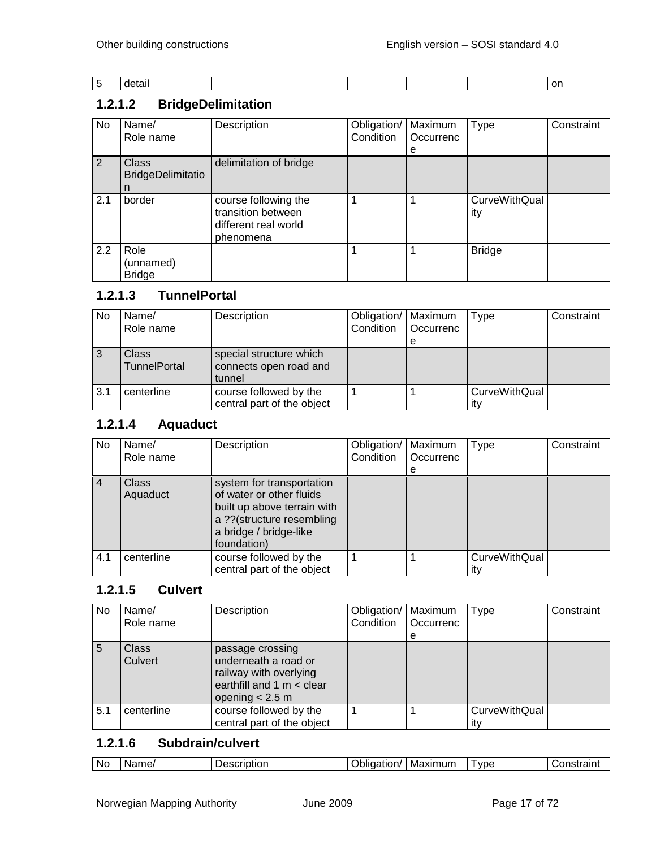| - -<br>. |  |  |  |
|----------|--|--|--|
|          |  |  |  |

# <span id="page-16-0"></span>**1.2.1.2 BridgeDelimitation**

| No  | Name/<br>Role name                            | Description                                                                     | Obligation/<br>Condition | Maximum<br>Occurrenc<br>е | <b>Type</b>          | Constraint |
|-----|-----------------------------------------------|---------------------------------------------------------------------------------|--------------------------|---------------------------|----------------------|------------|
| 2   | <b>Class</b><br><b>BridgeDelimitatio</b><br>n | delimitation of bridge                                                          |                          |                           |                      |            |
| 2.1 | border                                        | course following the<br>transition between<br>different real world<br>phenomena |                          |                           | CurveWithQual<br>ity |            |
| 2.2 | Role<br>(unnamed)<br><b>Bridge</b>            |                                                                                 |                          |                           | <b>Bridge</b>        |            |

#### <span id="page-16-1"></span>**1.2.1.3 TunnelPortal**

| <b>No</b> | Name/<br>Role name                  | Description                                                 | Obligation/<br>Condition | Maximum<br>l Occurrenc | Type                 | Constraint |
|-----------|-------------------------------------|-------------------------------------------------------------|--------------------------|------------------------|----------------------|------------|
|           |                                     |                                                             |                          | e                      |                      |            |
|           | <b>Class</b><br><b>TunnelPortal</b> | special structure which<br>connects open road and<br>tunnel |                          |                        |                      |            |
| 3.1       | centerline                          | course followed by the<br>central part of the object        |                          |                        | CurveWithQual<br>itv |            |

# <span id="page-16-2"></span>**1.2.1.4 Aquaduct**

| No.            | Name/<br>Role name       | Description                                                                                                                                                | Obligation/<br>Condition | Maximum<br>Occurrenc<br>e | <b>Type</b>          | Constraint |
|----------------|--------------------------|------------------------------------------------------------------------------------------------------------------------------------------------------------|--------------------------|---------------------------|----------------------|------------|
| $\overline{4}$ | <b>Class</b><br>Aquaduct | system for transportation<br>of water or other fluids<br>built up above terrain with<br>a ??(structure resembling<br>a bridge / bridge-like<br>foundation) |                          |                           |                      |            |
| 4.1            | centerline               | course followed by the<br>central part of the object                                                                                                       |                          |                           | <b>CurveWithQual</b> |            |

#### <span id="page-16-3"></span>**1.2.1.5 Culvert**

| No  | Name/<br>Role name      | Description                                                                                                          | Obligation/<br>Condition | Maximum<br>Occurrenc<br>e | Type                        | Constraint |
|-----|-------------------------|----------------------------------------------------------------------------------------------------------------------|--------------------------|---------------------------|-----------------------------|------------|
| 5   | <b>Class</b><br>Culvert | passage crossing<br>underneath a road or<br>railway with overlying<br>earthfill and 1 m < clear<br>opening $< 2.5$ m |                          |                           |                             |            |
| 5.1 | centerline              | course followed by the<br>central part of the object                                                                 |                          |                           | <b>CurveWithQual</b><br>itv |            |

#### <span id="page-16-4"></span>**1.2.1.6 Subdrain/culvert**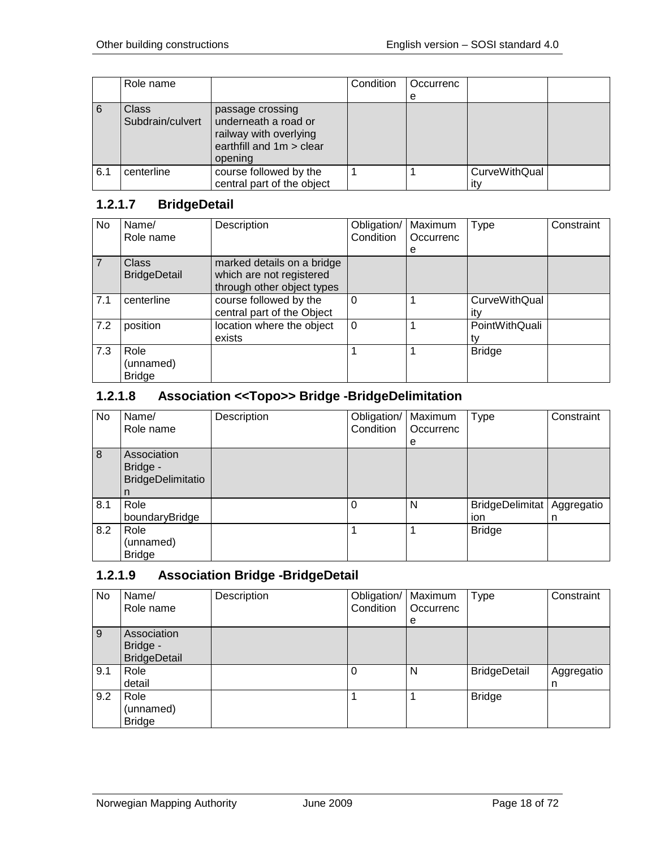|     | Role name                        |                                                                                                           | Condition | Occurrenc |                             |  |
|-----|----------------------------------|-----------------------------------------------------------------------------------------------------------|-----------|-----------|-----------------------------|--|
|     |                                  |                                                                                                           |           | е         |                             |  |
| 6   | <b>Class</b><br>Subdrain/culvert | passage crossing<br>underneath a road or<br>railway with overlying<br>earthfill and 1m > clear<br>opening |           |           |                             |  |
| 6.1 | centerline                       | course followed by the<br>central part of the object                                                      |           |           | <b>CurveWithQual</b><br>it۷ |  |

# <span id="page-17-0"></span>**1.2.1.7 BridgeDetail**

| No  | Name/<br>Role name                  | Description                                                                          | Obligation/<br>Condition | Maximum<br>Occurrenc | <b>Type</b>          | Constraint |
|-----|-------------------------------------|--------------------------------------------------------------------------------------|--------------------------|----------------------|----------------------|------------|
|     |                                     |                                                                                      |                          | е                    |                      |            |
|     | <b>Class</b><br><b>BridgeDetail</b> | marked details on a bridge<br>which are not registered<br>through other object types |                          |                      |                      |            |
| 7.1 | centerline                          | course followed by the<br>central part of the Object                                 | 0                        |                      | CurveWithQual<br>itv |            |
| 7.2 | position                            | location where the object<br>exists                                                  | $\Omega$                 |                      | PointWithQuali       |            |
| 7.3 | Role<br>(unnamed)<br><b>Bridge</b>  |                                                                                      |                          |                      | <b>Bridge</b>        |            |

## <span id="page-17-1"></span>**1.2.1.8 Association <<Topo>> Bridge -BridgeDelimitation**

| No  | Name/                    | Description | Obligation/ | Maximum   | Type            | Constraint |
|-----|--------------------------|-------------|-------------|-----------|-----------------|------------|
|     | Role name                |             | Condition   | Occurrenc |                 |            |
|     |                          |             |             | е         |                 |            |
| 8   | Association              |             |             |           |                 |            |
|     | Bridge -                 |             |             |           |                 |            |
|     | <b>BridgeDelimitatio</b> |             |             |           |                 |            |
|     | n                        |             |             |           |                 |            |
| 8.1 | Role                     |             |             | N         | BridgeDelimitat | Aggregatio |
|     | boundaryBridge           |             |             |           | ion             | n          |
| 8.2 | Role                     |             |             |           | <b>Bridge</b>   |            |
|     | (unnamed)                |             |             |           |                 |            |
|     | <b>Bridge</b>            |             |             |           |                 |            |

## <span id="page-17-2"></span>**1.2.1.9 Association Bridge -BridgeDetail**

| No  | Name/<br>Role name                             | Description | Obligation/<br>Condition | Maximum<br>Occurrenc<br>е | <b>Type</b>         | Constraint      |
|-----|------------------------------------------------|-------------|--------------------------|---------------------------|---------------------|-----------------|
| 9   | Association<br>Bridge -<br><b>BridgeDetail</b> |             |                          |                           |                     |                 |
| 9.1 | Role<br>detail                                 |             |                          | N                         | <b>BridgeDetail</b> | Aggregatio<br>n |
| 9.2 | Role<br>(unnamed)<br><b>Bridge</b>             |             |                          |                           | <b>Bridge</b>       |                 |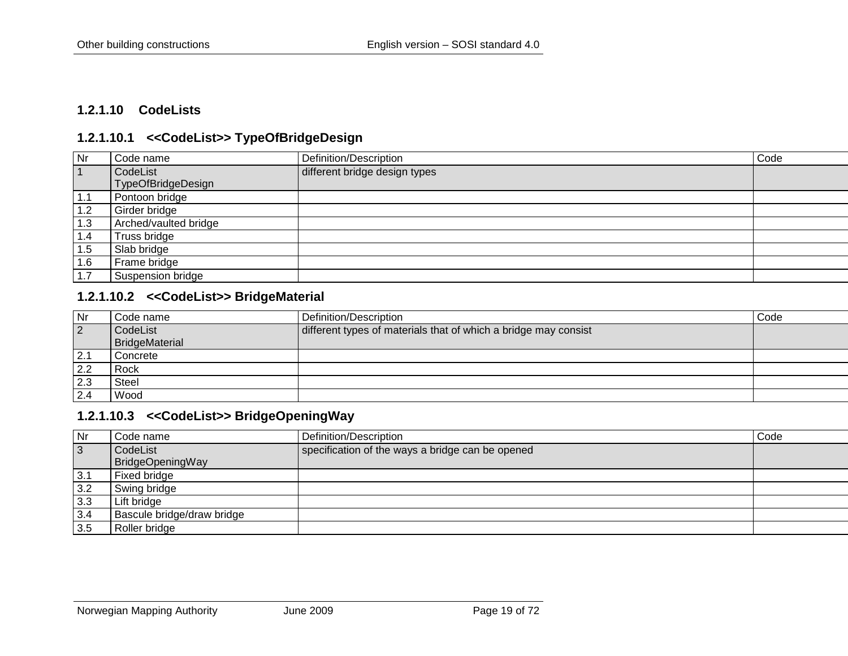#### **1.2.1.10 CodeLists**

#### **1.2.1.10.1 <<CodeList>> TypeOfBridgeDesign**

| Nr        | Code name             | Definition/Description        | Code |
|-----------|-----------------------|-------------------------------|------|
| $\vert$ 1 | CodeList              | different bridge design types |      |
|           | TypeOfBridgeDesign    |                               |      |
| 1.1       | Pontoon bridge        |                               |      |
| 1.2       | Girder bridge         |                               |      |
| 1.3       | Arched/vaulted bridge |                               |      |
| 1.4       | Truss bridge          |                               |      |
| 1.5       | Slab bridge           |                               |      |
| 1.6       | Frame bridge          |                               |      |
|           | Suspension bridge     |                               |      |

#### <span id="page-18-0"></span>**1.2.1.10.2 <<CodeList>> BridgeMaterial**

<span id="page-18-1"></span>

| Nr             | l Code name    | Definition/Description                                          | Code |
|----------------|----------------|-----------------------------------------------------------------|------|
| $\overline{2}$ | CodeList       | different types of materials that of which a bridge may consist |      |
|                | BridgeMaterial |                                                                 |      |
| 2.1            | Concrete       |                                                                 |      |
| 2.2            | Rock           |                                                                 |      |
| 2.3            | Steel          |                                                                 |      |
| 2.4            | Wood           |                                                                 |      |

#### **1.2.1.10.3 <<CodeList>> BridgeOpeningWay**

<span id="page-18-3"></span><span id="page-18-2"></span>

| Nr           | Code name                  | Definition/Description                           | Code |
|--------------|----------------------------|--------------------------------------------------|------|
| $\mathbf{3}$ | CodeList                   | specification of the ways a bridge can be opened |      |
|              | BridgeOpeningWay           |                                                  |      |
| 3.1          | Fixed bridge               |                                                  |      |
| 3.2          | Swing bridge               |                                                  |      |
| 3.3          | Lift bridge                |                                                  |      |
| 3.4          | Bascule bridge/draw bridge |                                                  |      |
| 3.5          | Roller bridge              |                                                  |      |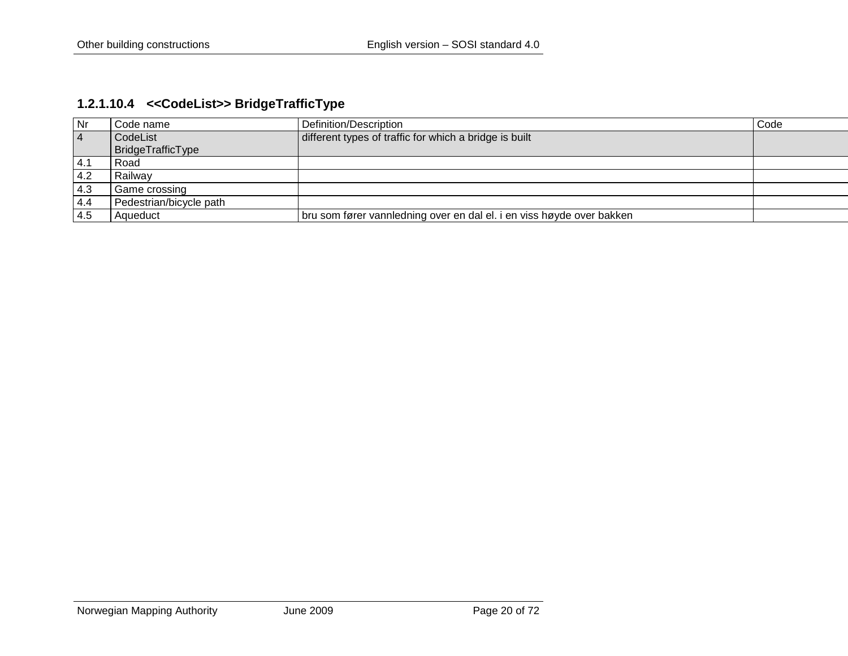# **1.2.1.10.4 <<CodeList>> BridgeTrafficType**

<span id="page-19-0"></span>

| $\mathsf{N}$ r | Code name               | Definition/Description                                                | Code |
|----------------|-------------------------|-----------------------------------------------------------------------|------|
| $\overline{4}$ | CodeList                | different types of traffic for which a bridge is built                |      |
|                | BridgeTrafficType       |                                                                       |      |
| 4.1            | Road                    |                                                                       |      |
| 4.2            | Railwav                 |                                                                       |      |
| 4.3            | Game crossing           |                                                                       |      |
| 4.4            | Pedestrian/bicycle path |                                                                       |      |
| -4.5           | Aqueduct                | bru som fører vannledning over en dal el. i en viss høyde over bakken |      |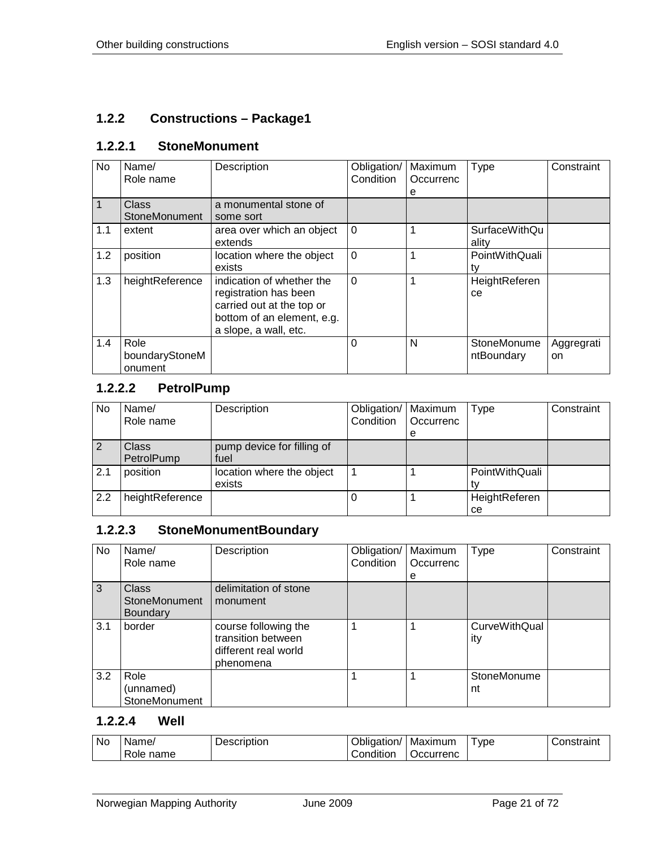## <span id="page-20-0"></span>**1.2.2 Constructions – Package1**

#### <span id="page-20-1"></span>**1.2.2.1 StoneMonument**

| No  | Name/<br>Role name                | Description                                                                                                                            | Obligation/<br>Condition | Maximum<br>Occurrenc | Type                          | Constraint       |
|-----|-----------------------------------|----------------------------------------------------------------------------------------------------------------------------------------|--------------------------|----------------------|-------------------------------|------------------|
|     |                                   |                                                                                                                                        |                          | е                    |                               |                  |
|     | <b>Class</b><br>StoneMonument     | a monumental stone of<br>some sort                                                                                                     |                          |                      |                               |                  |
| 1.1 | extent                            | area over which an object<br>extends                                                                                                   | $\Omega$                 |                      | <b>SurfaceWithQu</b><br>ality |                  |
| 1.2 | position                          | location where the object<br>exists                                                                                                    | $\Omega$                 |                      | PointWithQuali<br>ty          |                  |
| 1.3 | heightReference                   | indication of whether the<br>registration has been<br>carried out at the top or<br>bottom of an element, e.g.<br>a slope, a wall, etc. | $\Omega$                 |                      | HeightReferen<br>ce           |                  |
| 1.4 | Role<br>boundaryStoneM<br>onument |                                                                                                                                        | $\Omega$                 | N                    | StoneMonume<br>ntBoundary     | Aggregrati<br>on |

#### <span id="page-20-2"></span>**1.2.2.2 PetrolPump**

| No  | Name/<br>Role name  | Description                         | Obligation/<br>Condition | Maximum<br>Occurrenc<br>е | Type                | Constraint |
|-----|---------------------|-------------------------------------|--------------------------|---------------------------|---------------------|------------|
|     | Class<br>PetrolPump | pump device for filling of<br>fuel  |                          |                           |                     |            |
| 2.1 | position            | location where the object<br>exists |                          |                           | PointWithQuali      |            |
| 2.2 | heightReference     |                                     |                          |                           | HeightReferen<br>ce |            |

## <span id="page-20-3"></span>**1.2.2.3 StoneMonumentBoundary**

| No  | Name/<br>Role name                               | Description                                                                     | Obligation/<br>Condition | Maximum<br>Occurrenc | <b>Type</b>                 | Constraint |
|-----|--------------------------------------------------|---------------------------------------------------------------------------------|--------------------------|----------------------|-----------------------------|------------|
|     |                                                  |                                                                                 |                          | е                    |                             |            |
| 3   | <b>Class</b><br>StoneMonument<br><b>Boundary</b> | delimitation of stone<br>monument                                               |                          |                      |                             |            |
| 3.1 | border                                           | course following the<br>transition between<br>different real world<br>phenomena | 1                        |                      | <b>CurveWithQual</b><br>ity |            |
| 3.2 | Role<br>(unnamed)<br>StoneMonument               |                                                                                 |                          |                      | StoneMonume<br>nt           |            |

#### <span id="page-20-4"></span>**1.2.2.4 Well**

| No | Name/             | Description | Obligation/ | Maximum   | ype | Constraint |
|----|-------------------|-------------|-------------|-----------|-----|------------|
|    | -<br>name<br>Role |             | Condition   | Jccurrenc |     |            |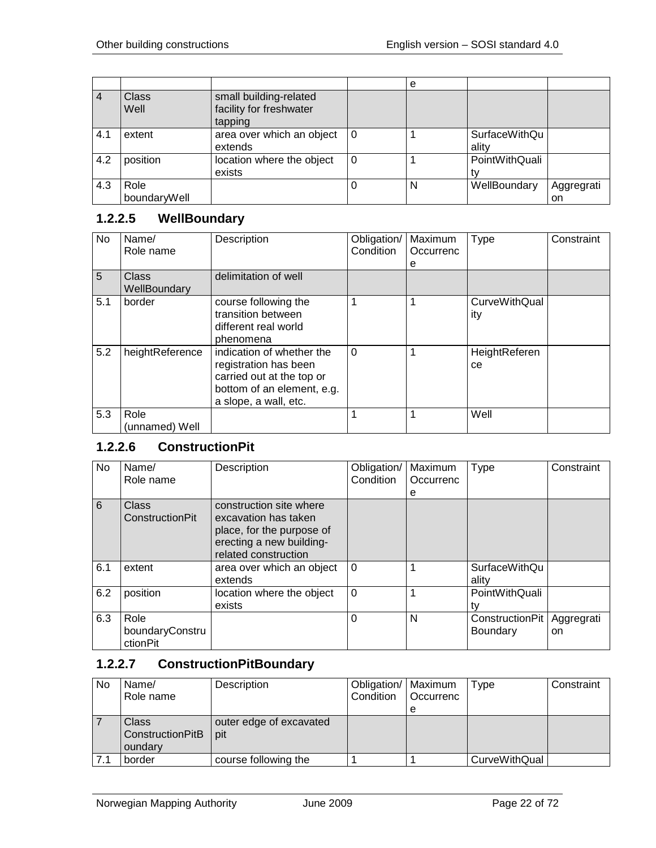|           |                      |                                                              |   | е |                        |                  |
|-----------|----------------------|--------------------------------------------------------------|---|---|------------------------|------------------|
| $\vert$ 4 | Class<br>Well        | small building-related<br>facility for freshwater<br>tapping |   |   |                        |                  |
| 4.1       | extent               | area over which an object<br>extends                         | 0 |   | SurfaceWithQu<br>ality |                  |
| 4.2       | position             | location where the object<br>exists                          | 0 |   | PointWithQuali         |                  |
| 4.3       | Role<br>boundaryWell |                                                              |   | N | WellBoundary           | Aggregrati<br>on |

## <span id="page-21-0"></span>**1.2.2.5 WellBoundary**

| No. | Name/<br>Role name     | Description                                                                                                                            | Obligation/<br>Condition | Maximum<br>Occurrenc<br>е | <b>Type</b>                 | Constraint |
|-----|------------------------|----------------------------------------------------------------------------------------------------------------------------------------|--------------------------|---------------------------|-----------------------------|------------|
| 5   | Class<br>WellBoundary  | delimitation of well                                                                                                                   |                          |                           |                             |            |
| 5.1 | border                 | course following the<br>transition between<br>different real world<br>phenomena                                                        |                          |                           | <b>CurveWithQual</b><br>ity |            |
| 5.2 | heightReference        | indication of whether the<br>registration has been<br>carried out at the top or<br>bottom of an element, e.g.<br>a slope, a wall, etc. | $\Omega$                 |                           | HeightReferen<br>ce         |            |
| 5.3 | Role<br>(unnamed) Well |                                                                                                                                        |                          |                           | Well                        |            |

# <span id="page-21-1"></span>**1.2.2.6 ConstructionPit**

| No  | Name/<br>Role name                  | Description                                                                                                                      | Obligation/<br>Condition | Maximum<br>Occurrenc<br>е | Type                          | Constraint       |
|-----|-------------------------------------|----------------------------------------------------------------------------------------------------------------------------------|--------------------------|---------------------------|-------------------------------|------------------|
| 6   | Class<br>ConstructionPit            | construction site where<br>excavation has taken<br>place, for the purpose of<br>erecting a new building-<br>related construction |                          |                           |                               |                  |
| 6.1 | extent                              | area over which an object<br>extends                                                                                             | $\Omega$                 |                           | <b>SurfaceWithQu</b><br>ality |                  |
| 6.2 | position                            | location where the object<br>exists                                                                                              | $\Omega$                 | 1                         | PointWithQuali                |                  |
| 6.3 | Role<br>boundaryConstru<br>ctionPit |                                                                                                                                  | $\Omega$                 | N                         | ConstructionPit<br>Boundary   | Aggregrati<br>on |

## <span id="page-21-2"></span>**1.2.2.7 ConstructionPitBoundary**

| <b>No</b> | Name/<br>Role name                          | Description                    | Obligation/   Maximum<br>Condition | Occurrenc | Type          | Constraint |
|-----------|---------------------------------------------|--------------------------------|------------------------------------|-----------|---------------|------------|
|           |                                             |                                |                                    | е         |               |            |
|           | <b>Class</b><br>ConstructionPitB<br>oundary | outer edge of excavated<br>pit |                                    |           |               |            |
|           | border                                      | course following the           |                                    |           | CurveWithQual |            |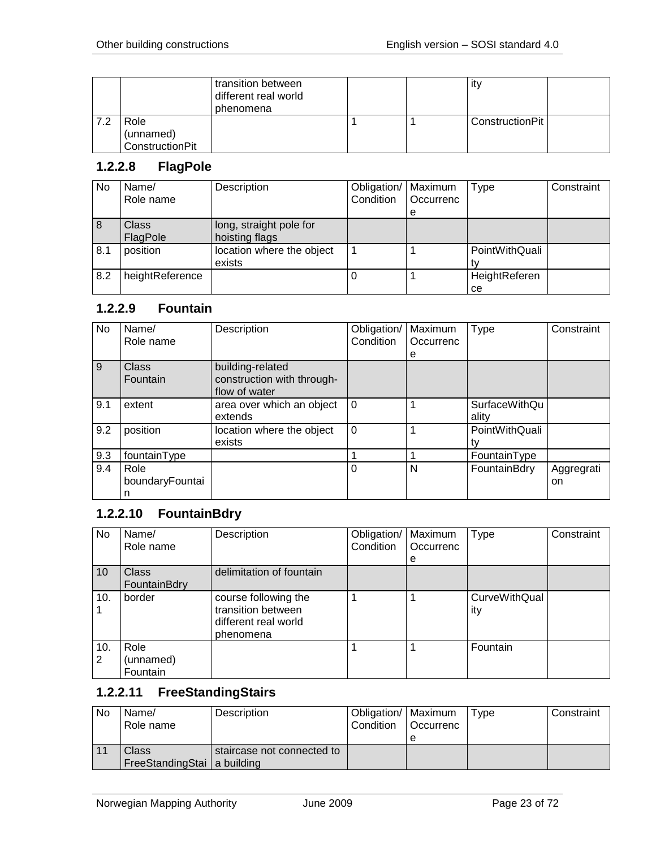|     |                 | transition between<br>different real world<br>phenomena |  | ity             |  |
|-----|-----------------|---------------------------------------------------------|--|-----------------|--|
| 7.2 | Role            |                                                         |  | ConstructionPit |  |
|     | (unnamed)       |                                                         |  |                 |  |
|     | ConstructionPit |                                                         |  |                 |  |

#### <span id="page-22-0"></span>**1.2.2.8 FlagPole**

| <b>No</b> | Name/<br>Role name       | Description                               | Obligation/   Maximum<br>Condition | Occurrenc<br>е | <b>Type</b>         | Constraint |
|-----------|--------------------------|-------------------------------------------|------------------------------------|----------------|---------------------|------------|
| 8         | <b>Class</b><br>FlagPole | long, straight pole for<br>hoisting flags |                                    |                |                     |            |
| 8.1       | position                 | location where the object<br>exists       |                                    |                | PointWithQuali      |            |
| 8.2       | heightReference          |                                           |                                    |                | HeightReferen<br>ce |            |

#### <span id="page-22-1"></span>**1.2.2.9 Fountain**

| <b>No</b> | Name/           | Description                | Obligation/ | Maximum   | Type                 | Constraint |
|-----------|-----------------|----------------------------|-------------|-----------|----------------------|------------|
|           | Role name       |                            | Condition   | Occurrenc |                      |            |
|           |                 |                            |             | e         |                      |            |
| 9         | Class           | building-related           |             |           |                      |            |
|           | Fountain        | construction with through- |             |           |                      |            |
|           |                 | flow of water              |             |           |                      |            |
| 9.1       | extent          | area over which an object  | 0           |           | <b>SurfaceWithQu</b> |            |
|           |                 | extends                    |             |           | ality                |            |
| 9.2       | position        | location where the object  | $\Omega$    |           | PointWithQuali       |            |
|           |                 | exists                     |             |           | tv                   |            |
| 9.3       | fountainType    |                            |             |           | FountainType         |            |
| 9.4       | Role            |                            | $\Omega$    | N         | FountainBdry         | Aggregrati |
|           | boundaryFountai |                            |             |           |                      | on         |
|           | n               |                            |             |           |                      |            |

## <span id="page-22-2"></span>**1.2.2.10 FountainBdry**

| No       | Name/<br>Role name            | Description                                                                     | Obligation/<br>Condition | Maximum<br>Occurrenc<br>e | <b>Type</b>                 | Constraint |
|----------|-------------------------------|---------------------------------------------------------------------------------|--------------------------|---------------------------|-----------------------------|------------|
| 10       | Class<br>FountainBdry         | delimitation of fountain                                                        |                          |                           |                             |            |
| 10.      | border                        | course following the<br>transition between<br>different real world<br>phenomena |                          |                           | <b>CurveWithQual</b><br>ity |            |
| 10.<br>2 | Role<br>(unnamed)<br>Fountain |                                                                                 |                          |                           | Fountain                    |            |

# <span id="page-22-3"></span>**1.2.2.11 FreeStandingStairs**

| No | Name/<br>Role name                     | Description                | Obligation/   Maximum<br>Condition | l Occurrenc<br>e | Tvpe | Constraint |
|----|----------------------------------------|----------------------------|------------------------------------|------------------|------|------------|
|    | Class<br>FreeStandingStai   a building | staircase not connected to |                                    |                  |      |            |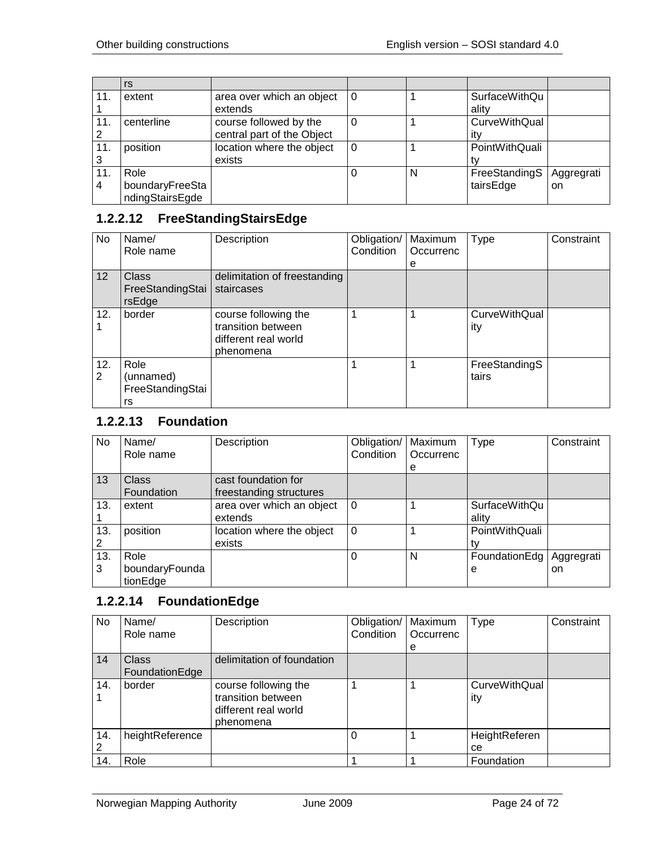|                | rs              |                            |   |   |                      |            |
|----------------|-----------------|----------------------------|---|---|----------------------|------------|
| 11.            | extent          | area over which an object  | 0 |   | <b>SurfaceWithQu</b> |            |
|                |                 | extends                    |   |   | ality                |            |
| 11.            | centerline      | course followed by the     |   |   | CurveWithQual        |            |
| $\overline{2}$ |                 | central part of the Object |   |   | itv                  |            |
| 11.            | position        | location where the object  |   |   | PointWithQuali       |            |
| 3              |                 | exists                     |   |   |                      |            |
| 11.            | Role            |                            |   | N | FreeStandingS        | Aggregrati |
| $\overline{4}$ | boundaryFreeSta |                            |   |   | tairsEdge            | on.        |
|                | ndingStairsEgde |                            |   |   |                      |            |

## <span id="page-23-0"></span>**1.2.2.12 FreeStandingStairsEdge**

| No       | Name/<br>Role name                          | Description                                                                     | Obligation/<br>Condition | Maximum<br>Occurrenc | Type                        | Constraint |
|----------|---------------------------------------------|---------------------------------------------------------------------------------|--------------------------|----------------------|-----------------------------|------------|
|          |                                             |                                                                                 |                          | e                    |                             |            |
| 12       | Class<br>FreeStandingStai<br>rsEdge         | delimitation of freestanding<br>staircases                                      |                          |                      |                             |            |
| 12.      | border                                      | course following the<br>transition between<br>different real world<br>phenomena |                          |                      | <b>CurveWithQual</b><br>ity |            |
| 12.<br>2 | Role<br>(unnamed)<br>FreeStandingStai<br>rs |                                                                                 |                          |                      | FreeStandingS<br>tairs      |            |

# <span id="page-23-1"></span>**1.2.2.13 Foundation**

| No       | Name/<br>Role name                 | Description                                    | Obligation/<br>Condition | Maximum<br>Occurrenc | Type                   | Constraint        |
|----------|------------------------------------|------------------------------------------------|--------------------------|----------------------|------------------------|-------------------|
|          |                                    |                                                |                          | e                    |                        |                   |
| 13       | <b>Class</b><br>Foundation         | cast foundation for<br>freestanding structures |                          |                      |                        |                   |
| 13.      | extent                             | area over which an object<br>extends           | $\Omega$                 |                      | SurfaceWithQu<br>ality |                   |
| 13.      | position                           | location where the object<br>exists            | $\Omega$                 |                      | PointWithQuali         |                   |
| 13.<br>3 | Role<br>boundaryFounda<br>tionEdge |                                                | 0                        | N                    | FoundationEdg<br>е     | Aggregrati<br>on. |

#### <span id="page-23-2"></span>**1.2.2.14 FoundationEdge**

| No.      | Name/<br>Role name             | Description                                                                     | Obligation/<br>Condition | Maximum<br>Occurrenc<br>е | <b>Type</b>                 | Constraint |
|----------|--------------------------------|---------------------------------------------------------------------------------|--------------------------|---------------------------|-----------------------------|------------|
| 14       | <b>Class</b><br>FoundationEdge | delimitation of foundation                                                      |                          |                           |                             |            |
| 14.      | border                         | course following the<br>transition between<br>different real world<br>phenomena |                          |                           | <b>CurveWithQual</b><br>ity |            |
| 14.<br>2 | heightReference                |                                                                                 |                          |                           | HeightReferen<br>cе         |            |
| 14.      | Role                           |                                                                                 |                          |                           | Foundation                  |            |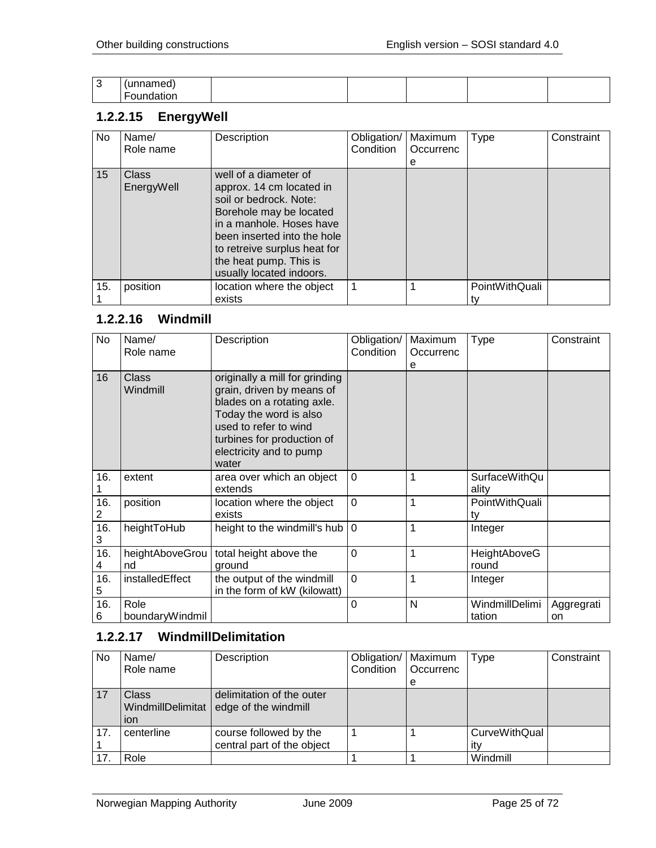| ◠<br>ັ | "idilieu.<br>u |  |  |  |
|--------|----------------|--|--|--|
|        | --<br>         |  |  |  |

# <span id="page-24-0"></span>**1.2.2.15 EnergyWell**

| No  | Name/<br>Role name  | Description                                                                                                                                                                                                                                             | Obligation/<br>Condition | Maximum<br>Occurrenc<br>е | Type           | Constraint |
|-----|---------------------|---------------------------------------------------------------------------------------------------------------------------------------------------------------------------------------------------------------------------------------------------------|--------------------------|---------------------------|----------------|------------|
| 15  | Class<br>EnergyWell | well of a diameter of<br>approx. 14 cm located in<br>soil or bedrock. Note:<br>Borehole may be located<br>in a manhole. Hoses have<br>been inserted into the hole<br>to retreive surplus heat for<br>the heat pump. This is<br>usually located indoors. |                          |                           |                |            |
| 15. | position            | location where the object<br>exists                                                                                                                                                                                                                     |                          |                           | PointWithQuali |            |

## <span id="page-24-1"></span>**1.2.2.16 Windmill**

| No       | Name/<br>Role name      | Description                                                                                                                                                                                                    | Obligation/<br>Condition | Maximum<br>Occurrenc<br>е | <b>Type</b>                   | Constraint       |
|----------|-------------------------|----------------------------------------------------------------------------------------------------------------------------------------------------------------------------------------------------------------|--------------------------|---------------------------|-------------------------------|------------------|
| 16       | Class<br>Windmill       | originally a mill for grinding<br>grain, driven by means of<br>blades on a rotating axle.<br>Today the word is also<br>used to refer to wind<br>turbines for production of<br>electricity and to pump<br>water |                          |                           |                               |                  |
| 16.      | extent                  | area over which an object<br>extends                                                                                                                                                                           | $\Omega$                 | 1                         | <b>SurfaceWithQu</b><br>ality |                  |
| 16.<br>2 | position                | location where the object<br>exists                                                                                                                                                                            | $\mathbf 0$              | 1                         | PointWithQuali<br>tv          |                  |
| 16.<br>3 | heightToHub             | height to the windmill's hub                                                                                                                                                                                   | $\Omega$                 | 1                         | Integer                       |                  |
| 16.<br>4 | heightAboveGrou<br>nd   | total height above the<br>ground                                                                                                                                                                               | $\mathbf 0$              | 1                         | HeightAboveG<br>round         |                  |
| 16.<br>5 | installedEffect         | the output of the windmill<br>in the form of kW (kilowatt)                                                                                                                                                     | $\mathbf 0$              | 1                         | Integer                       |                  |
| 16.<br>6 | Role<br>boundaryWindmil |                                                                                                                                                                                                                | 0                        | N                         | WindmillDelimi<br>tation      | Aggregrati<br>on |

## <span id="page-24-2"></span>**1.2.2.17 WindmillDelimitation**

| No  | Name/<br>Role name                       | Description                                          | Obligation/   Maximum<br>Condition | Occurrenc<br>е | Type                        | Constraint |
|-----|------------------------------------------|------------------------------------------------------|------------------------------------|----------------|-----------------------------|------------|
| 17  | <b>Class</b><br>WindmillDelimitat<br>ion | delimitation of the outer<br>edge of the windmill    |                                    |                |                             |            |
| 17. | centerline                               | course followed by the<br>central part of the object |                                    |                | <b>CurveWithQual</b><br>ıtv |            |
|     | Role                                     |                                                      |                                    |                | Windmill                    |            |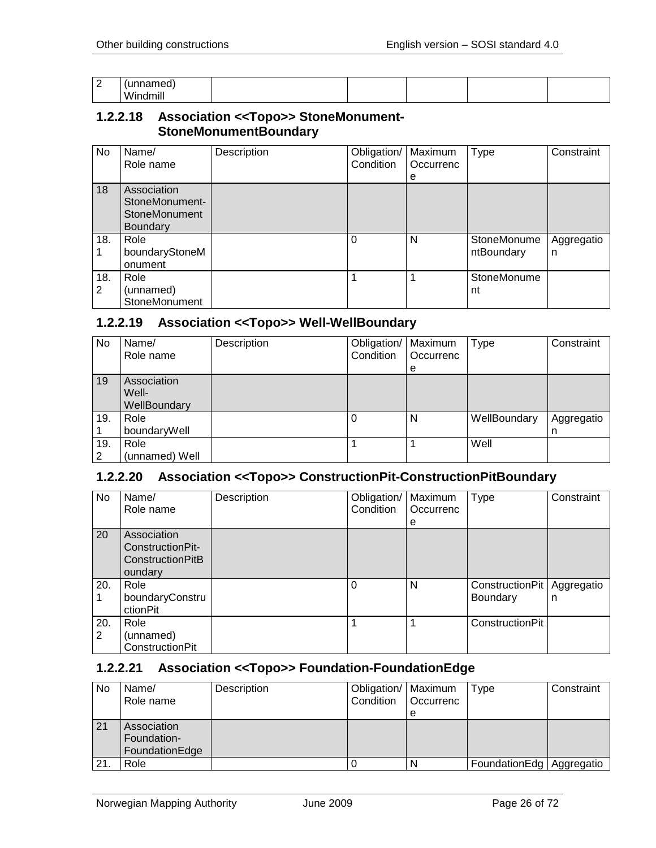| ⌒<br>∼ | $ -$<br>.<br>шес |  |  |  |
|--------|------------------|--|--|--|
|        | Windmill         |  |  |  |

#### <span id="page-25-0"></span>**1.2.2.18 Association <<Topo>> StoneMonument-StoneMonumentBoundary**

| <b>No</b> | Name/<br>Role name                                                | Description | Obligation/<br>Condition | Maximum<br>Occurrenc<br>е | Type                      | Constraint      |
|-----------|-------------------------------------------------------------------|-------------|--------------------------|---------------------------|---------------------------|-----------------|
| 18        | Association<br>StoneMonument-<br>StoneMonument<br><b>Boundary</b> |             |                          |                           |                           |                 |
| 18.       | Role<br>boundaryStoneM<br>onument                                 |             | $\Omega$                 | N                         | StoneMonume<br>ntBoundary | Aggregatio<br>n |
| 18.<br>2  | Role<br>(unnamed)<br>StoneMonument                                |             |                          |                           | StoneMonume<br>nt         |                 |

#### <span id="page-25-1"></span>**1.2.2.19 Association <<Topo>> Well-WellBoundary**

| No       | Name/<br>Role name                   | Description | Obligation/   Maximum<br>Condition | <b>Occurrenc</b><br>e | Type         | Constraint      |
|----------|--------------------------------------|-------------|------------------------------------|-----------------------|--------------|-----------------|
| 19       | Association<br>Well-<br>WellBoundary |             |                                    |                       |              |                 |
| 19.      | Role<br>boundaryWell                 |             |                                    | N                     | WellBoundary | Aggregatio<br>n |
| 19.<br>2 | Role<br>(unnamed) Well               |             |                                    |                       | Well         |                 |

#### <span id="page-25-2"></span>**1.2.2.20 Association <<Topo>> ConstructionPit-ConstructionPitBoundary**

| No       | Name/<br>Role name                                                    | Description | Obligation/<br>Condition | Maximum<br>Occurrenc<br>е | <b>Type</b>                 | Constraint      |
|----------|-----------------------------------------------------------------------|-------------|--------------------------|---------------------------|-----------------------------|-----------------|
| 20       | Association<br>ConstructionPit-<br><b>ConstructionPitB</b><br>oundary |             |                          |                           |                             |                 |
| 20.      | Role<br>boundaryConstru<br>ctionPit                                   |             | $\Omega$                 | N                         | ConstructionPit<br>Boundary | Aggregatio<br>n |
| 20.<br>2 | Role<br>(unnamed)<br>ConstructionPit                                  |             |                          |                           | ConstructionPit             |                 |

#### <span id="page-25-3"></span>**1.2.2.21 Association <<Topo>> Foundation-FoundationEdge**

| No  | Name/          | Description | Obligation/   Maximum |             | Type                       | Constraint |
|-----|----------------|-------------|-----------------------|-------------|----------------------------|------------|
|     | Role name      |             | Condition             | l Occurrenc |                            |            |
|     |                |             |                       | e           |                            |            |
| 21  | Association    |             |                       |             |                            |            |
|     | Foundation-    |             |                       |             |                            |            |
|     | FoundationEdge |             |                       |             |                            |            |
| 21. | Role           |             |                       |             | FoundationEdg   Aggregatio |            |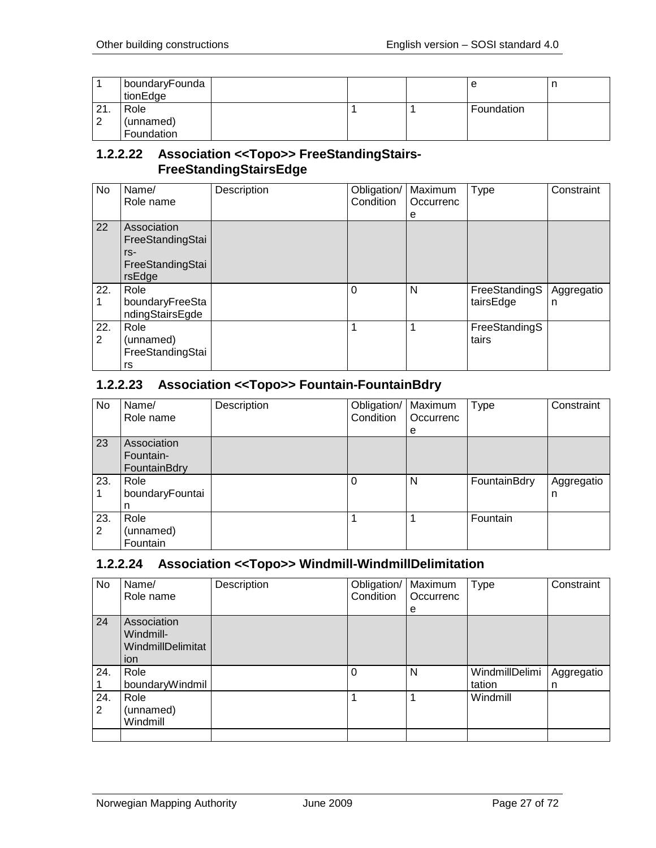|                   | boundaryFounda<br>tionEdge |  | е          |  |
|-------------------|----------------------------|--|------------|--|
| $\Omega$<br>$  -$ | Role                       |  | Foundation |  |
| ົ                 | (unnamed)                  |  |            |  |
|                   | Foundation                 |  |            |  |

#### <span id="page-26-0"></span>**1.2.2.22 Association <<Topo>> FreeStandingStairs-FreeStandingStairsEdge**

| No       | Name/<br>Role name                                                     | Description | Obligation/<br>Condition | Maximum<br>Occurrenc<br>е | <b>Type</b>                | Constraint      |
|----------|------------------------------------------------------------------------|-------------|--------------------------|---------------------------|----------------------------|-----------------|
| 22       | Association<br>FreeStandingStai<br>$rs-$<br>FreeStandingStai<br>rsEdge |             |                          |                           |                            |                 |
| 22.      | Role<br>boundaryFreeSta<br>ndingStairsEgde                             |             | 0                        | N                         | FreeStandingS<br>tairsEdge | Aggregatio<br>n |
| 22.<br>2 | Role<br>(unnamed)<br>FreeStandingStai<br>rs                            |             |                          |                           | FreeStandingS<br>tairs     |                 |

## <span id="page-26-1"></span>**1.2.2.23 Association <<Topo>> Fountain-FountainBdry**

| No  | Name/           | Description | Obligation/   Maximum |           | <b>Type</b>  | Constraint |
|-----|-----------------|-------------|-----------------------|-----------|--------------|------------|
|     | Role name       |             | Condition             | Occurrenc |              |            |
|     |                 |             |                       | e         |              |            |
| 23  | Association     |             |                       |           |              |            |
|     | Fountain-       |             |                       |           |              |            |
|     | FountainBdry    |             |                       |           |              |            |
| 23. | Role            |             | $\Omega$              | N         | FountainBdry | Aggregatio |
|     | boundaryFountai |             |                       |           |              | n          |
|     |                 |             |                       |           |              |            |
| 23. | Role            |             |                       |           | Fountain     |            |
| 2   | (unnamed)       |             |                       |           |              |            |
|     | Fountain        |             |                       |           |              |            |

#### <span id="page-26-2"></span>**1.2.2.24 Association <<Topo>> Windmill-WindmillDelimitation**

| No.      | Name/<br>Role name                                   | Description | Obligation/<br>Condition | Maximum<br>Occurrenc | <b>Type</b>              | Constraint      |
|----------|------------------------------------------------------|-------------|--------------------------|----------------------|--------------------------|-----------------|
|          |                                                      |             |                          | е                    |                          |                 |
| 24       | Association<br>Windmill-<br>WindmillDelimitat<br>ion |             |                          |                      |                          |                 |
| 24.      | Role<br>boundaryWindmil                              |             | 0                        | N                    | WindmillDelimi<br>tation | Aggregatio<br>n |
| 24.<br>2 | Role<br>(unnamed)<br>Windmill                        |             |                          |                      | Windmill                 |                 |
|          |                                                      |             |                          |                      |                          |                 |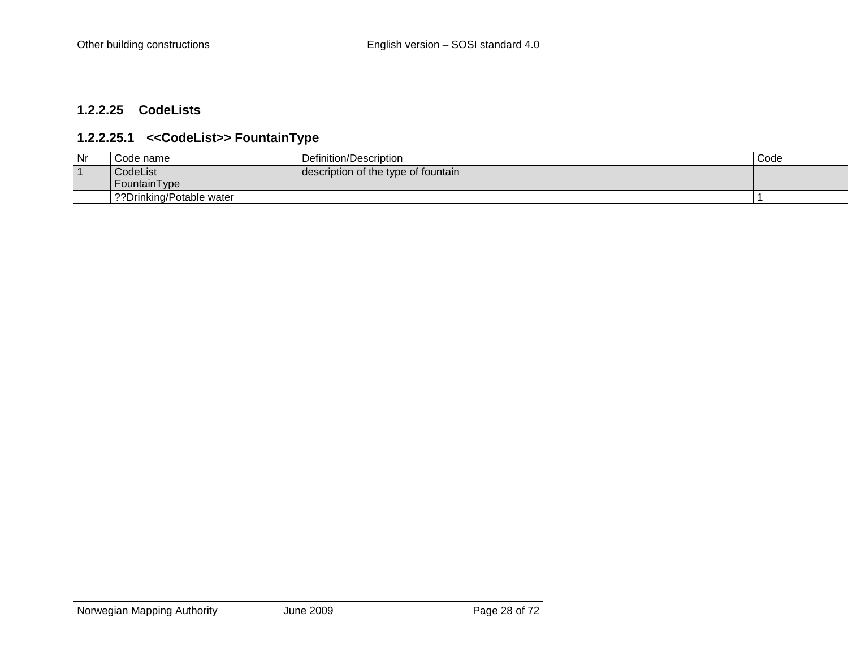#### **1.2.2.25 CodeLists**

#### **1.2.2.25.1 <<CodeList>> FountainType**

<span id="page-27-1"></span><span id="page-27-0"></span>

| Nr             | Code name                 | Definition/Description              | Code |
|----------------|---------------------------|-------------------------------------|------|
| $\overline{A}$ | CodeList                  | description of the type of fountain |      |
|                | FountainType              |                                     |      |
|                | ??Drinking/Potable water? |                                     |      |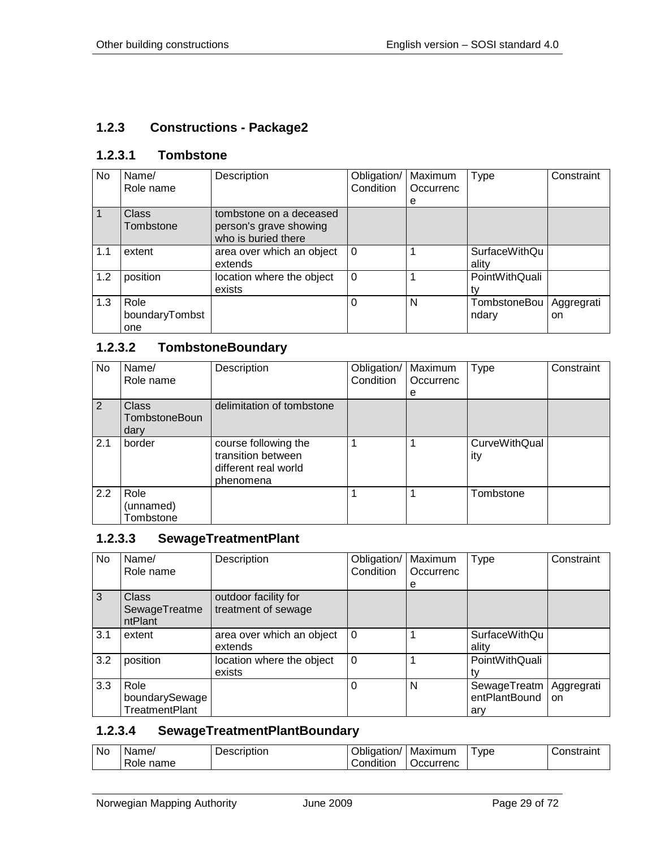#### <span id="page-28-0"></span>**1.2.3 Constructions - Package2**

#### <span id="page-28-1"></span>**1.2.3.1 Tombstone**

| No  | Name/<br>Role name            | Description                                                              | Obligation/<br>Condition | Maximum<br>Occurrenc<br>e | Type                   | Constraint       |
|-----|-------------------------------|--------------------------------------------------------------------------|--------------------------|---------------------------|------------------------|------------------|
|     | <b>Class</b><br>Tombstone     | tombstone on a deceased<br>person's grave showing<br>who is buried there |                          |                           |                        |                  |
| 1.1 | extent                        | area over which an object<br>extends                                     | $\Omega$                 |                           | SurfaceWithQu<br>ality |                  |
| 1.2 | position                      | location where the object<br>exists                                      | $\Omega$                 |                           | PointWithQuali<br>tv   |                  |
| 1.3 | Role<br>boundaryTombst<br>one |                                                                          | 0                        | N                         | TombstoneBou<br>ndary  | Aggregrati<br>on |

## <span id="page-28-2"></span>**1.2.3.2 TombstoneBoundary**

| No  | Name/<br>Role name                           | Description                                                                     | Obligation/<br>Condition | Maximum<br>Occurrenc | <b>Type</b>                 | Constraint |
|-----|----------------------------------------------|---------------------------------------------------------------------------------|--------------------------|----------------------|-----------------------------|------------|
|     |                                              |                                                                                 |                          | е                    |                             |            |
| 2   | <b>Class</b><br><b>TombstoneBoun</b><br>dary | delimitation of tombstone                                                       |                          |                      |                             |            |
| 2.1 | border                                       | course following the<br>transition between<br>different real world<br>phenomena |                          |                      | <b>CurveWithQual</b><br>ity |            |
| 2.2 | Role<br>(unnamed)<br>Tombstone               |                                                                                 |                          |                      | Tombstone                   |            |

# <span id="page-28-3"></span>**1.2.3.3 SewageTreatmentPlant**

| No           | Name/<br>Role name                              | Description                                 | Obligation/<br>Condition | Maximum<br>Occurrenc | Type                                   | Constraint                  |
|--------------|-------------------------------------------------|---------------------------------------------|--------------------------|----------------------|----------------------------------------|-----------------------------|
| $\mathbf{3}$ | <b>Class</b><br>SewageTreatme<br>ntPlant        | outdoor facility for<br>treatment of sewage |                          | е                    |                                        |                             |
| 3.1          | extent                                          | area over which an object<br>extends        | $\Omega$                 |                      | SurfaceWithQu<br>ality                 |                             |
| 3.2          | position                                        | location where the object<br>exists         | $\Omega$                 |                      | PointWithQuali                         |                             |
| 3.3          | Role<br>boundarySewage<br><b>TreatmentPlant</b> |                                             | 0                        | N                    | SewageTreatm  <br>entPlantBound<br>arv | Aggregrati<br><sub>on</sub> |

#### <span id="page-28-4"></span>**1.2.3.4 SewageTreatmentPlantBoundary**

| <b>No</b> | Name         | Description | . .<br>⊃bligation/ | Maximum   | <b>vpe</b> | `onstraını |
|-----------|--------------|-------------|--------------------|-----------|------------|------------|
|           | name<br>Role |             | .<br>onditionٽ     | Jccurrenc |            |            |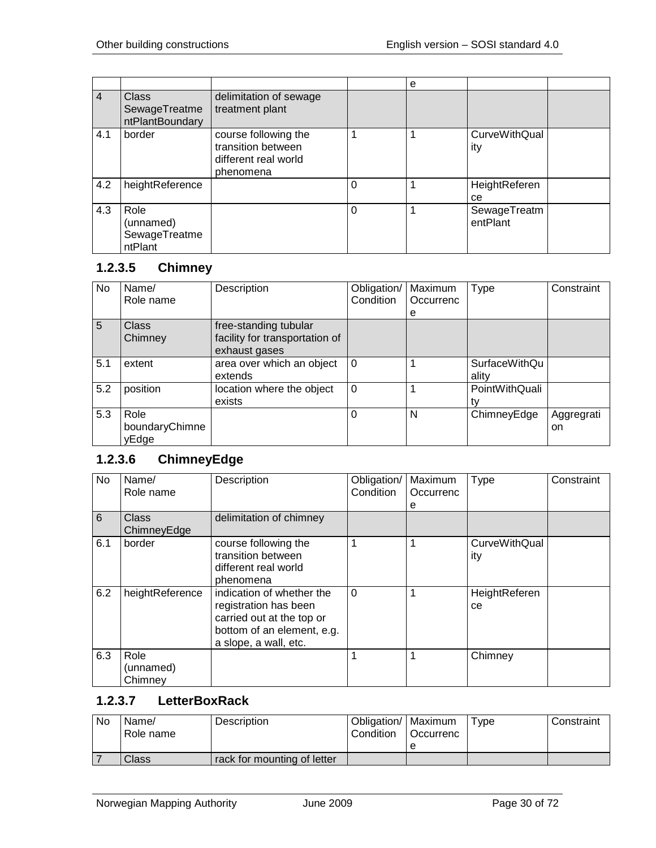|                |                                                  |                                                                                 |   | е |                             |  |
|----------------|--------------------------------------------------|---------------------------------------------------------------------------------|---|---|-----------------------------|--|
| $\overline{4}$ | <b>Class</b><br>SewageTreatme<br>ntPlantBoundary | delimitation of sewage<br>treatment plant                                       |   |   |                             |  |
| 4.1            | border                                           | course following the<br>transition between<br>different real world<br>phenomena |   |   | <b>CurveWithQual</b><br>ity |  |
| 4.2            | heightReference                                  |                                                                                 | 0 |   | HeightReferen<br>ce         |  |
| 4.3            | Role<br>(unnamed)<br>SewageTreatme<br>ntPlant    |                                                                                 | 0 |   | SewageTreatm<br>entPlant    |  |

# <span id="page-29-0"></span>**1.2.3.5 Chimney**

| No  | Name/<br>Role name              | Description                                                              | Obligation/<br>Condition | Maximum<br>Occurrenc<br>e | <b>Type</b>                   | Constraint       |
|-----|---------------------------------|--------------------------------------------------------------------------|--------------------------|---------------------------|-------------------------------|------------------|
| 5   | <b>Class</b><br>Chimney         | free-standing tubular<br>facility for transportation of<br>exhaust gases |                          |                           |                               |                  |
| 5.1 | extent                          | area over which an object<br>extends                                     | $\Omega$                 |                           | <b>SurfaceWithQu</b><br>ality |                  |
| 5.2 | position                        | location where the object<br>exists                                      | $\Omega$                 |                           | PointWithQuali                |                  |
| 5.3 | Role<br>boundaryChimne<br>yEdge |                                                                          | 0                        | N                         | ChimneyEdge                   | Aggregrati<br>on |

## <span id="page-29-1"></span>**1.2.3.6 ChimneyEdge**

| <b>No</b> | Name/<br>Role name           | Description                                                                                                                            | Obligation/<br>Condition | Maximum<br>Occurrenc<br>е | <b>Type</b>                 | Constraint |
|-----------|------------------------------|----------------------------------------------------------------------------------------------------------------------------------------|--------------------------|---------------------------|-----------------------------|------------|
| 6         | <b>Class</b><br>ChimneyEdge  | delimitation of chimney                                                                                                                |                          |                           |                             |            |
| 6.1       | border                       | course following the<br>transition between<br>different real world<br>phenomena                                                        |                          |                           | <b>CurveWithQual</b><br>ity |            |
| 6.2       | heightReference              | indication of whether the<br>registration has been<br>carried out at the top or<br>bottom of an element, e.g.<br>a slope, a wall, etc. | $\Omega$                 |                           | HeightReferen<br>ce         |            |
| 6.3       | Role<br>(unnamed)<br>Chimney |                                                                                                                                        |                          |                           | Chimney                     |            |

#### <span id="page-29-2"></span>**1.2.3.7 LetterBoxRack**

| No | Name/<br>Role name | Description                 | Obligation/   Maximum<br>Condition | <b>Occurrenc</b> | Type | Constraint |
|----|--------------------|-----------------------------|------------------------------------|------------------|------|------------|
|    |                    |                             |                                    |                  |      |            |
|    | Class              | rack for mounting of letter |                                    |                  |      |            |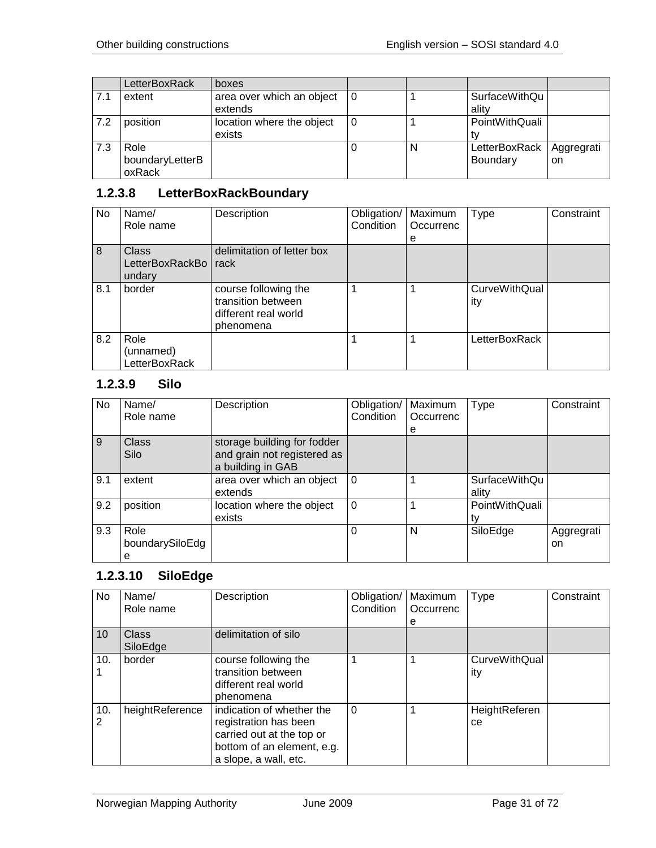|     | LetterBoxRack                     | boxes                                |     |   |                               |                  |
|-----|-----------------------------------|--------------------------------------|-----|---|-------------------------------|------------------|
| 7.1 | extent                            | area over which an object<br>extends | 10  |   | <b>SurfaceWithQu</b><br>ality |                  |
| 7.2 | position                          | location where the object<br>exists  | l 0 |   | PointWithQuali                |                  |
| 7.3 | Role<br>boundaryLetterB<br>oxRack |                                      |     | N | LetterBoxRack<br>Boundary     | Aggregrati<br>on |

# <span id="page-30-0"></span>**1.2.3.8 LetterBoxRackBoundary**

| No  | Name/                                     | Description                                                                     | Obligation/ | Maximum   | Type                        | Constraint |
|-----|-------------------------------------------|---------------------------------------------------------------------------------|-------------|-----------|-----------------------------|------------|
|     | Role name                                 |                                                                                 | Condition   | Occurrenc |                             |            |
|     |                                           |                                                                                 |             | e         |                             |            |
| 8   | <b>Class</b><br>LetterBoxRackBo<br>undary | delimitation of letter box<br>rack                                              |             |           |                             |            |
| 8.1 | border                                    | course following the<br>transition between<br>different real world<br>phenomena |             |           | <b>CurveWithQual</b><br>ity |            |
| 8.2 | Role<br>(unnamed)<br>LetterBoxRack        |                                                                                 |             |           | LetterBoxRack               |            |

#### <span id="page-30-1"></span>**1.2.3.9 Silo**

| No  | Name/           | Description                 | Obligation/ | Maximum   | Type                 | Constraint |
|-----|-----------------|-----------------------------|-------------|-----------|----------------------|------------|
|     | Role name       |                             | Condition   | Occurrenc |                      |            |
|     |                 |                             |             | е         |                      |            |
| 9   | <b>Class</b>    | storage building for fodder |             |           |                      |            |
|     | Silo            | and grain not registered as |             |           |                      |            |
|     |                 | a building in GAB           |             |           |                      |            |
| 9.1 | extent          | area over which an object   | $\Omega$    |           | <b>SurfaceWithQu</b> |            |
|     |                 | extends                     |             |           | ality                |            |
| 9.2 | position        | location where the object   | $\Omega$    |           | PointWithQuali       |            |
|     |                 | exists                      |             |           |                      |            |
| 9.3 | Role            |                             | 0           | N         | SiloEdge             | Aggregrati |
|     | boundarySiloEdg |                             |             |           |                      | on         |
|     | е               |                             |             |           |                      |            |

## <span id="page-30-2"></span>**1.2.3.10 SiloEdge**

| No              | Name/<br>Role name       | Description                                                                                                                            | Obligation/<br>Condition | Maximum<br>Occurrenc<br>е | <b>Type</b>          | Constraint |
|-----------------|--------------------------|----------------------------------------------------------------------------------------------------------------------------------------|--------------------------|---------------------------|----------------------|------------|
| 10 <sup>1</sup> | <b>Class</b><br>SiloEdge | delimitation of silo                                                                                                                   |                          |                           |                      |            |
| 10.             | border                   | course following the<br>transition between<br>different real world<br>phenomena                                                        |                          |                           | CurveWithQual<br>ity |            |
| 10.<br>2        | heightReference          | indication of whether the<br>registration has been<br>carried out at the top or<br>bottom of an element, e.g.<br>a slope, a wall, etc. | $\Omega$                 |                           | HeightReferen<br>ce  |            |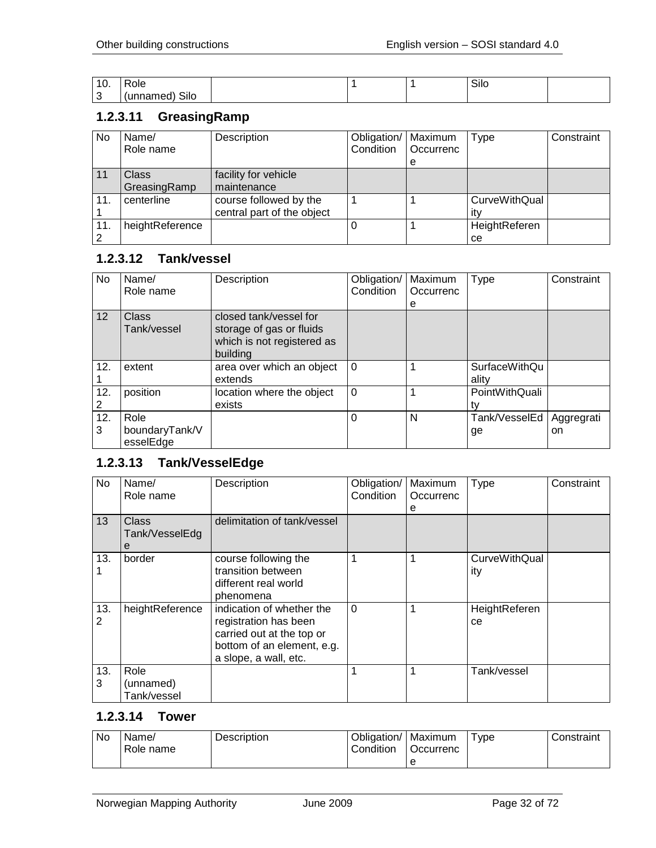| .<br>ιν.                 | D<br>ole:         |  | $\sim$<br>סווס |  |
|--------------------------|-------------------|--|----------------|--|
| $\overline{\phantom{a}}$ | Silo<br>ι۳<br>. . |  |                |  |

## <span id="page-31-0"></span>**1.2.3.11 GreasingRamp**

| No  | Name/<br>Role name           | Description                                          | Obligation/<br>Condition | Maximum<br><b>Occurrenc</b><br>e | Type                        | Constraint |
|-----|------------------------------|------------------------------------------------------|--------------------------|----------------------------------|-----------------------------|------------|
| 11  | <b>Class</b><br>GreasingRamp | facility for vehicle<br>maintenance                  |                          |                                  |                             |            |
| 11. | centerline                   | course followed by the<br>central part of the object |                          |                                  | <b>CurveWithQual</b><br>itv |            |
| 11. | heightReference              |                                                      |                          |                                  | HeightReferen<br>ce         |            |

#### <span id="page-31-1"></span>**1.2.3.12 Tank/vessel**

| <b>No</b> | Name/<br>Role name                  | Description                                                                                  | Obligation/<br>Condition | Maximum<br>Occurrenc<br>е | Type                          | Constraint       |
|-----------|-------------------------------------|----------------------------------------------------------------------------------------------|--------------------------|---------------------------|-------------------------------|------------------|
| 12        | Class<br>Tank/vessel                | closed tank/vessel for<br>storage of gas or fluids<br>which is not registered as<br>building |                          |                           |                               |                  |
| 12.       | extent                              | area over which an object<br>extends                                                         | $\Omega$                 |                           | <b>SurfaceWithQu</b><br>ality |                  |
| 12.       | position                            | location where the object<br>exists                                                          | $\Omega$                 |                           | PointWithQuali<br>tv          |                  |
| 12.<br>3  | Role<br>boundaryTank/V<br>esselEdge |                                                                                              | $\Omega$                 | N                         | Tank/VesselEd<br>ge           | Aggregrati<br>on |

## <span id="page-31-2"></span>**1.2.3.13 Tank/VesselEdge**

| <b>No</b> | Name/<br>Role name               | Description                                                                                                                            | Obligation/<br>Condition | Maximum<br>Occurrenc<br>е | <b>Type</b>                 | Constraint |
|-----------|----------------------------------|----------------------------------------------------------------------------------------------------------------------------------------|--------------------------|---------------------------|-----------------------------|------------|
| 13        | Class<br>Tank/VesselEdg<br>е     | delimitation of tank/vessel                                                                                                            |                          |                           |                             |            |
| 13.       | border                           | course following the<br>transition between<br>different real world<br>phenomena                                                        | 1                        |                           | <b>CurveWithQual</b><br>ity |            |
| 13.<br>2  | heightReference                  | indication of whether the<br>registration has been<br>carried out at the top or<br>bottom of an element, e.g.<br>a slope, a wall, etc. | $\Omega$                 |                           | HeightReferen<br>ce         |            |
| 13.<br>3  | Role<br>(unnamed)<br>Tank/vessel |                                                                                                                                        |                          |                           | Tank/vessel                 |            |

#### <span id="page-31-3"></span>**1.2.3.14 Tower**

| No. | Name/<br>Role name | <b>Description</b> | Obligation/<br>Condition | Maximum<br>Occurrenc | vpe | Constraint |
|-----|--------------------|--------------------|--------------------------|----------------------|-----|------------|
|     |                    |                    |                          |                      |     |            |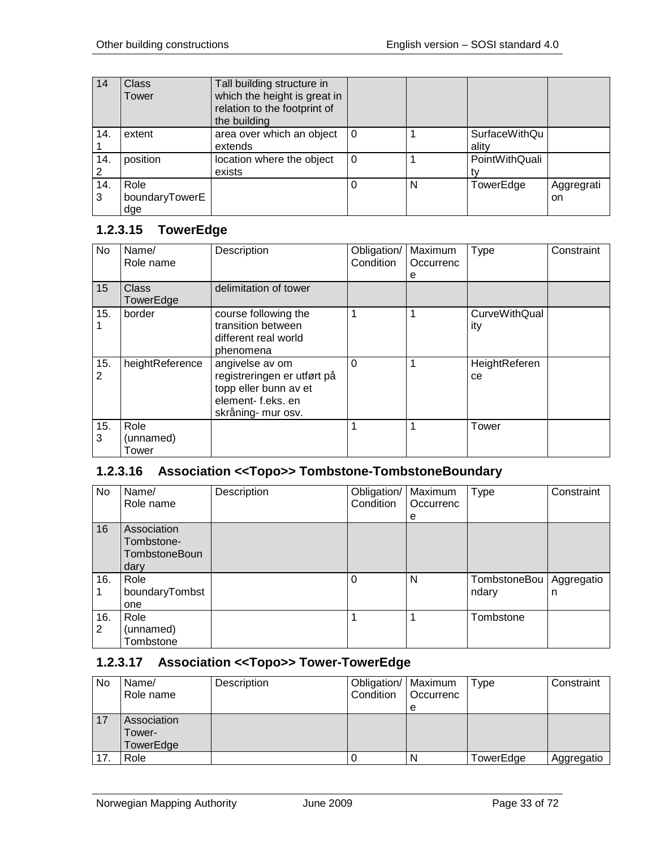| 14       | <b>Class</b><br>Tower         | Tall building structure in<br>which the height is great in<br>relation to the footprint of<br>the building |          |   |                               |                  |
|----------|-------------------------------|------------------------------------------------------------------------------------------------------------|----------|---|-------------------------------|------------------|
| 14.      | extent                        | area over which an object<br>extends                                                                       | 0        |   | <b>SurfaceWithQu</b><br>ality |                  |
| 14.<br>2 | position                      | location where the object<br>exists                                                                        | $\Omega$ |   | PointWithQuali                |                  |
| 14.<br>3 | Role<br>boundaryTowerE<br>dge |                                                                                                            |          | N | TowerEdge                     | Aggregrati<br>on |

#### <span id="page-32-0"></span>**1.2.3.15 TowerEdge**

| No       | Name/<br>Role name         | Description                                                                                                       | Obligation/<br>Condition | Maximum<br>Occurrenc<br>е | Type                        | Constraint |
|----------|----------------------------|-------------------------------------------------------------------------------------------------------------------|--------------------------|---------------------------|-----------------------------|------------|
| 15       | <b>Class</b><br>TowerEdge  | delimitation of tower                                                                                             |                          |                           |                             |            |
| 15.      | border                     | course following the<br>transition between<br>different real world<br>phenomena                                   |                          |                           | <b>CurveWithQual</b><br>ity |            |
| 15.<br>2 | heightReference            | angivelse av om<br>registreringen er utført på<br>topp eller bunn av et<br>element-f.eks.en<br>skråning- mur osv. | $\Omega$                 |                           | HeightReferen<br>ce         |            |
| 15.<br>3 | Role<br>(unnamed)<br>Tower |                                                                                                                   |                          |                           | Tower                       |            |

## <span id="page-32-1"></span>**1.2.3.16 Association <<Topo>> Tombstone-TombstoneBoundary**

| No       | Name/<br>Role name                                        | Description | Obligation/<br>Condition | Maximum<br>Occurrenc<br>е | Type                  | Constraint      |
|----------|-----------------------------------------------------------|-------------|--------------------------|---------------------------|-----------------------|-----------------|
| 16       | Association<br>Tombstone-<br><b>TombstoneBoun</b><br>dary |             |                          |                           |                       |                 |
| 16.      | Role<br>boundaryTombst<br>one                             |             | 0                        | N                         | TombstoneBou<br>ndary | Aggregatio<br>n |
| 16.<br>2 | Role<br>(unnamed)<br>Tombstone                            |             |                          |                           | Tombstone             |                 |

# <span id="page-32-2"></span>**1.2.3.17 Association <<Topo>> Tower-TowerEdge**

| No | Name/       | Description | Obligation/   Maximum |                  | Type      | Constraint |
|----|-------------|-------------|-----------------------|------------------|-----------|------------|
|    | Role name   |             | Condition             | <b>Occurrenc</b> |           |            |
|    |             |             |                       | e                |           |            |
| 17 | Association |             |                       |                  |           |            |
|    | Tower-      |             |                       |                  |           |            |
|    | TowerEdge   |             |                       |                  |           |            |
|    | Role        |             |                       | N                | TowerEdge | Aggregatio |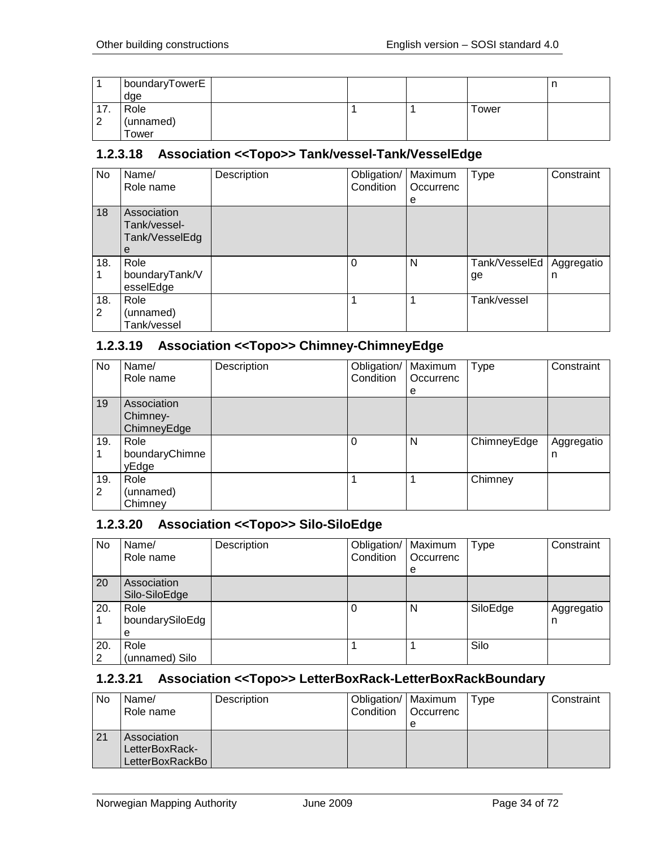|                    | boundaryTowerE |  |       | ш |
|--------------------|----------------|--|-------|---|
|                    | dge            |  |       |   |
| $\rightarrow$<br>. | Role           |  | Tower |   |
| ◠                  | (unnamed)      |  |       |   |
|                    | ower           |  |       |   |

#### <span id="page-33-0"></span>**1.2.3.18 Association <<Topo>> Tank/vessel-Tank/VesselEdge**

| No       | Name/<br>Role name                                 | Description | Obligation/   Maximum<br>Condition | Occurrenc<br>е | Type                | Constraint      |
|----------|----------------------------------------------------|-------------|------------------------------------|----------------|---------------------|-----------------|
| 18       | Association<br>Tank/vessel-<br>Tank/VesselEdg<br>е |             |                                    |                |                     |                 |
| 18.      | Role<br>boundaryTank/V<br>esselEdge                |             | $\Omega$                           | N              | Tank/VesselEd<br>ge | Aggregatio<br>n |
| 18.<br>2 | Role<br>(unnamed)<br>Tank/vessel                   |             |                                    |                | Tank/vessel         |                 |

## <span id="page-33-1"></span>**1.2.3.19 Association <<Topo>> Chimney-ChimneyEdge**

| No       | Name/<br>Role name                     | Description | Obligation/<br>Condition | Maximum<br>Occurrenc<br>е | <b>Type</b> | Constraint      |
|----------|----------------------------------------|-------------|--------------------------|---------------------------|-------------|-----------------|
| 19       | Association<br>Chimney-<br>ChimneyEdge |             |                          |                           |             |                 |
| 19.      | Role<br>boundaryChimne<br>yEdge        |             | 0                        | N                         | ChimneyEdge | Aggregatio<br>n |
| 19.<br>2 | Role<br>(unnamed)<br>Chimney           |             |                          |                           | Chimney     |                 |

#### <span id="page-33-2"></span>**1.2.3.20 Association <<Topo>> Silo-SiloEdge**

| No       | Name/<br>Role name           | Description | Obligation/   Maximum<br>Condition | Occurrenc<br>e | Type     | Constraint      |
|----------|------------------------------|-------------|------------------------------------|----------------|----------|-----------------|
| 20       | Association<br>Silo-SiloEdge |             |                                    |                |          |                 |
| 20.      | Role<br>boundarySiloEdg<br>е |             |                                    | N              | SiloEdge | Aggregatio<br>n |
| 20.<br>2 | Role<br>(unnamed) Silo       |             |                                    |                | Silo     |                 |

#### <span id="page-33-3"></span>**1.2.3.21 Association <<Topo>> LetterBoxRack-LetterBoxRackBoundary**

| No | Name/<br>Role name                               | Description | Obligation/   Maximum<br>Condition | <b>Occurrenc</b><br>е | Type | Constraint |
|----|--------------------------------------------------|-------------|------------------------------------|-----------------------|------|------------|
| 21 | Association<br>LetterBoxRack-<br>LetterBoxRackBo |             |                                    |                       |      |            |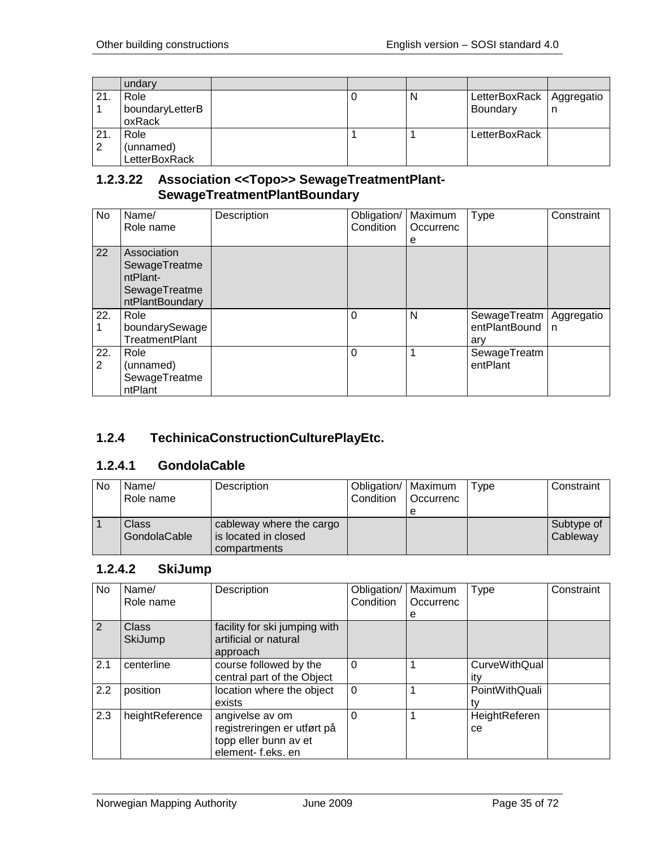|     | undary          |  |   |               |            |
|-----|-----------------|--|---|---------------|------------|
| 21  | Role            |  | N | LetterBoxRack | Aggregatio |
|     | boundaryLetterB |  |   | Boundary      | n          |
|     | oxRack          |  |   |               |            |
| 21. | Role            |  |   | LetterBoxRack |            |
| 2   | (unnamed)       |  |   |               |            |
|     | LetterBoxRack   |  |   |               |            |

#### <span id="page-34-0"></span>**1.2.3.22 Association <<Topo>> SewageTreatmentPlant-SewageTreatmentPlantBoundary**

| <b>No</b> | Name/<br>Role name                                                           | Description | Obligation/<br>Condition | Maximum<br>Occurrenc<br>е | <b>Type</b>                                       | Constraint |
|-----------|------------------------------------------------------------------------------|-------------|--------------------------|---------------------------|---------------------------------------------------|------------|
| 22        | Association<br>SewageTreatme<br>ntPlant-<br>SewageTreatme<br>ntPlantBoundary |             |                          |                           |                                                   |            |
| 22.       | Role<br>boundarySewage<br><b>TreatmentPlant</b>                              |             | 0                        | N                         | SewageTreatm   Aggregatio<br>entPlantBound<br>arv | n          |
| 22.<br>2  | Role<br>(unnamed)<br>SewageTreatme<br>ntPlant                                |             | 0                        |                           | SewageTreatm<br>entPlant                          |            |

# <span id="page-34-1"></span>**1.2.4 TechinicaConstructionCulturePlayEtc.**

#### <span id="page-34-2"></span>**1.2.4.1 GondolaCable**

| l No | Name/<br>Role name    | Description                                                      | Obligation/   Maximum<br>Condition | l Occurrenc | Type | Constraint             |
|------|-----------------------|------------------------------------------------------------------|------------------------------------|-------------|------|------------------------|
|      | Class<br>GondolaCable | cableway where the cargo<br>is located in closed<br>compartments |                                    |             |      | Subtype of<br>Cableway |

#### <span id="page-34-3"></span>**1.2.4.2 SkiJump**

| No  | Name/           | Description                   | Obligation/ | Maximum   | <b>Type</b>    | Constraint |
|-----|-----------------|-------------------------------|-------------|-----------|----------------|------------|
|     | Role name       |                               | Condition   | Occurrenc |                |            |
|     |                 |                               |             | е         |                |            |
| 2   | <b>Class</b>    | facility for ski jumping with |             |           |                |            |
|     | <b>SkiJump</b>  | artificial or natural         |             |           |                |            |
|     |                 | approach                      |             |           |                |            |
| 2.1 | centerline      | course followed by the        | $\Omega$    |           | CurveWithQual  |            |
|     |                 | central part of the Object    |             |           | itv            |            |
| 2.2 | position        | location where the object     | $\Omega$    |           | PointWithQuali |            |
|     |                 | exists                        |             |           | t٧             |            |
| 2.3 | heightReference | angivelse av om               | $\Omega$    |           | HeightReferen  |            |
|     |                 | registreringen er utført på   |             |           | ce             |            |
|     |                 | topp eller bunn av et         |             |           |                |            |
|     |                 | element-f.eks. en             |             |           |                |            |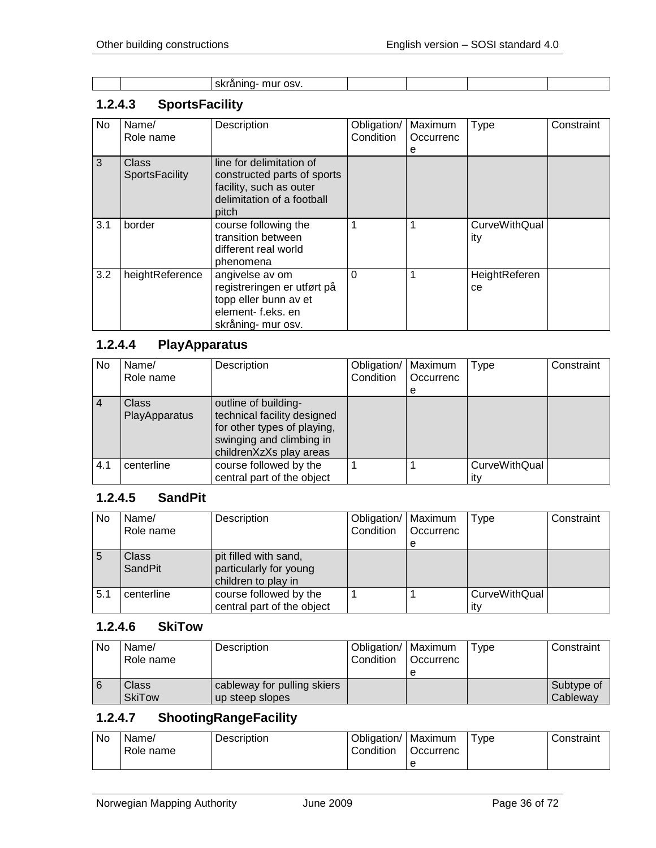| $\sim$<br>. .<br>. .<br>. |  |
|---------------------------|--|
|---------------------------|--|

# <span id="page-35-0"></span>**1.2.4.3 SportsFacility**

| No  | Name/<br>Role name                    | Description                                                                                                               | Obligation/<br>Condition | Maximum<br>Occurrenc | <b>Type</b>                 | Constraint |
|-----|---------------------------------------|---------------------------------------------------------------------------------------------------------------------------|--------------------------|----------------------|-----------------------------|------------|
|     |                                       |                                                                                                                           |                          | е                    |                             |            |
| 3   | <b>Class</b><br><b>SportsFacility</b> | line for delimitation of<br>constructed parts of sports<br>facility, such as outer<br>delimitation of a football<br>pitch |                          |                      |                             |            |
| 3.1 | border                                | course following the<br>transition between<br>different real world<br>phenomena                                           | $\mathbf 1$              |                      | <b>CurveWithQual</b><br>ity |            |
| 3.2 | heightReference                       | angivelse av om<br>registreringen er utført på<br>topp eller bunn av et<br>element-f.eks.en<br>skråning- mur osv.         | $\Omega$                 | 1                    | HeightReferen<br>ce         |            |

# <span id="page-35-1"></span>**1.2.4.4 PlayApparatus**

| No  | Name/<br>Role name            | Description                                                                                                                               | Obligation/<br>Condition | Maximum<br>Occurrenc<br>e | Type                        | Constraint |
|-----|-------------------------------|-------------------------------------------------------------------------------------------------------------------------------------------|--------------------------|---------------------------|-----------------------------|------------|
|     | <b>Class</b><br>PlayApparatus | outline of building-<br>technical facility designed<br>for other types of playing,<br>swinging and climbing in<br>childrenXzXs play areas |                          |                           |                             |            |
| 4.1 | centerline                    | course followed by the<br>central part of the object                                                                                      |                          |                           | <b>CurveWithQual</b><br>itv |            |

## <span id="page-35-2"></span>**1.2.4.5 SandPit**

| <b>No</b> | Name/<br>Role name             | Description                                                            | Obligation/   Maximum<br>Condition | Occurrenc<br>e | Type                        | Constraint |
|-----------|--------------------------------|------------------------------------------------------------------------|------------------------------------|----------------|-----------------------------|------------|
| 5         | <b>Class</b><br><b>SandPit</b> | pit filled with sand,<br>particularly for young<br>children to play in |                                    |                |                             |            |
| 5.1       | centerline                     | course followed by the<br>central part of the object                   |                                    |                | <b>CurveWithQual</b><br>ıtv |            |

#### <span id="page-35-3"></span>**1.2.4.6 SkiTow**

| No | Name/<br>Role name     | Description                                    | Obligation/   Maximum<br>Condition | <b>Occurrenc</b> | Tvpe | Constraint             |
|----|------------------------|------------------------------------------------|------------------------------------|------------------|------|------------------------|
|    | Class<br><b>SkiTow</b> | cableway for pulling skiers<br>up steep slopes |                                    |                  |      | Subtype of<br>Cableway |

# <span id="page-35-4"></span>**1.2.4.7 ShootingRangeFacility**

| No. | Name/<br>Role name | Description | Obligation/<br>Condition | Maximum<br>Occurrenc | Type | Constraint |
|-----|--------------------|-------------|--------------------------|----------------------|------|------------|
|     |                    |             |                          |                      |      |            |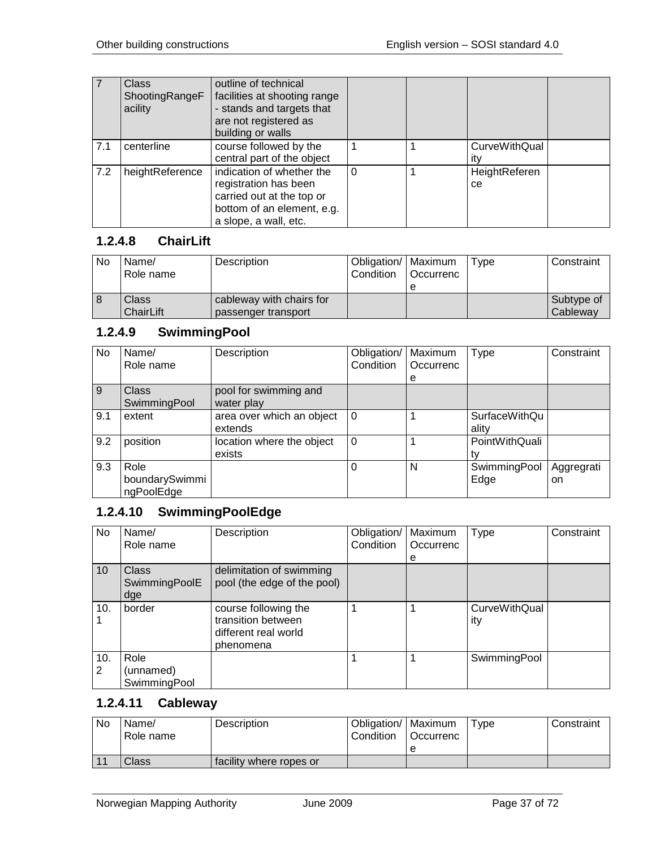|     | <b>Class</b><br>ShootingRangeF<br>acility | outline of technical<br>facilities at shooting range<br>- stands and targets that<br>are not registered as<br>building or walls        |          |                             |  |
|-----|-------------------------------------------|----------------------------------------------------------------------------------------------------------------------------------------|----------|-----------------------------|--|
| 7.1 | centerline                                | course followed by the<br>central part of the object                                                                                   |          | <b>CurveWithQual</b><br>itv |  |
| 7.2 | heightReference                           | indication of whether the<br>registration has been<br>carried out at the top or<br>bottom of an element, e.g.<br>a slope, a wall, etc. | $\Omega$ | HeightReferen<br>ce         |  |

## **1.2.4.8 ChairLift**

| No | Name/<br>Role name        | Description                                     | Obligation/   Maximum<br>Condition | <b>Occurrenc</b> | Type | Constraint             |
|----|---------------------------|-------------------------------------------------|------------------------------------|------------------|------|------------------------|
|    | Class<br><b>ChairLift</b> | cableway with chairs for<br>passenger transport |                                    |                  |      | Subtype of<br>Cableway |

# **1.2.4.9 SwimmingPool**

| No. | Name/<br>Role name                   | Description                          | Obligation/<br>Condition | Maximum<br>Occurrenc<br>e | <b>Type</b>            | Constraint       |
|-----|--------------------------------------|--------------------------------------|--------------------------|---------------------------|------------------------|------------------|
| 9   | <b>Class</b><br>SwimmingPool         | pool for swimming and<br>water play  |                          |                           |                        |                  |
| 9.1 | extent                               | area over which an object<br>extends | $\Omega$                 |                           | SurfaceWithQu<br>ality |                  |
| 9.2 | position                             | location where the object<br>exists  | $\Omega$                 |                           | PointWithQuali<br>tv   |                  |
| 9.3 | Role<br>boundarySwimmi<br>ngPoolEdge |                                      |                          | N                         | SwimmingPool<br>Edge   | Aggregrati<br>on |

## **1.2.4.10 SwimmingPoolEdge**

| No       | Name/<br>Role name                   | Description                                                                     | Obligation/<br>Condition | Maximum<br>Occurrenc | <b>Type</b>                 | Constraint |
|----------|--------------------------------------|---------------------------------------------------------------------------------|--------------------------|----------------------|-----------------------------|------------|
|          |                                      |                                                                                 |                          | е                    |                             |            |
| 10       | <b>Class</b><br>SwimmingPoolE<br>dge | delimitation of swimming<br>pool (the edge of the pool)                         |                          |                      |                             |            |
| 10.      | border                               | course following the<br>transition between<br>different real world<br>phenomena |                          |                      | <b>CurveWithQual</b><br>ity |            |
| 10.<br>2 | Role<br>(unnamed)<br>SwimmingPool    |                                                                                 |                          |                      | SwimmingPool                |            |

# **1.2.4.11 Cableway**

| No. | Name/<br>Role name | Description             | Obligation/   Maximum<br>Condition | Occurrenc | $T$ vpe | Constraint |
|-----|--------------------|-------------------------|------------------------------------|-----------|---------|------------|
|     | Class              | facility where ropes or |                                    |           |         |            |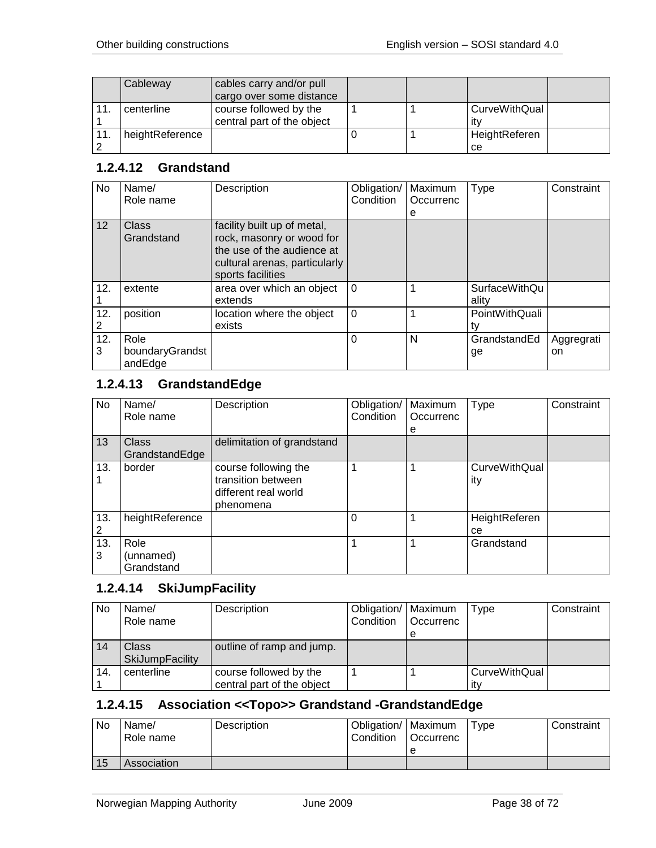|     | Cableway        | cables carry and/or pull<br>cargo over some distance |  |                      |
|-----|-----------------|------------------------------------------------------|--|----------------------|
|     | centerline      | course followed by the<br>central part of the object |  | CurveWithQual<br>itv |
| 11. | heightReference |                                                      |  | HeightReferen<br>ce  |

### **1.2.4.12 Grandstand**

| No.      | Name/<br>Role name                 | Description                                                                                                                                  | Obligation/<br>Condition | Maximum<br>Occurrenc<br>е | <b>Type</b>                   | Constraint       |
|----------|------------------------------------|----------------------------------------------------------------------------------------------------------------------------------------------|--------------------------|---------------------------|-------------------------------|------------------|
| 12       | Class<br>Grandstand                | facility built up of metal,<br>rock, masonry or wood for<br>the use of the audience at<br>cultural arenas, particularly<br>sports facilities |                          |                           |                               |                  |
| 12.      | extente                            | area over which an object<br>extends                                                                                                         | $\Omega$                 |                           | <b>SurfaceWithQu</b><br>ality |                  |
| 12.<br>2 | position                           | location where the object<br>exists                                                                                                          | $\Omega$                 |                           | PointWithQuali                |                  |
| 12.<br>3 | Role<br>boundaryGrandst<br>andEdge |                                                                                                                                              | 0                        | N                         | GrandstandEd<br>ge            | Aggregrati<br>on |

## **1.2.4.13 GrandstandEdge**

| No       | Name/<br>Role name              | Description                                                                     | Obligation/<br>Condition | Maximum<br>Occurrenc<br>е | <b>Type</b>                 | Constraint |
|----------|---------------------------------|---------------------------------------------------------------------------------|--------------------------|---------------------------|-----------------------------|------------|
| 13       | Class<br>GrandstandEdge         | delimitation of grandstand                                                      |                          |                           |                             |            |
| 13.      | border                          | course following the<br>transition between<br>different real world<br>phenomena |                          |                           | <b>CurveWithQual</b><br>ity |            |
| 13.<br>2 | heightReference                 |                                                                                 | 0                        |                           | HeightReferen<br>ce         |            |
| 13.<br>3 | Role<br>(unnamed)<br>Grandstand |                                                                                 |                          |                           | Grandstand                  |            |

### **1.2.4.14 SkiJumpFacility**

| No  | Name/<br>Role name     | Description                | Obligation/   Maximum<br>Condition | Occurrenc | Type                 | Constraint |
|-----|------------------------|----------------------------|------------------------------------|-----------|----------------------|------------|
|     |                        |                            |                                    | е         |                      |            |
| 14  | Class                  | outline of ramp and jump.  |                                    |           |                      |            |
|     | <b>SkiJumpFacility</b> |                            |                                    |           |                      |            |
| 14. | centerline             | course followed by the     |                                    |           | <b>CurveWithQual</b> |            |
|     |                        | central part of the object |                                    |           | itv                  |            |

## **1.2.4.15 Association <<Topo>> Grandstand -GrandstandEdge**

| No. | Name/<br>Role name | Description | Obligation/   Maximum<br>Condition | Occurrenc | Type | Constraint |
|-----|--------------------|-------------|------------------------------------|-----------|------|------------|
|     |                    |             |                                    | е         |      |            |
| 15  | Association        |             |                                    |           |      |            |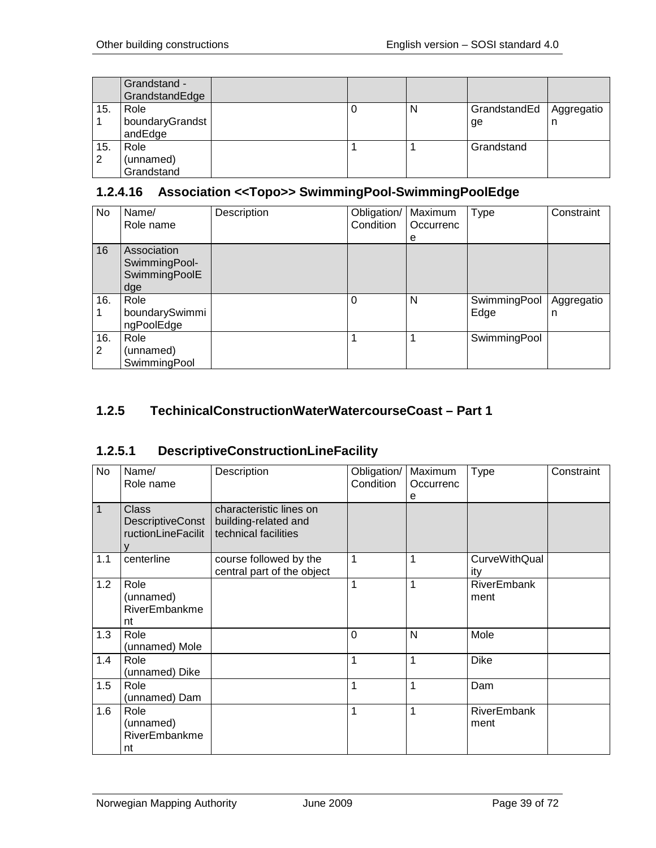|          | Grandstand -<br>GrandstandEdge     |  |   |                    |                 |
|----------|------------------------------------|--|---|--------------------|-----------------|
| 15.      | Role<br>boundaryGrandst<br>andEdge |  | N | GrandstandEd<br>ge | Aggregatio<br>n |
| 15.<br>2 | Role<br>(unnamed)<br>Grandstand    |  |   | Grandstand         |                 |

# **1.2.4.16 Association <<Topo>> SwimmingPool-SwimmingPoolEdge**

| No       | Name/<br>Role name                                   | Description | Obligation/<br>Condition | Maximum<br>Occurrenc<br>е | <b>Type</b>          | Constraint      |
|----------|------------------------------------------------------|-------------|--------------------------|---------------------------|----------------------|-----------------|
| 16       | Association<br>SwimmingPool-<br>SwimmingPoolE<br>dge |             |                          |                           |                      |                 |
| 16.      | Role<br>boundarySwimmi<br>ngPoolEdge                 |             | $\Omega$                 | N                         | SwimmingPool<br>Edge | Aggregatio<br>n |
| 16.<br>2 | Role<br>(unnamed)<br>SwimmingPool                    |             |                          |                           | SwimmingPool         |                 |

## **1.2.5 TechinicalConstructionWaterWatercourseCoast – Part 1**

## **1.2.5.1 DescriptiveConstructionLineFacility**

| No           | Name/<br>Role name                                     | Description                                                             | Obligation/<br>Condition | Maximum<br>Occurrenc<br>е | Type                        | Constraint |
|--------------|--------------------------------------------------------|-------------------------------------------------------------------------|--------------------------|---------------------------|-----------------------------|------------|
| $\mathbf{1}$ | <b>Class</b><br>DescriptiveConst<br>ructionLineFacilit | characteristic lines on<br>building-related and<br>technical facilities |                          |                           |                             |            |
| 1.1          | centerline                                             | course followed by the<br>central part of the object                    | 1                        | 1                         | <b>CurveWithQual</b><br>ity |            |
| 1.2          | Role<br>(unnamed)<br>RiverEmbankme<br>nt               |                                                                         | 1                        | 1                         | <b>RiverEmbank</b><br>ment  |            |
| 1.3          | Role<br>(unnamed) Mole                                 |                                                                         | $\mathbf 0$              | N                         | Mole                        |            |
| 1.4          | Role<br>(unnamed) Dike                                 |                                                                         | 1                        | 1                         | <b>Dike</b>                 |            |
| 1.5          | Role<br>(unnamed) Dam                                  |                                                                         | 1                        | 1                         | Dam                         |            |
| 1.6          | Role<br>(unnamed)<br>RiverEmbankme<br>nt               |                                                                         | 1                        | 1                         | RiverEmbank<br>ment         |            |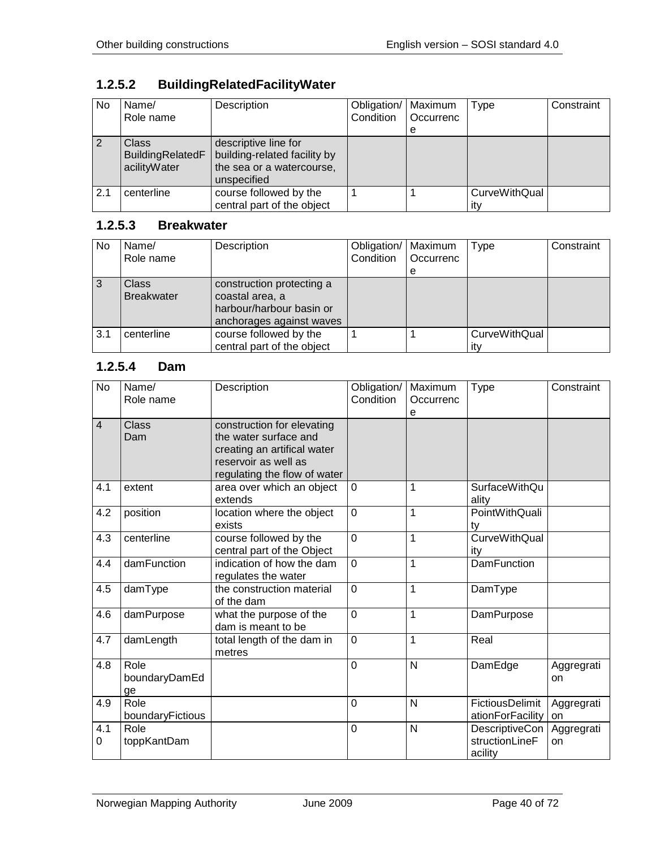# **1.2.5.2 BuildingRelatedFacilityWater**

| No. | Name/<br>Role name                               | Description                                                                                      | Obligation/<br>Condition | Maximum<br>Occurrenc<br>е | Type                        | Constraint |
|-----|--------------------------------------------------|--------------------------------------------------------------------------------------------------|--------------------------|---------------------------|-----------------------------|------------|
|     | <b>Class</b><br>BuildingRelatedF<br>acilityWater | descriptive line for<br>building-related facility by<br>the sea or a watercourse,<br>unspecified |                          |                           |                             |            |
| 2.1 | centerline                                       | course followed by the<br>central part of the object                                             |                          |                           | <b>CurveWithQual</b><br>ıtv |            |

### **1.2.5.3 Breakwater**

| No. | Name/<br>Role name         | Description                                                                                          | Obligation/   Maximum<br>Condition | Occurrenc | <b>Type</b>          | Constraint |
|-----|----------------------------|------------------------------------------------------------------------------------------------------|------------------------------------|-----------|----------------------|------------|
|     |                            |                                                                                                      |                                    | е         |                      |            |
| 3   | Class<br><b>Breakwater</b> | construction protecting a<br>coastal area, a<br>harbour/harbour basin or<br>anchorages against waves |                                    |           |                      |            |
| 3.1 | centerline                 | course followed by the<br>central part of the object                                                 |                                    |           | CurveWithQual<br>itv |            |

### **1.2.5.4 Dam**

| <b>No</b>      | Name/<br>Role name          | Description                                                                                                                                | Obligation/<br>Condition | Maximum<br>Occurrenc<br>e | <b>Type</b>                                 | Constraint       |
|----------------|-----------------------------|--------------------------------------------------------------------------------------------------------------------------------------------|--------------------------|---------------------------|---------------------------------------------|------------------|
| $\overline{4}$ | Class<br>Dam                | construction for elevating<br>the water surface and<br>creating an artifical water<br>reservoir as well as<br>regulating the flow of water |                          |                           |                                             |                  |
| 4.1            | extent                      | area over which an object<br>extends                                                                                                       | $\mathbf 0$              | 1                         | SurfaceWithQu<br>ality                      |                  |
| 4.2            | position                    | location where the object<br>exists                                                                                                        | $\mathbf 0$              | 1                         | PointWithQuali<br>ty                        |                  |
| 4.3            | centerline                  | course followed by the<br>central part of the Object                                                                                       | $\overline{0}$           | $\mathbf{1}$              | <b>CurveWithQual</b><br>ity                 |                  |
| 4.4            | damFunction                 | indication of how the dam<br>regulates the water                                                                                           | $\mathbf 0$              | $\mathbf{1}$              | <b>DamFunction</b>                          |                  |
| 4.5            | damType                     | the construction material<br>of the dam                                                                                                    | $\overline{0}$           | 1                         | DamType                                     |                  |
| 4.6            | damPurpose                  | what the purpose of the<br>dam is meant to be                                                                                              | $\overline{0}$           | $\mathbf{1}$              | DamPurpose                                  |                  |
| 4.7            | damLength                   | total length of the dam in<br>metres                                                                                                       | $\overline{0}$           | $\mathbf{1}$              | Real                                        |                  |
| 4.8            | Role<br>boundaryDamEd<br>ge |                                                                                                                                            | $\mathbf 0$              | N                         | DamEdge                                     | Aggregrati<br>on |
| 4.9            | Role<br>boundaryFictious    |                                                                                                                                            | $\mathbf 0$              | N                         | FictiousDelimit<br>ationForFacility         | Aggregrati<br>on |
| 4.1<br>0       | Role<br>toppKantDam         |                                                                                                                                            | $\mathbf 0$              | $\mathsf{N}$              | DescriptiveCon<br>structionLineF<br>acility | Aggregrati<br>on |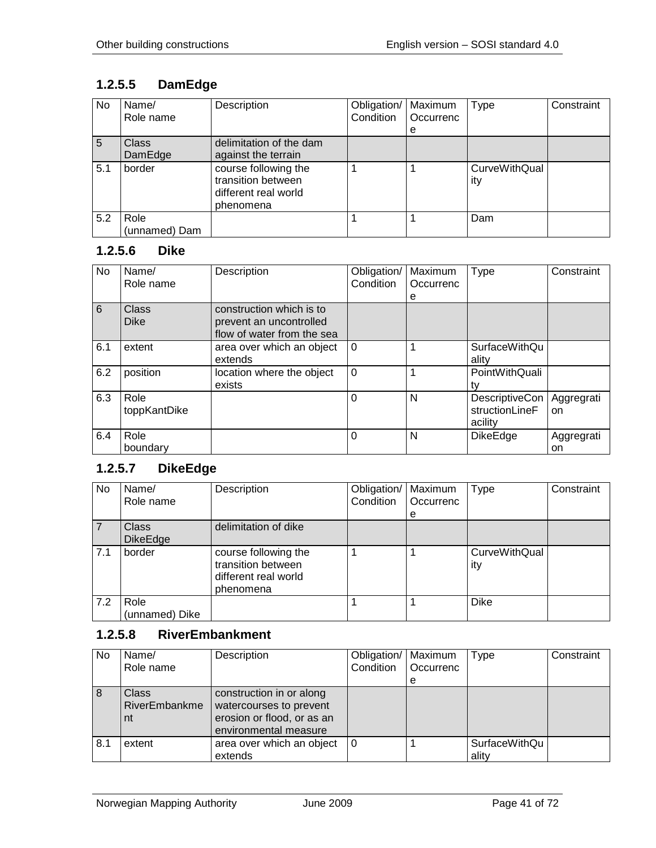# **1.2.5.5 DamEdge**

| No  | Name/<br>Role name      | Description                                                                     | Obligation/<br>Condition | Maximum<br>Occurrenc | Type                        | Constraint |
|-----|-------------------------|---------------------------------------------------------------------------------|--------------------------|----------------------|-----------------------------|------------|
|     |                         |                                                                                 |                          | е                    |                             |            |
| 5   | <b>Class</b><br>DamEdge | delimitation of the dam<br>against the terrain                                  |                          |                      |                             |            |
| 5.1 | border                  | course following the<br>transition between<br>different real world<br>phenomena |                          |                      | <b>CurveWithQual</b><br>itv |            |
| 5.2 | Role<br>(unnamed) Dam   |                                                                                 |                          |                      | Dam                         |            |

#### **1.2.5.6 Dike**

| <b>No</b> | Name/<br>Role name   | Description                                                                       | Obligation/<br>Condition | Maximum<br>Occurrenc | Type                                        | Constraint       |
|-----------|----------------------|-----------------------------------------------------------------------------------|--------------------------|----------------------|---------------------------------------------|------------------|
| 6         | Class<br><b>Dike</b> | construction which is to<br>prevent an uncontrolled<br>flow of water from the sea |                          | е                    |                                             |                  |
| 6.1       | extent               | area over which an object<br>extends                                              | $\Omega$                 |                      | SurfaceWithQu<br>ality                      |                  |
| 6.2       | position             | location where the object<br>exists                                               | $\Omega$                 |                      | PointWithQuali<br>tv                        |                  |
| 6.3       | Role<br>toppKantDike |                                                                                   | $\Omega$                 | N                    | DescriptiveCon<br>structionLineF<br>acility | Aggregrati<br>on |
| 6.4       | Role<br>boundary     |                                                                                   | $\Omega$                 | N                    | <b>DikeEdge</b>                             | Aggregrati<br>on |

# **1.2.5.7 DikeEdge**

| No  | Name/<br>Role name              | Description                                                                     | Obligation/<br>Condition | Maximum<br>Occurrenc<br>e | <b>Type</b>          | Constraint |
|-----|---------------------------------|---------------------------------------------------------------------------------|--------------------------|---------------------------|----------------------|------------|
|     | <b>Class</b><br><b>DikeEdge</b> | delimitation of dike                                                            |                          |                           |                      |            |
| 7.1 | border                          | course following the<br>transition between<br>different real world<br>phenomena |                          |                           | CurveWithQual<br>ity |            |
| 7.2 | Role<br>(unnamed) Dike          |                                                                                 |                          |                           | <b>Dike</b>          |            |

## **1.2.5.8 RiverEmbankment**

| No. | Name/<br>Role name                  | Description                                                                                                | Obligation/<br>Condition | Maximum<br>Occurrenc<br>e | <b>Type</b>                   | Constraint |
|-----|-------------------------------------|------------------------------------------------------------------------------------------------------------|--------------------------|---------------------------|-------------------------------|------------|
| 8   | <b>Class</b><br>RiverEmbankme<br>nt | construction in or along<br>watercourses to prevent<br>erosion or flood, or as an<br>environmental measure |                          |                           |                               |            |
| 8.1 | extent                              | area over which an object<br>extends                                                                       | 0                        |                           | <b>SurfaceWithQu</b><br>ality |            |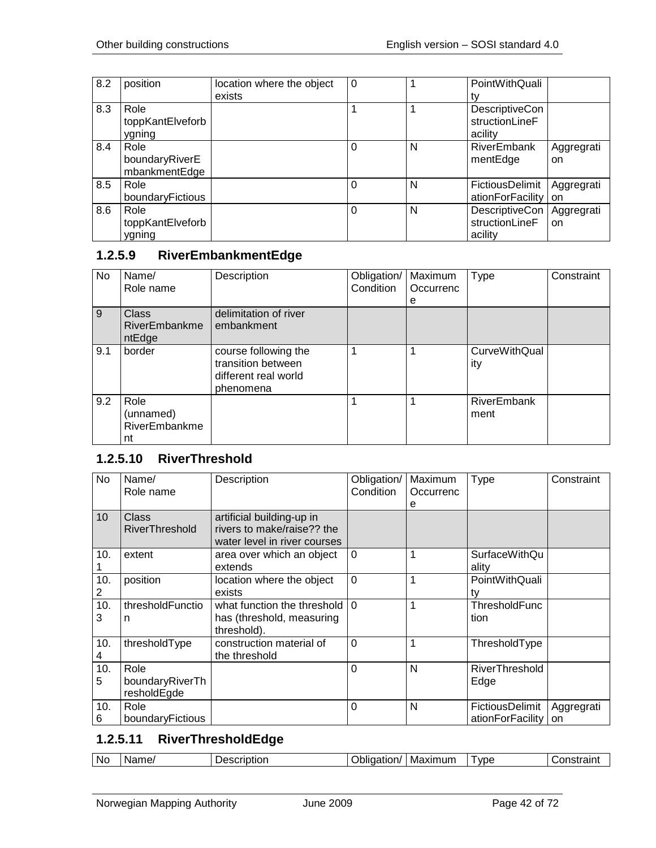| 8.2 | position         | location where the object | 0 |   | PointWithQuali   |            |
|-----|------------------|---------------------------|---|---|------------------|------------|
|     |                  | exists                    |   |   | t٧               |            |
| 8.3 | Role             |                           |   |   | DescriptiveCon   |            |
|     | toppKantElveforb |                           |   |   | structionLineF   |            |
|     | ygning           |                           |   |   | acility          |            |
| 8.4 | Role             |                           | 0 | N | RiverEmbank      | Aggregrati |
|     | boundaryRiverE   |                           |   |   | mentEdge         | on         |
|     | mbankmentEdge    |                           |   |   |                  |            |
| 8.5 | Role             |                           |   | N | FictiousDelimit  | Aggregrati |
|     | boundaryFictious |                           |   |   | ationForFacility | on         |
| 8.6 | Role             |                           | 0 | N | DescriptiveCon   | Aggregrati |
|     | toppKantElveforb |                           |   |   | structionLineF   | on         |
|     | ygning           |                           |   |   | acility          |            |

# **1.2.5.9 RiverEmbankmentEdge**

| <b>No</b>      | Name/<br>Role name                       | Description                                                                     | Obligation/<br>Condition | Maximum<br>Occurrenc<br>e | Type                 | Constraint |
|----------------|------------------------------------------|---------------------------------------------------------------------------------|--------------------------|---------------------------|----------------------|------------|
| $\overline{9}$ | <b>Class</b><br>RiverEmbankme<br>ntEdge  | delimitation of river<br>embankment                                             |                          |                           |                      |            |
| 9.1            | border                                   | course following the<br>transition between<br>different real world<br>phenomena |                          |                           | CurveWithQual<br>ity |            |
| 9.2            | Role<br>(unnamed)<br>RiverEmbankme<br>nt |                                                                                 |                          |                           | RiverEmbank<br>ment  |            |

## **1.2.5.10 RiverThreshold**

| No                    | Name/<br>Role name                     | Description                                                                             | Obligation/<br>Condition | Maximum<br>Occurrenc<br>е | <b>Type</b>                         | Constraint              |
|-----------------------|----------------------------------------|-----------------------------------------------------------------------------------------|--------------------------|---------------------------|-------------------------------------|-------------------------|
| 10                    | Class<br><b>RiverThreshold</b>         | artificial building-up in<br>rivers to make/raise?? the<br>water level in river courses |                          |                           |                                     |                         |
| 10.                   | extent                                 | area over which an object<br>extends                                                    | $\Omega$                 | 1                         | SurfaceWithQu<br>ality              |                         |
| 10.<br>$\overline{2}$ | position                               | location where the object<br>exists                                                     | $\mathbf 0$              | 1                         | PointWithQuali<br>tv                |                         |
| 10.<br>3              | thresholdFunctio<br>n                  | what function the threshold<br>has (threshold, measuring<br>threshold).                 | $\Omega$                 | 1                         | ThresholdFunc<br>tion               |                         |
| 10.<br>4              | thresholdType                          | construction material of<br>the threshold                                               | $\Omega$                 | 1                         | ThresholdType                       |                         |
| 10.<br>5              | Role<br>boundaryRiverTh<br>resholdEgde |                                                                                         | $\Omega$                 | N                         | RiverThreshold<br>Edge              |                         |
| 10.<br>6              | Role<br>boundaryFictious               |                                                                                         | $\Omega$                 | N                         | FictiousDelimit<br>ationForFacility | Aggregrati<br><b>on</b> |

## **1.2.5.11 RiverThresholdEdge**

| Maximum<br>vpe<br>`∩netrain<br>Name.<br><b>No</b><br>. <b>.</b><br>scriptior<br>.<br>tion/<br>185<br>יימו<br>пәс<br>. ан н |
|----------------------------------------------------------------------------------------------------------------------------|
|----------------------------------------------------------------------------------------------------------------------------|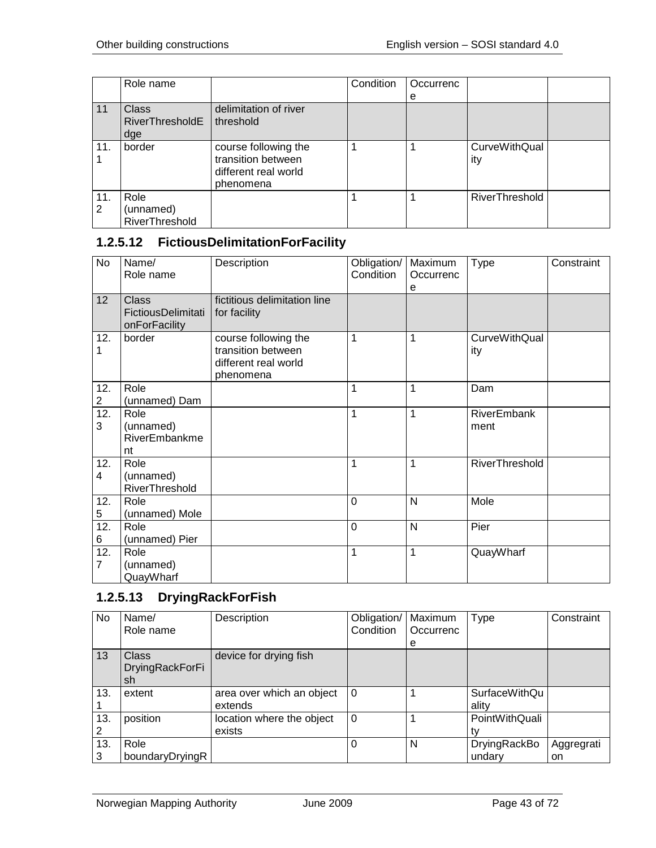|     | Role name              |                       | Condition | Occurrenc |                       |  |
|-----|------------------------|-----------------------|-----------|-----------|-----------------------|--|
|     |                        |                       |           | e         |                       |  |
| 11  | <b>Class</b>           | delimitation of river |           |           |                       |  |
|     | <b>RiverThresholdE</b> | threshold             |           |           |                       |  |
|     | dge                    |                       |           |           |                       |  |
| 11. | border                 | course following the  |           |           | <b>CurveWithQual</b>  |  |
|     |                        | transition between    |           |           | ity                   |  |
|     |                        | different real world  |           |           |                       |  |
|     |                        | phenomena             |           |           |                       |  |
| 11. | Role                   |                       |           |           | <b>RiverThreshold</b> |  |
| 2   | (unnamed)              |                       |           |           |                       |  |
|     | RiverThreshold         |                       |           |           |                       |  |

## **1.2.5.12 FictiousDelimitationForFacility**

| $\overline{N}$        | Name/<br>Role name                                  | Description                                                                     | Obligation/<br>Condition | Maximum<br>Occurrenc<br>е | <b>Type</b>                 | Constraint |
|-----------------------|-----------------------------------------------------|---------------------------------------------------------------------------------|--------------------------|---------------------------|-----------------------------|------------|
| 12                    | <b>Class</b><br>FictiousDelimitati<br>onForFacility | fictitious delimitation line<br>for facility                                    |                          |                           |                             |            |
| 12.<br>1              | border                                              | course following the<br>transition between<br>different real world<br>phenomena | 1                        | 1                         | <b>CurveWithQual</b><br>ity |            |
| 12.                   | Role                                                |                                                                                 | 1                        | 1                         | Dam                         |            |
| $\overline{c}$        | (unnamed) Dam                                       |                                                                                 |                          |                           |                             |            |
| 12.<br>3              | Role<br>(unnamed)<br>RiverEmbankme<br>nt            |                                                                                 | 1                        | $\mathbf{1}$              | <b>RiverEmbank</b><br>ment  |            |
| 12.<br>4              | Role<br>(unnamed)<br>RiverThreshold                 |                                                                                 | 1                        | 1                         | RiverThreshold              |            |
| 12.<br>5              | Role<br>(unnamed) Mole                              |                                                                                 | $\mathbf 0$              | N                         | Mole                        |            |
| 12.<br>6              | Role<br>(unnamed) Pier                              |                                                                                 | $\overline{0}$           | N                         | Pier                        |            |
| 12.<br>$\overline{7}$ | Role<br>(unnamed)<br>QuayWharf                      |                                                                                 | 1                        | 1                         | QuayWharf                   |            |

# **1.2.5.13 DryingRackForFish**

| No  | Name/           | Description               | Obligation/ | Maximum   | Type           | Constraint |
|-----|-----------------|---------------------------|-------------|-----------|----------------|------------|
|     | Role name       |                           | Condition   | Occurrenc |                |            |
|     |                 |                           |             | e         |                |            |
| 13  | <b>Class</b>    | device for drying fish    |             |           |                |            |
|     | DryingRackForFi |                           |             |           |                |            |
|     | sh              |                           |             |           |                |            |
| 13. | extent          | area over which an object | $\Omega$    |           | SurfaceWithQu  |            |
|     |                 | extends                   |             |           | ality          |            |
| 13. | position        | location where the object | $\Omega$    |           | PointWithQuali |            |
| 2   |                 | exists                    |             |           |                |            |
| 13. | Role            |                           | $\Omega$    | N         | DryingRackBo   | Aggregrati |
| 3   | boundaryDryingR |                           |             |           | undary         | on         |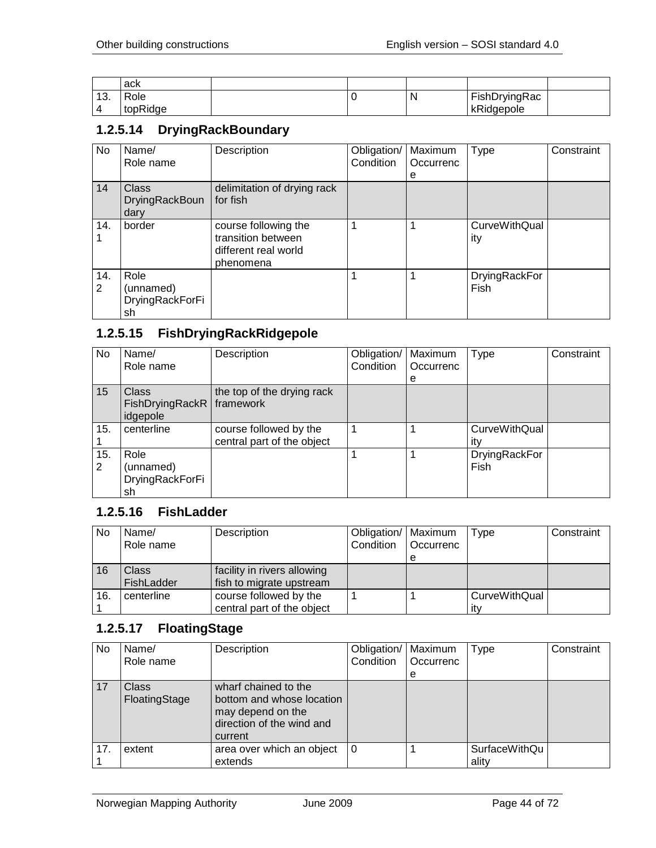|                   | ack      |  |   |               |  |
|-------------------|----------|--|---|---------------|--|
| $\sqrt{2}$<br>. ب | Role     |  | N | FishDryingRac |  |
|                   | topRidge |  |   | kRidgepole    |  |

### **1.2.5.14 DryingRackBoundary**

| No       | Name/<br>Role name                            | Description                                                                     | Obligation/<br>Condition | Maximum<br>Occurrenc<br>е | <b>Type</b>                 | Constraint |
|----------|-----------------------------------------------|---------------------------------------------------------------------------------|--------------------------|---------------------------|-----------------------------|------------|
| 14       | <b>Class</b><br><b>DryingRackBoun</b><br>dary | delimitation of drying rack<br>for fish                                         |                          |                           |                             |            |
| 14.      | border                                        | course following the<br>transition between<br>different real world<br>phenomena |                          |                           | <b>CurveWithQual</b><br>ity |            |
| 14.<br>2 | Role<br>(unnamed)<br>DryingRackForFi<br>sh    |                                                                                 |                          |                           | DryingRackFor<br>Fish       |            |

## **1.2.5.15 FishDryingRackRidgepole**

| No.      | Name/<br>Role name                                      | Description                                          | Obligation/<br>Condition | Maximum<br>Occurrenc<br>е | Type                        | Constraint |
|----------|---------------------------------------------------------|------------------------------------------------------|--------------------------|---------------------------|-----------------------------|------------|
| 15       | <b>Class</b><br>FishDryingRackR   framework<br>idgepole | the top of the drying rack                           |                          |                           |                             |            |
| 15.      | centerline                                              | course followed by the<br>central part of the object |                          |                           | <b>CurveWithQual</b><br>itv |            |
| 15.<br>2 | Role<br>(unnamed)<br>DryingRackForFi<br>sh              |                                                      |                          |                           | DryingRackFor<br>Fish       |            |

#### **1.2.5.16 FishLadder**

| No  | Name/<br>Role name  | Description                                             | Obligation/   Maximum<br>Condition | Occurrenc<br>е | Type                 | Constraint |
|-----|---------------------|---------------------------------------------------------|------------------------------------|----------------|----------------------|------------|
| 16  | Class<br>FishLadder | facility in rivers allowing<br>fish to migrate upstream |                                    |                |                      |            |
| 16. | centerline          | course followed by the<br>central part of the object    |                                    |                | CurveWithQual<br>ıtv |            |

## **1.2.5.17 FloatingStage**

| No. | Name/<br>Role name            | Description                                                                                                    | Obligation/<br>Condition | Maximum<br>Occurrenc<br>е | <b>Type</b>                   | Constraint |
|-----|-------------------------------|----------------------------------------------------------------------------------------------------------------|--------------------------|---------------------------|-------------------------------|------------|
| 17  | <b>Class</b><br>FloatingStage | wharf chained to the<br>bottom and whose location<br>may depend on the<br>direction of the wind and<br>current |                          |                           |                               |            |
| 17. | extent                        | area over which an object<br>extends                                                                           | $\Omega$                 |                           | <b>SurfaceWithQu</b><br>ality |            |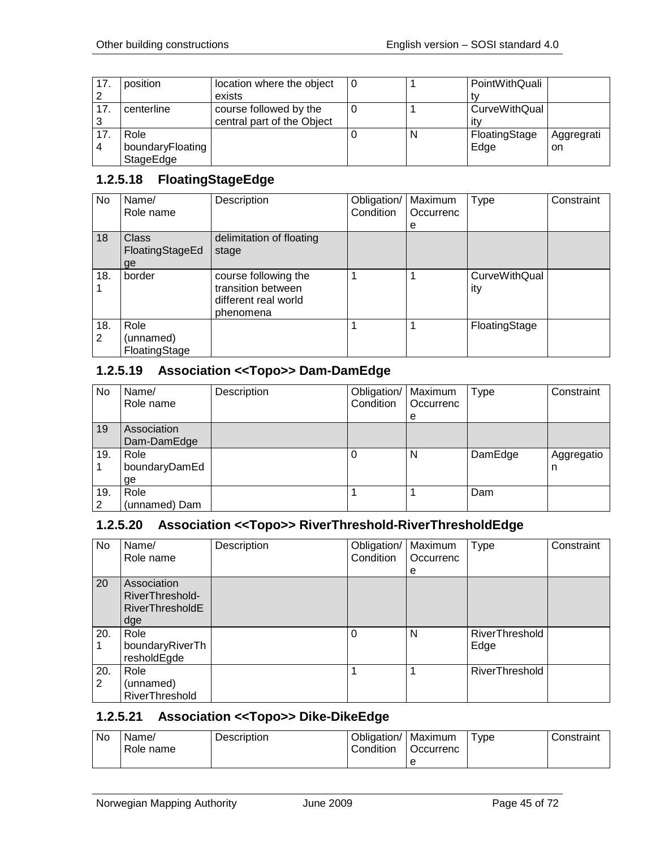| 17.            | position         | location where the object  |   | PointWithQuali |            |
|----------------|------------------|----------------------------|---|----------------|------------|
| $\overline{2}$ |                  | exists                     |   |                |            |
| 17.            | centerline       | course followed by the     |   | CurveWithQual  |            |
| -3             |                  | central part of the Object |   | itv            |            |
| 17             | Role             |                            | N | FloatingStage  | Aggregrati |
| $\overline{4}$ | boundaryFloating |                            |   | Edge           | on.        |
|                | StageEdge        |                            |   |                |            |

## **1.2.5.18 FloatingStageEdge**

| No.      | Name/<br>Role name                    | Description                                                                     | Obligation/<br>Condition | Maximum<br>Occurrenc | Type                        | Constraint |
|----------|---------------------------------------|---------------------------------------------------------------------------------|--------------------------|----------------------|-----------------------------|------------|
| 18       | <b>Class</b><br>FloatingStageEd<br>ge | delimitation of floating<br>stage                                               |                          | е                    |                             |            |
| 18.      | border                                | course following the<br>transition between<br>different real world<br>phenomena | 1                        | 1                    | <b>CurveWithQual</b><br>ity |            |
| 18.<br>2 | Role<br>(unnamed)<br>FloatingStage    |                                                                                 |                          |                      | FloatingStage               |            |

## **1.2.5.19 Association <<Topo>> Dam-DamEdge**

| No       | Name/<br>Role name          | Description | Obligation/   Maximum<br>Condition | Occurrenc<br>e | Type    | Constraint      |
|----------|-----------------------------|-------------|------------------------------------|----------------|---------|-----------------|
| 19       | Association<br>Dam-DamEdge  |             |                                    |                |         |                 |
| 19.      | Role<br>boundaryDamEd<br>ge |             |                                    | N              | DamEdge | Aggregatio<br>n |
| 19.<br>2 | Role<br>(unnamed) Dam       |             |                                    |                | Dam     |                 |

## **1.2.5.20 Association <<Topo>> RiverThreshold-RiverThresholdEdge**

| No  | Name/                  | Description | Obligation/ | Maximum   | <b>Type</b>    | Constraint |
|-----|------------------------|-------------|-------------|-----------|----------------|------------|
|     | Role name              |             | Condition   | Occurrenc |                |            |
|     |                        |             |             | е         |                |            |
| 20  | Association            |             |             |           |                |            |
|     | RiverThreshold-        |             |             |           |                |            |
|     | <b>RiverThresholdE</b> |             |             |           |                |            |
|     | dge                    |             |             |           |                |            |
| 20. | Role                   |             | 0           | N         | RiverThreshold |            |
|     | boundaryRiverTh        |             |             |           | Edge           |            |
|     | resholdEgde            |             |             |           |                |            |
| 20. | Role                   |             |             |           | RiverThreshold |            |
| 2   | (unnamed)              |             |             |           |                |            |
|     | RiverThreshold         |             |             |           |                |            |

## **1.2.5.21 Association <<Topo>> Dike-DikeEdge**

| No. | Name/<br>Role name | <b>Description</b> | Obligation/<br>Condition | '   Maximum<br>Occurrenc | vpe <sup>-</sup> | Constraint |
|-----|--------------------|--------------------|--------------------------|--------------------------|------------------|------------|
|     |                    |                    |                          |                          |                  |            |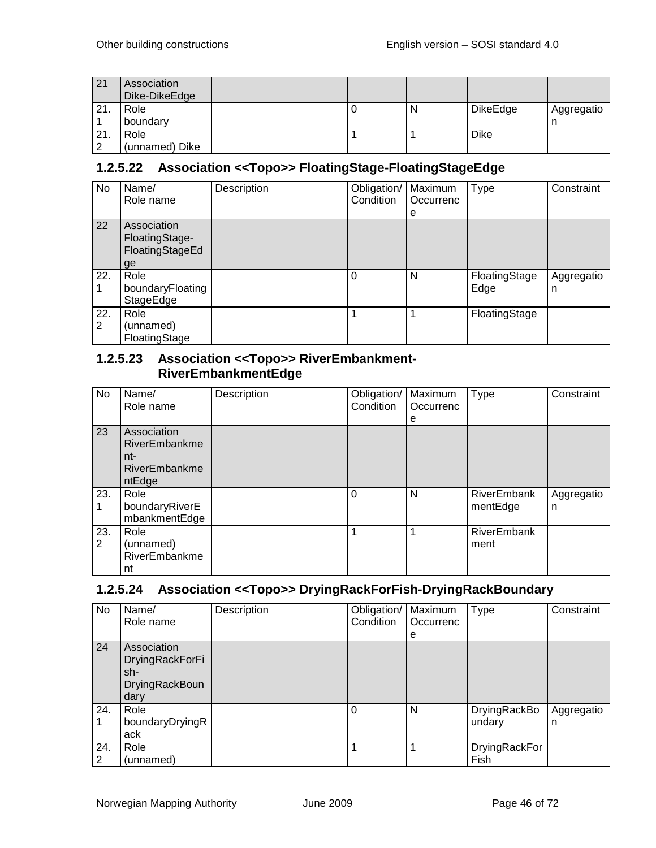| 21  | Association<br>Dike-DikeEdge |  |   |                 |                 |
|-----|------------------------------|--|---|-----------------|-----------------|
| 21. | Role<br>boundary             |  | N | <b>DikeEdge</b> | Aggregatio<br>n |
| 21. | Role                         |  |   | Dike            |                 |
| ົ   | (unnamed) Dike               |  |   |                 |                 |

## **1.2.5.22 Association <<Topo>> FloatingStage-FloatingStageEdge**

| No  | Name/            | Description | Obligation/ | Maximum   | Type          | Constraint |
|-----|------------------|-------------|-------------|-----------|---------------|------------|
|     | Role name        |             | Condition   | Occurrenc |               |            |
|     |                  |             |             | e         |               |            |
| 22  | Association      |             |             |           |               |            |
|     | FloatingStage-   |             |             |           |               |            |
|     | FloatingStageEd  |             |             |           |               |            |
|     | ge               |             |             |           |               |            |
| 22. | Role             |             | $\Omega$    | N         | FloatingStage | Aggregatio |
|     | boundaryFloating |             |             |           | Edge          | n          |
|     | StageEdge        |             |             |           |               |            |
| 22. | Role             |             |             |           | FloatingStage |            |
| 2   | (unnamed)        |             |             |           |               |            |
|     | FloatingStage    |             |             |           |               |            |

#### **1.2.5.23 Association <<Topo>> RiverEmbankment-RiverEmbankmentEdge**

| No                    | Name/<br>Role name                                             | Description | Obligation/<br>Condition | Maximum<br>Occurrenc<br>е | Type                           | Constraint      |
|-----------------------|----------------------------------------------------------------|-------------|--------------------------|---------------------------|--------------------------------|-----------------|
| 23                    | Association<br>RiverEmbankme<br>nt-<br>RiverEmbankme<br>ntEdge |             |                          |                           |                                |                 |
| 23.                   | Role<br>boundaryRiverE<br>mbankmentEdge                        |             | 0                        | N                         | <b>RiverEmbank</b><br>mentEdge | Aggregatio<br>n |
| 23.<br>$\overline{2}$ | Role<br>(unnamed)<br>RiverEmbankme<br>nt                       |             |                          |                           | <b>RiverEmbank</b><br>ment     |                 |

#### **1.2.5.24 Association <<Topo>> DryingRackForFish-DryingRackBoundary**

| No.      | Name/<br>Role name                                                     | Description | Obligation/<br>Condition | Maximum<br>Occurrenc<br>e | <b>Type</b>            | Constraint      |
|----------|------------------------------------------------------------------------|-------------|--------------------------|---------------------------|------------------------|-----------------|
| 24       | Association<br>DryingRackForFi<br>sh-<br><b>DryingRackBoun</b><br>dary |             |                          |                           |                        |                 |
| 24.      | Role<br>boundaryDryingR<br>ack                                         |             | $\Omega$                 | N                         | DryingRackBo<br>undary | Aggregatio<br>n |
| 24.<br>2 | Role<br>(unnamed)                                                      |             |                          |                           | DryingRackFor<br>Fish  |                 |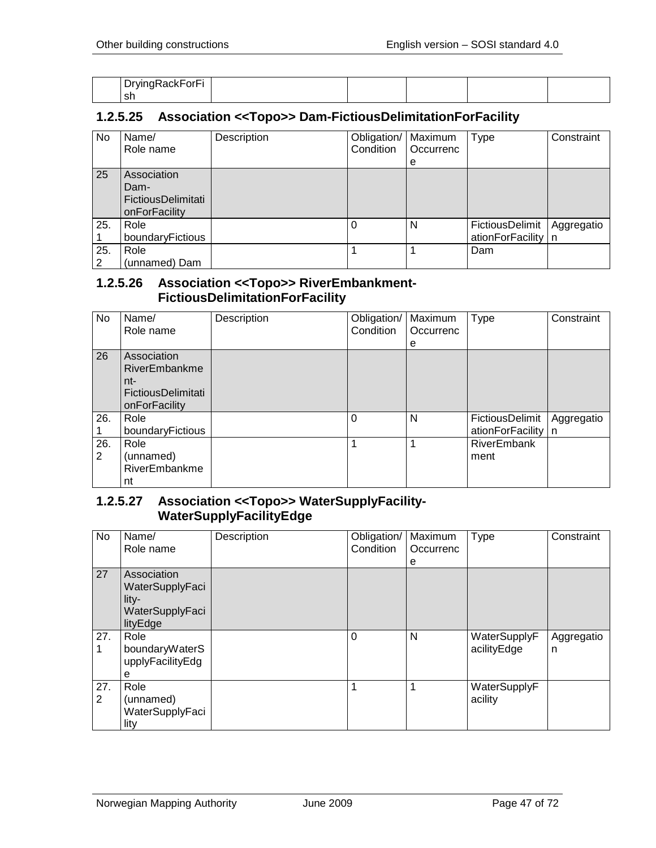| -<br>-<br>$\mathbf{r}$<br>-orn.<br>ັ<br>$   -$<br>$\sim$ |  |  |  |
|----------------------------------------------------------|--|--|--|
| ' sh                                                     |  |  |  |

### **1.2.5.25 Association <<Topo>> Dam-FictiousDelimitationForFacility**

| No       | Name/<br>Role name                                         | Description | Obligation/<br>Condition | Maximum<br>Occurrenc<br>e | <b>Type</b>                             | Constraint |
|----------|------------------------------------------------------------|-------------|--------------------------|---------------------------|-----------------------------------------|------------|
| 25       | Association<br>Dam-<br>FictiousDelimitati<br>onForFacility |             |                          |                           |                                         |            |
| 25.      | Role<br>boundaryFictious                                   |             | $\Omega$                 | N                         | FictiousDelimit<br>ationForFacility   n | Aggregatio |
| 25.<br>2 | Role<br>(unnamed) Dam                                      |             |                          |                           | Dam                                     |            |

#### **1.2.5.26 Association <<Topo>> RiverEmbankment-FictiousDelimitationForFacility**

| No       | Name/<br>Role name                                                         | Description | Obligation/<br>Condition | Maximum<br>Occurrenc<br>е | Type                                | Constraint        |
|----------|----------------------------------------------------------------------------|-------------|--------------------------|---------------------------|-------------------------------------|-------------------|
| 26       | Association<br>RiverEmbankme<br>nt-<br>FictiousDelimitati<br>onForFacility |             |                          |                           |                                     |                   |
| 26.      | Role<br>boundaryFictious                                                   |             | 0                        | N                         | FictiousDelimit<br>ationForFacility | Aggregatio<br>l n |
| 26.<br>2 | Role<br>(unnamed)<br>RiverEmbankme<br>nt                                   |             |                          |                           | <b>RiverEmbank</b><br>ment          |                   |

#### **1.2.5.27 Association <<Topo>> WaterSupplyFacility-WaterSupplyFacilityEdge**

| <b>No</b> | Name/<br>Role name                                                       | Description | Obligation/<br>Condition | Maximum<br>Occurrenc<br>е | Type                        | Constraint      |
|-----------|--------------------------------------------------------------------------|-------------|--------------------------|---------------------------|-----------------------------|-----------------|
| 27        | Association<br>WaterSupplyFaci<br>$litv-$<br>WaterSupplyFaci<br>lityEdge |             |                          |                           |                             |                 |
| 27.<br>1  | Role<br>boundaryWaterS<br>upplyFacilityEdg<br>e                          |             | $\Omega$                 | N                         | WaterSupplyF<br>acilityEdge | Aggregatio<br>n |
| 27.<br>2  | Role<br>(unnamed)<br>WaterSupplyFaci<br>lity                             |             |                          |                           | WaterSupplyF<br>acility     |                 |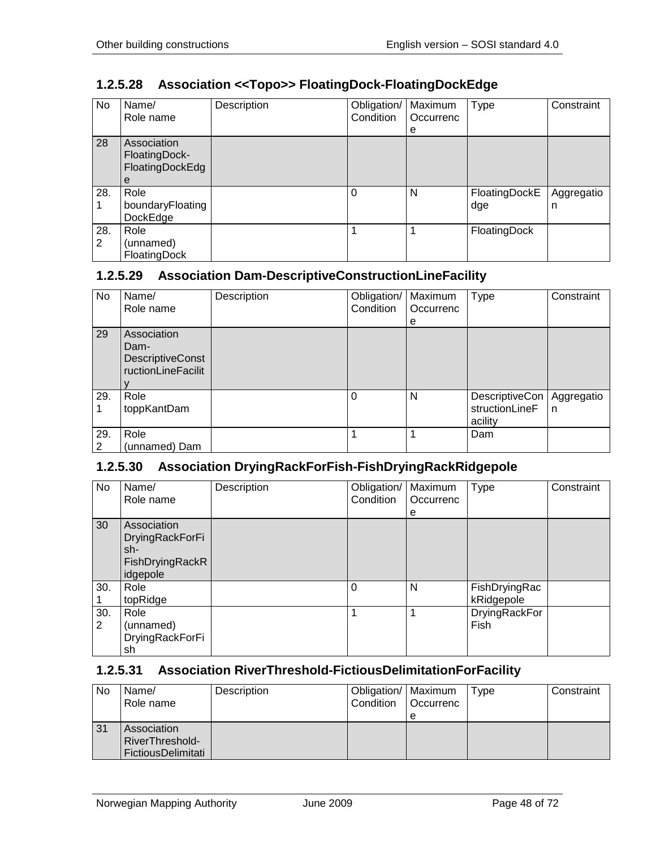| No       | Name/<br>Role name                                   | Description | Obligation/<br>Condition | Maximum<br>Occurrenc<br>е | <b>Type</b>          | Constraint      |
|----------|------------------------------------------------------|-------------|--------------------------|---------------------------|----------------------|-----------------|
| 28       | Association<br>FloatingDock-<br>FloatingDockEdg<br>е |             |                          |                           |                      |                 |
| 28.      | Role<br>boundaryFloating<br>DockEdge                 |             | $\Omega$                 | N                         | FloatingDockE<br>dge | Aggregatio<br>n |
| 28.<br>2 | Role<br>(unnamed)<br>FloatingDock                    |             |                          |                           | FloatingDock         |                 |

## **1.2.5.28 Association <<Topo>> FloatingDock-FloatingDockEdge**

## **1.2.5.29 Association Dam-DescriptiveConstructionLineFacility**

| No       | Name/<br>Role name                                            | Description | Obligation/<br>Condition | Maximum<br>Occurrenc<br>е | <b>Type</b>                                   | Constraint      |
|----------|---------------------------------------------------------------|-------------|--------------------------|---------------------------|-----------------------------------------------|-----------------|
| 29       | Association<br>Dam-<br>DescriptiveConst<br>ructionLineFacilit |             |                          |                           |                                               |                 |
| 29.      | Role<br>toppKantDam                                           |             | $\Omega$                 | N                         | DescriptiveCon  <br>structionLineF<br>acility | Aggregatio<br>n |
| 29.<br>2 | Role<br>(unnamed) Dam                                         |             | 1                        |                           | Dam                                           |                 |

## **1.2.5.30 Association DryingRackForFish-FishDryingRackRidgepole**

| <b>No</b> | Name/<br>Role name                                                          | Description | Obligation/   Maximum<br>Condition | Occurrenc<br>е | <b>Type</b>                 | Constraint |
|-----------|-----------------------------------------------------------------------------|-------------|------------------------------------|----------------|-----------------------------|------------|
| 30        | Association<br><b>DryingRackForFi</b><br>sh-<br>FishDryingRackR<br>idgepole |             |                                    |                |                             |            |
| 30.       | Role<br>topRidge                                                            |             | $\Omega$                           | N              | FishDryingRac<br>kRidgepole |            |
| 30.<br>2  | Role<br>(unnamed)<br>DryingRackForFi<br>sh                                  |             | 1                                  | 1              | DryingRackFor<br>Fish       |            |

## **1.2.5.31 Association RiverThreshold-FictiousDelimitationForFacility**

| No | Name/<br>Role name | Description | Obligation/   Maximum<br>Condition | l Occurrenc | Type | Constraint |
|----|--------------------|-------------|------------------------------------|-------------|------|------------|
|    |                    |             |                                    | е           |      |            |
| 31 | Association        |             |                                    |             |      |            |
|    | RiverThreshold-    |             |                                    |             |      |            |
|    | FictiousDelimitati |             |                                    |             |      |            |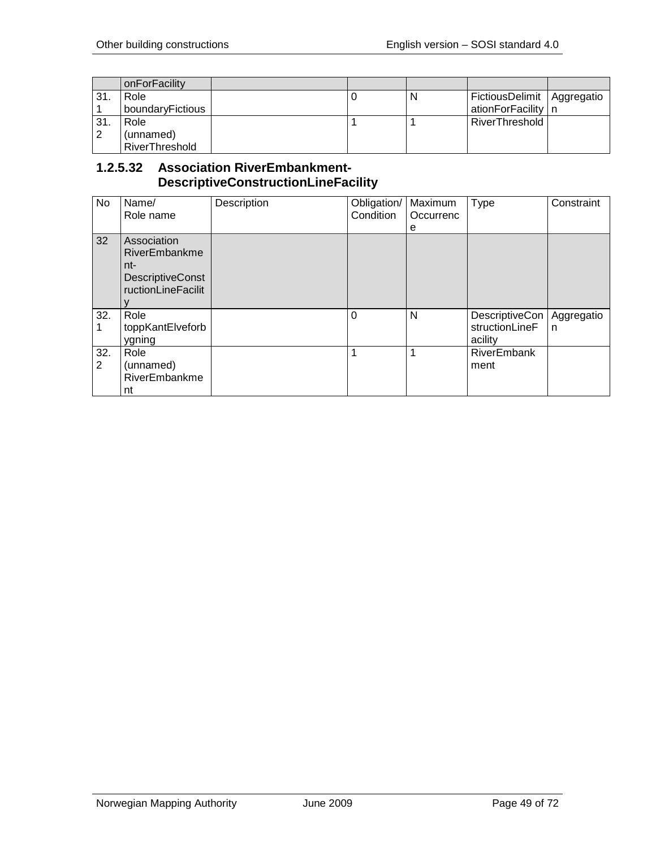|     | onForFacility    |  |   |                              |  |
|-----|------------------|--|---|------------------------------|--|
| 31. | Role             |  | N | FictiousDelimit   Aggregatio |  |
|     | boundaryFictious |  |   | ationForFacility   n         |  |
| 31. | Role             |  |   | RiverThreshold               |  |
| 2   | (unnamed)        |  |   |                              |  |
|     | RiverThreshold   |  |   |                              |  |

## **1.2.5.32 Association RiverEmbankment-DescriptiveConstructionLineFacility**

| No                    | Name/<br>Role name                                                                   | Description | Obligation/<br>Condition | Maximum<br>Occurrenc<br>e | <b>Type</b>                                 | Constraint      |
|-----------------------|--------------------------------------------------------------------------------------|-------------|--------------------------|---------------------------|---------------------------------------------|-----------------|
| 32                    | Association<br>RiverEmbankme<br>nt-<br><b>DescriptiveConst</b><br>ructionLineFacilit |             |                          |                           |                                             |                 |
| 32.                   | Role<br>toppKantElveforb<br>ygning                                                   |             | $\Omega$                 | N                         | DescriptiveCon<br>structionLineF<br>acility | Aggregatio<br>n |
| 32.<br>$\overline{2}$ | Role<br>(unnamed)<br>RiverEmbankme<br>nt                                             |             | 1                        | 1                         | RiverEmbank<br>ment                         |                 |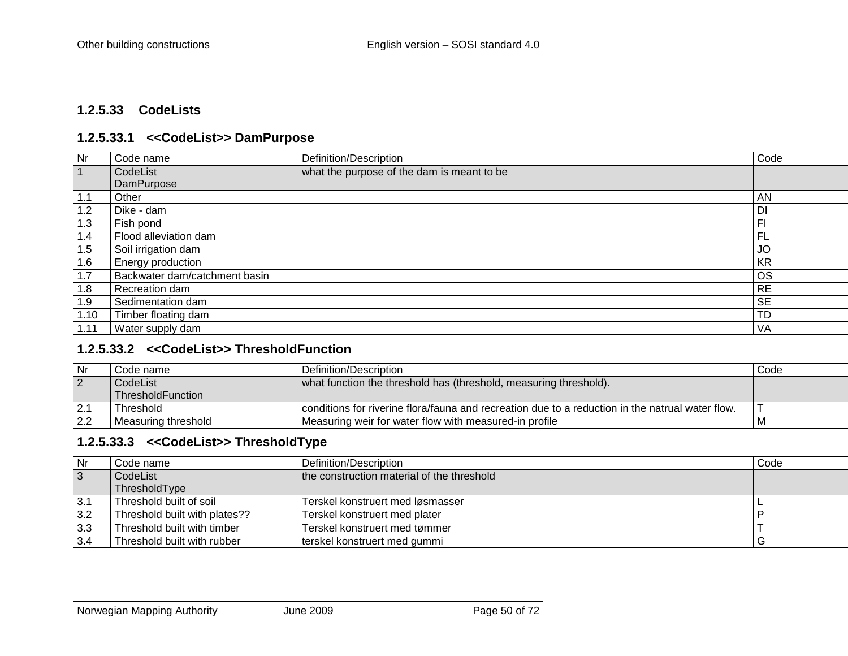### **1.2.5.33 CodeLists**

#### **1.2.5.33.1 <<CodeList>> DamPurpose**

| <b>Nr</b> | Code name                     | Definition/Description                     | Code           |
|-----------|-------------------------------|--------------------------------------------|----------------|
|           | CodeList                      | what the purpose of the dam is meant to be |                |
|           | DamPurpose                    |                                            |                |
| 1.1       | Other                         |                                            | AN             |
| 1.2       | Dike - dam                    |                                            | DI             |
| 1.3       | Fish pond                     |                                            | F <sub>1</sub> |
| 1.4       | Flood alleviation dam         |                                            | FL             |
| 1.5       | Soil irrigation dam           |                                            | JO             |
| 1.6       | Energy production             |                                            | KR             |
| 1.7       | Backwater dam/catchment basin |                                            | <b>OS</b>      |
| 1.8       | Recreation dam                |                                            | <b>RE</b>      |
| 1.9       | Sedimentation dam             |                                            | <b>SE</b>      |
| 1.10      | Timber floating dam           |                                            | <b>TD</b>      |
| 1.11      | Water supply dam              |                                            | VA             |

#### **1.2.5.33.2 <<CodeList>> ThresholdFunction**

| l Nr           | Code name :         | Definition/Description                                                                             | Code |
|----------------|---------------------|----------------------------------------------------------------------------------------------------|------|
| $\overline{2}$ | CodeList            | what function the threshold has (threshold, measuring threshold).                                  |      |
|                | ThresholdFunction   |                                                                                                    |      |
|                | Threshold           | l conditions for riverine flora/fauna and recreation due to a reduction in the natrual water flow. |      |
| 2.2            | Measuring threshold | Measuring weir for water flow with measured-in profile                                             |      |

### **1.2.5.33.3 <<CodeList>> ThresholdType**

| Nr             | Code name                     | Definition/Description                     | Code |
|----------------|-------------------------------|--------------------------------------------|------|
| $\overline{3}$ | CodeList                      | the construction material of the threshold |      |
|                | ThresholdType                 |                                            |      |
| $\vert$ 3.1    | Threshold built of soil       | Terskel konstruert med løsmasser           |      |
| 3.2            | Threshold built with plates?? | Terskel konstruert med plater              |      |
| 3.3            | Threshold built with timber   | Terskel konstruert med tømmer              |      |
| 3.4            | Threshold built with rubber   | terskel konstruert med gummi               |      |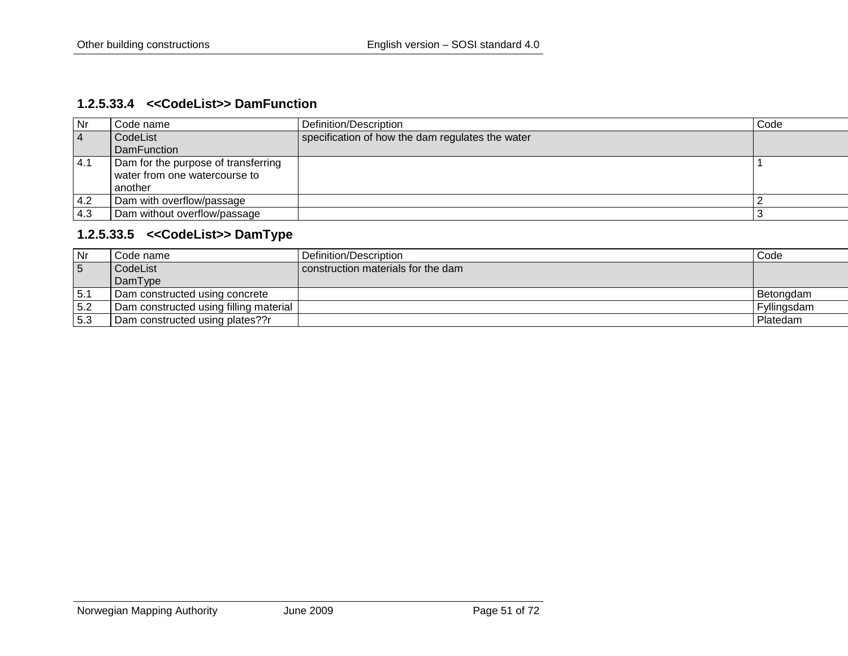### **1.2.5.33.4 <<CodeList>> DamFunction**

| l Nr          | Code name                           | Definition/Description                           | Code |
|---------------|-------------------------------------|--------------------------------------------------|------|
| $\sqrt{4}$    | CodeList                            | specification of how the dam regulates the water |      |
|               | <b>DamFunction</b>                  |                                                  |      |
| 4.1           | Dam for the purpose of transferring |                                                  |      |
|               | water from one watercourse to       |                                                  |      |
|               | another                             |                                                  |      |
| $ 4.2\rangle$ | Dam with overflow/passage           |                                                  |      |
| $-4.3$        | Dam without overflow/passage        |                                                  |      |

## **1.2.5.33.5 <<CodeList>> DamType**

| Nr              | Code name                              | Definition/Description             | Code        |
|-----------------|----------------------------------------|------------------------------------|-------------|
| $5\overline{5}$ | CodeList                               | construction materials for the dam |             |
|                 | DamType                                |                                    |             |
| 5.1             | Dam constructed using concrete         |                                    | Betongdam   |
| 5.2             | Dam constructed using filling material |                                    | Fyllingsdam |
| 5.3             | Dam constructed using plates??r        |                                    | Platedam    |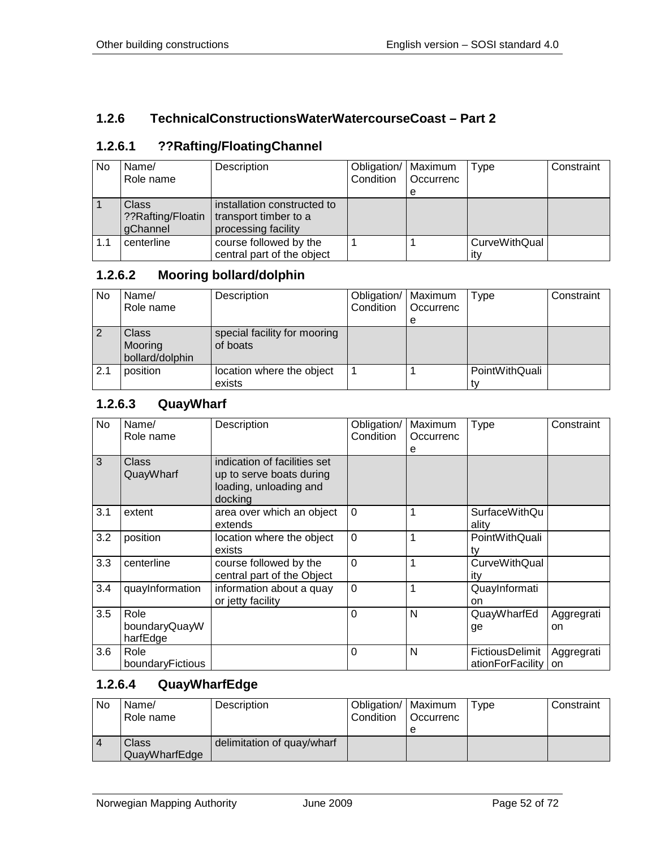## **1.2.6 TechnicalConstructionsWaterWatercourseCoast – Part 2**

## **1.2.6.1 ??Rafting/FloatingChannel**

| <b>No</b> | Name/             | Description                 | Obligation/   Maximum |           | Type          | Constraint |
|-----------|-------------------|-----------------------------|-----------------------|-----------|---------------|------------|
|           | Role name         |                             | Condition             | Occurrenc |               |            |
|           |                   |                             |                       | е         |               |            |
|           | <b>Class</b>      | installation constructed to |                       |           |               |            |
|           | ??Rafting/Floatin | transport timber to a       |                       |           |               |            |
|           | gChannel          | processing facility         |                       |           |               |            |
| 1.1       | centerline        | course followed by the      |                       |           | CurveWithQual |            |
|           |                   | central part of the object  |                       |           | itv           |            |

### **1.2.6.2 Mooring bollard/dolphin**

| <b>No</b> | Name/<br>Role name                  | Description                              | Obligation/   Maximum<br>Condition | Occurrenc | Type           | Constraint |
|-----------|-------------------------------------|------------------------------------------|------------------------------------|-----------|----------------|------------|
|           |                                     |                                          |                                    | е         |                |            |
|           | Class<br>Mooring<br>bollard/dolphin | special facility for mooring<br>of boats |                                    |           |                |            |
| 2.1       | position                            | location where the object<br>exists      |                                    |           | PointWithQuali |            |

## **1.2.6.3 QuayWharf**

| No  | Name/<br>Role name                | Description                                                                                   | Obligation/<br>Condition | Maximum<br>Occurrenc<br>е | <b>Type</b>                                | Constraint       |
|-----|-----------------------------------|-----------------------------------------------------------------------------------------------|--------------------------|---------------------------|--------------------------------------------|------------------|
| 3   | Class<br>QuayWharf                | indication of facilities set<br>up to serve boats during<br>loading, unloading and<br>docking |                          |                           |                                            |                  |
| 3.1 | extent                            | area over which an object<br>extends                                                          | $\Omega$                 |                           | <b>SurfaceWithQu</b><br>ality              |                  |
| 3.2 | position                          | location where the object<br>exists                                                           | $\overline{0}$           |                           | PointWithQuali<br>t٧                       |                  |
| 3.3 | centerline                        | course followed by the<br>central part of the Object                                          | $\Omega$                 | 1                         | <b>CurveWithQual</b><br>itv                |                  |
| 3.4 | quayInformation                   | information about a quay<br>or jetty facility                                                 | $\overline{0}$           | 1                         | QuayInformati<br>on                        |                  |
| 3.5 | Role<br>boundaryQuayW<br>harfEdge |                                                                                               | $\Omega$                 | N                         | QuayWharfEd<br>ge                          | Aggregrati<br>on |
| 3.6 | Role<br>boundaryFictious          |                                                                                               | 0                        | N                         | <b>FictiousDelimit</b><br>ationForFacility | Aggregrati<br>on |

## **1.2.6.4 QuayWharfEdge**

| No             | Name/<br>Role name     | Description                | Obligation/   Maximum<br>Condition | l Occurrenc<br>е | Type | Constraint |
|----------------|------------------------|----------------------------|------------------------------------|------------------|------|------------|
| $\overline{4}$ | Class<br>QuayWharfEdge | delimitation of quay/wharf |                                    |                  |      |            |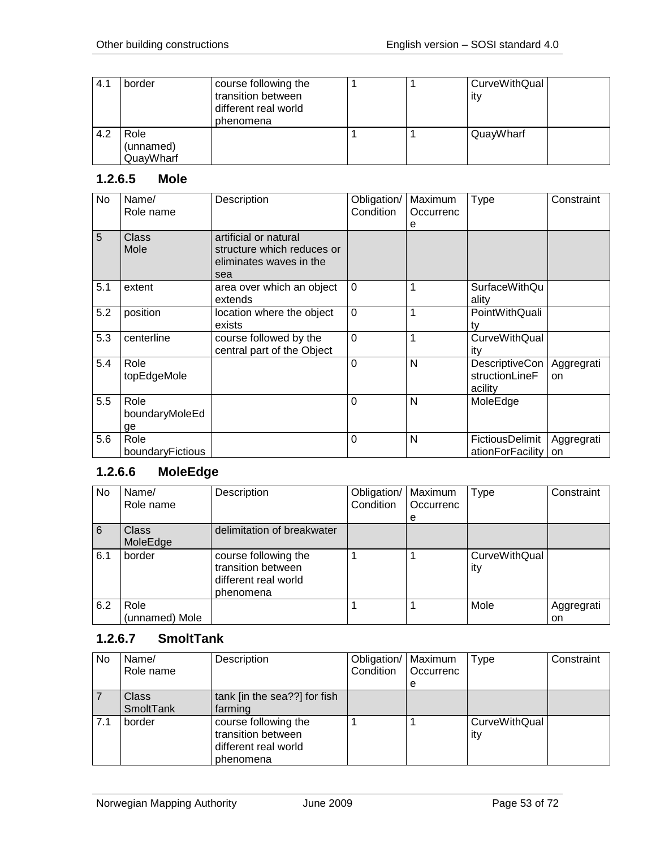| 4.1 | border                         | course following the<br>transition between<br>different real world<br>phenomena |  | CurveWithQual<br>itv |  |
|-----|--------------------------------|---------------------------------------------------------------------------------|--|----------------------|--|
| 4.2 | Role<br>(unnamed)<br>QuayWharf |                                                                                 |  | QuayWharf            |  |

## **1.2.6.5 Mole**

| No  | Name/<br>Role name           | Description                                                                           | Obligation/<br>Condition | Maximum<br>Occurrenc<br>e | <b>Type</b>                                 | Constraint              |
|-----|------------------------------|---------------------------------------------------------------------------------------|--------------------------|---------------------------|---------------------------------------------|-------------------------|
| 5   | Class<br>Mole                | artificial or natural<br>structure which reduces or<br>eliminates waves in the<br>sea |                          |                           |                                             |                         |
| 5.1 | extent                       | area over which an object<br>extends                                                  | $\overline{0}$           | 1                         | SurfaceWithQu<br>ality                      |                         |
| 5.2 | position                     | location where the object<br>exists                                                   | $\mathbf 0$              | 1                         | PointWithQuali<br>tv                        |                         |
| 5.3 | centerline                   | course followed by the<br>central part of the Object                                  | $\overline{0}$           | 1                         | <b>CurveWithQual</b><br>ity                 |                         |
| 5.4 | Role<br>topEdgeMole          |                                                                                       | $\overline{0}$           | N                         | DescriptiveCon<br>structionLineF<br>acility | Aggregrati<br>on        |
| 5.5 | Role<br>boundaryMoleEd<br>ge |                                                                                       | $\overline{0}$           | N                         | MoleEdge                                    |                         |
| 5.6 | Role<br>boundaryFictious     |                                                                                       | $\Omega$                 | N                         | FictiousDelimit<br>ationForFacility         | Aggregrati<br><b>on</b> |

# **1.2.6.6 MoleEdge**

| No  | Name/<br>Role name       | Description                                                                     | Obligation/<br>Condition | Maximum<br>Occurrenc<br>e | Type                        | Constraint |
|-----|--------------------------|---------------------------------------------------------------------------------|--------------------------|---------------------------|-----------------------------|------------|
| 6   | <b>Class</b><br>MoleEdge | delimitation of breakwater                                                      |                          |                           |                             |            |
| 6.1 | border                   | course following the<br>transition between<br>different real world<br>phenomena |                          |                           | <b>CurveWithQual</b><br>ity |            |
| 6.2 | Role                     |                                                                                 |                          |                           | Mole                        | Aggregrati |
|     | (unnamed) Mole           |                                                                                 |                          |                           |                             | on         |

# **1.2.6.7 SmoltTank**

| No. | Name/<br>Role name        | Description                                                                     | Obligation/   Maximum<br>Condition | Occurrenc | Type                        | Constraint |
|-----|---------------------------|---------------------------------------------------------------------------------|------------------------------------|-----------|-----------------------------|------------|
|     |                           |                                                                                 |                                    | е         |                             |            |
|     | <b>Class</b><br>SmoltTank | tank [in the sea??] for fish<br>farming                                         |                                    |           |                             |            |
| 7.1 | border                    | course following the<br>transition between<br>different real world<br>phenomena |                                    |           | <b>CurveWithQual</b><br>ity |            |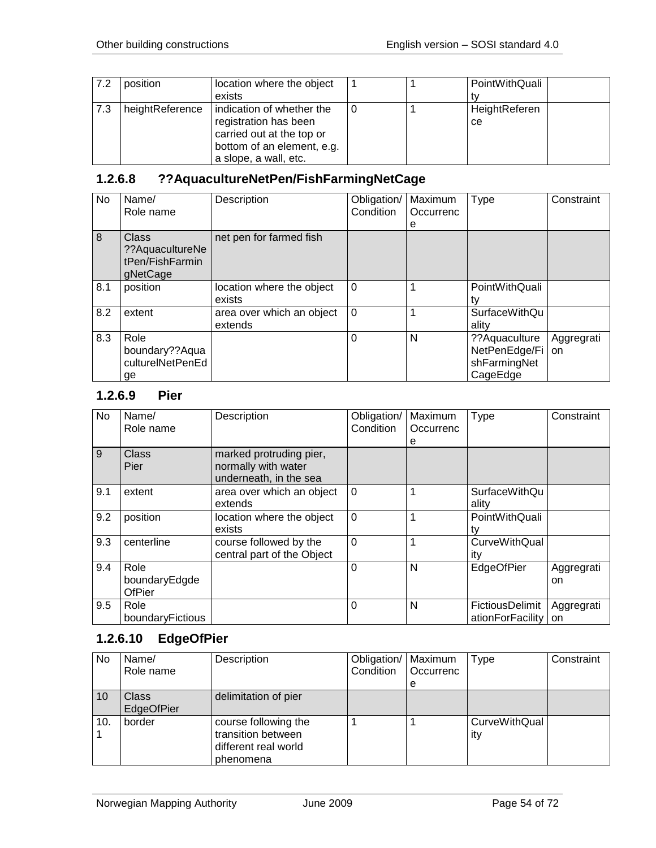| $-7.2$ | position        | location where the object                                                                                     |  | PointWithQuali      |
|--------|-----------------|---------------------------------------------------------------------------------------------------------------|--|---------------------|
|        |                 | exists                                                                                                        |  |                     |
| 7.3    | heightReference | indication of whether the<br>registration has been<br>carried out at the top or<br>bottom of an element, e.g. |  | HeightReferen<br>ce |
|        |                 | a slope, a wall, etc.                                                                                         |  |                     |

# **1.2.6.8 ??AquacultureNetPen/FishFarmingNetCage**

| <b>No</b> | Name/<br>Role name                                       | Description                          | Obligation/<br>Condition | Maximum<br>Occurrenc<br>е | <b>Type</b>                                                 | Constraint       |
|-----------|----------------------------------------------------------|--------------------------------------|--------------------------|---------------------------|-------------------------------------------------------------|------------------|
| 8         | Class<br>?? AquacultureNe<br>tPen/FishFarmin<br>gNetCage | net pen for farmed fish              |                          |                           |                                                             |                  |
| 8.1       | position                                                 | location where the object<br>exists  | $\Omega$                 |                           | PointWithQuali                                              |                  |
| 8.2       | extent                                                   | area over which an object<br>extends | $\Omega$                 |                           | <b>SurfaceWithQu</b><br>ality                               |                  |
| 8.3       | Role<br>boundary??Aqua<br>culturelNetPenEd<br>ge         |                                      | 0                        | N                         | ?? Aquaculture<br>NetPenEdge/Fi<br>shFarmingNet<br>CageEdge | Aggregrati<br>on |

### **1.2.6.9 Pier**

| No  | Name/<br>Role name                     | Description                                                              | Obligation/<br>Condition | Maximum<br>Occurrenc<br>е | Type                                | Constraint       |
|-----|----------------------------------------|--------------------------------------------------------------------------|--------------------------|---------------------------|-------------------------------------|------------------|
| 9   | Class<br>Pier                          | marked protruding pier,<br>normally with water<br>underneath, in the sea |                          |                           |                                     |                  |
| 9.1 | extent                                 | area over which an object<br>extends                                     | $\Omega$                 | 1                         | <b>SurfaceWithQu</b><br>ality       |                  |
| 9.2 | position                               | location where the object<br>exists                                      | $\overline{0}$           | 1                         | PointWithQuali<br>tv                |                  |
| 9.3 | centerline                             | course followed by the<br>central part of the Object                     | $\overline{0}$           | 1                         | <b>CurveWithQual</b><br>itv         |                  |
| 9.4 | Role<br>boundaryEdgde<br><b>OfPier</b> |                                                                          | $\Omega$                 | N                         | EdgeOfPier                          | Aggregrati<br>on |
| 9.5 | Role<br>boundaryFictious               |                                                                          | $\Omega$                 | N                         | FictiousDelimit<br>ationForFacility | Aggregrati<br>on |

# **1.2.6.10 EdgeOfPier**

| No  | Name/<br>Role name         | Description                                                                     | Obligation/   Maximum<br>Condition | Occurrenc<br>e | <b>Type</b>                 | Constraint |
|-----|----------------------------|---------------------------------------------------------------------------------|------------------------------------|----------------|-----------------------------|------------|
| 10  | <b>Class</b><br>EdgeOfPier | delimitation of pier                                                            |                                    |                |                             |            |
| 10. | border                     | course following the<br>transition between<br>different real world<br>phenomena |                                    |                | <b>CurveWithQual</b><br>ity |            |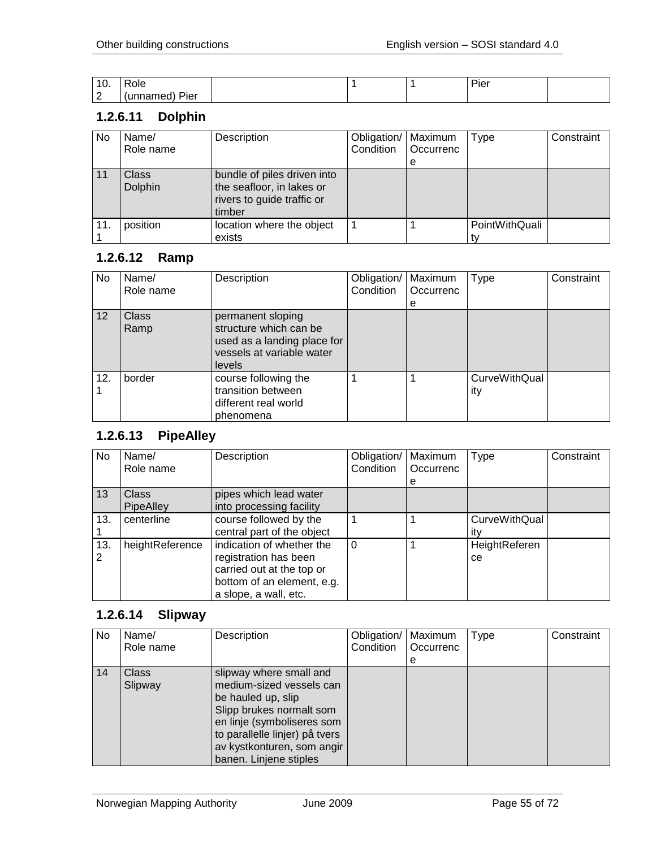| - 11<br>IV. | ole.                         |  | $\blacksquare$<br>•ю |  |
|-------------|------------------------------|--|----------------------|--|
| $\sqrt{ }$  | Pier<br>.<br>10 <sup>2</sup> |  |                      |  |

### **1.2.6.11 Dolphin**

| No  | Name/<br>Role name      | Description                                                                                      | Obligation/<br>Condition | Maximum<br>Occurrenc<br>e | Type           | Constraint |
|-----|-------------------------|--------------------------------------------------------------------------------------------------|--------------------------|---------------------------|----------------|------------|
| 11  | Class<br><b>Dolphin</b> | bundle of piles driven into<br>the seafloor, in lakes or<br>rivers to guide traffic or<br>timber |                          |                           |                |            |
| 11. | position                | location where the object<br>exists                                                              |                          |                           | PointWithQuali |            |

## **1.2.6.12 Ramp**

| No. | Name/<br>Role name | Description                                                                                                       | Obligation/<br>Condition | Maximum<br>Occurrenc<br>е | Type                        | Constraint |
|-----|--------------------|-------------------------------------------------------------------------------------------------------------------|--------------------------|---------------------------|-----------------------------|------------|
| 12  | Class<br>Ramp      | permanent sloping<br>structure which can be<br>used as a landing place for<br>vessels at variable water<br>levels |                          |                           |                             |            |
| 12. | border             | course following the<br>transition between<br>different real world<br>phenomena                                   |                          |                           | <b>CurveWithQual</b><br>ity |            |

## **1.2.6.13 PipeAlley**

| No       | Name/<br>Role name        | Description                                                                                                                            | Obligation/<br>Condition | Maximum<br>Occurrenc | Type                        | Constraint |
|----------|---------------------------|----------------------------------------------------------------------------------------------------------------------------------------|--------------------------|----------------------|-----------------------------|------------|
|          |                           |                                                                                                                                        |                          | e                    |                             |            |
| 13       | <b>Class</b><br>PipeAlley | pipes which lead water<br>into processing facility                                                                                     |                          |                      |                             |            |
| 13.      | centerline                | course followed by the<br>central part of the object                                                                                   |                          |                      | <b>CurveWithQual</b><br>itv |            |
| 13.<br>2 | heightReference           | indication of whether the<br>registration has been<br>carried out at the top or<br>bottom of an element, e.g.<br>a slope, a wall, etc. | 0                        |                      | HeightReferen<br>ce.        |            |

# **1.2.6.14 Slipway**

| No. | Name/<br>Role name      | Description                                                                                                                                                                                                                   | Obligation/   Maximum<br>Condition | Occurrenc<br>e | Type | Constraint |
|-----|-------------------------|-------------------------------------------------------------------------------------------------------------------------------------------------------------------------------------------------------------------------------|------------------------------------|----------------|------|------------|
| 14  | <b>Class</b><br>Slipway | slipway where small and<br>medium-sized vessels can<br>be hauled up, slip<br>Slipp brukes normalt som<br>en linje (symboliseres som<br>to parallelle linjer) på tvers<br>av kystkonturen, som angir<br>banen. Linjene stiples |                                    |                |      |            |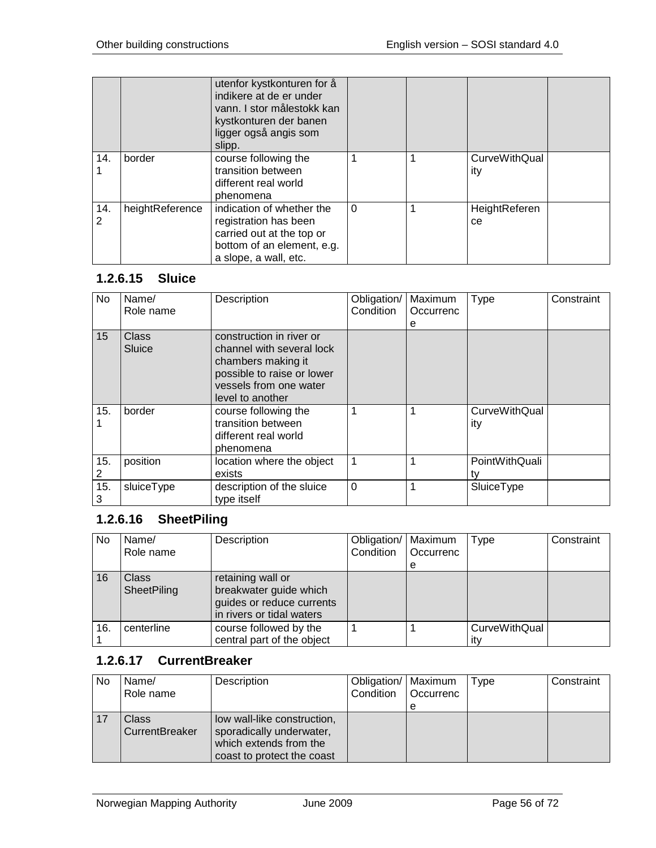|          |                 | utenfor kystkonturen for å<br>indikere at de er under<br>vann. I stor målestokk kan<br>kystkonturen der banen<br>ligger også angis som<br>slipp. |          |                             |  |
|----------|-----------------|--------------------------------------------------------------------------------------------------------------------------------------------------|----------|-----------------------------|--|
| 14.      | border          | course following the<br>transition between<br>different real world<br>phenomena                                                                  |          | <b>CurveWithQual</b><br>ity |  |
| 14.<br>2 | heightReference | indication of whether the<br>registration has been<br>carried out at the top or<br>bottom of an element, e.g.<br>a slope, a wall, etc.           | $\Omega$ | HeightReferen<br>ce.        |  |

## **1.2.6.15 Sluice**

| No  | Name/        | Description                | Obligation/    | Maximum   | Type                 | Constraint |
|-----|--------------|----------------------------|----------------|-----------|----------------------|------------|
|     | Role name    |                            | Condition      | Occurrenc |                      |            |
|     |              |                            |                | е         |                      |            |
| 15  | <b>Class</b> | construction in river or   |                |           |                      |            |
|     | Sluice       | channel with several lock  |                |           |                      |            |
|     |              | chambers making it         |                |           |                      |            |
|     |              | possible to raise or lower |                |           |                      |            |
|     |              | vessels from one water     |                |           |                      |            |
|     |              | level to another           |                |           |                      |            |
| 15. | border       | course following the       | $\mathbf 1$    | 1         | <b>CurveWithQual</b> |            |
|     |              | transition between         |                |           | ity                  |            |
|     |              | different real world       |                |           |                      |            |
|     |              | phenomena                  |                |           |                      |            |
| 15. | position     | location where the object  | $\overline{1}$ | 1         | PointWithQuali       |            |
| 2   |              | exists                     |                |           | tv                   |            |
| 15. | sluiceType   | description of the sluice  | $\Omega$       | 1         | SluiceType           |            |
| 3   |              | type itself                |                |           |                      |            |

## **1.2.6.16 SheetPiling**

| No. | Name/<br>Role name          | Description                                                                                           | Obligation/   Maximum<br>Condition | Occurrenc<br>е | Type                        | Constraint |
|-----|-----------------------------|-------------------------------------------------------------------------------------------------------|------------------------------------|----------------|-----------------------------|------------|
| 16  | <b>Class</b><br>SheetPiling | retaining wall or<br>breakwater guide which<br>guides or reduce currents<br>in rivers or tidal waters |                                    |                |                             |            |
| 16. | centerline                  | course followed by the<br>central part of the object                                                  |                                    |                | <b>CurveWithQual</b><br>ıt٧ |            |

## **1.2.6.17 CurrentBreaker**

| No | Name/<br>Role name      | Description                                                                                                     | Obligation/   Maximum<br>Condition | Occurrenc<br>е | Type | Constraint |
|----|-------------------------|-----------------------------------------------------------------------------------------------------------------|------------------------------------|----------------|------|------------|
|    | Class<br>CurrentBreaker | low wall-like construction,<br>sporadically underwater,<br>which extends from the<br>coast to protect the coast |                                    |                |      |            |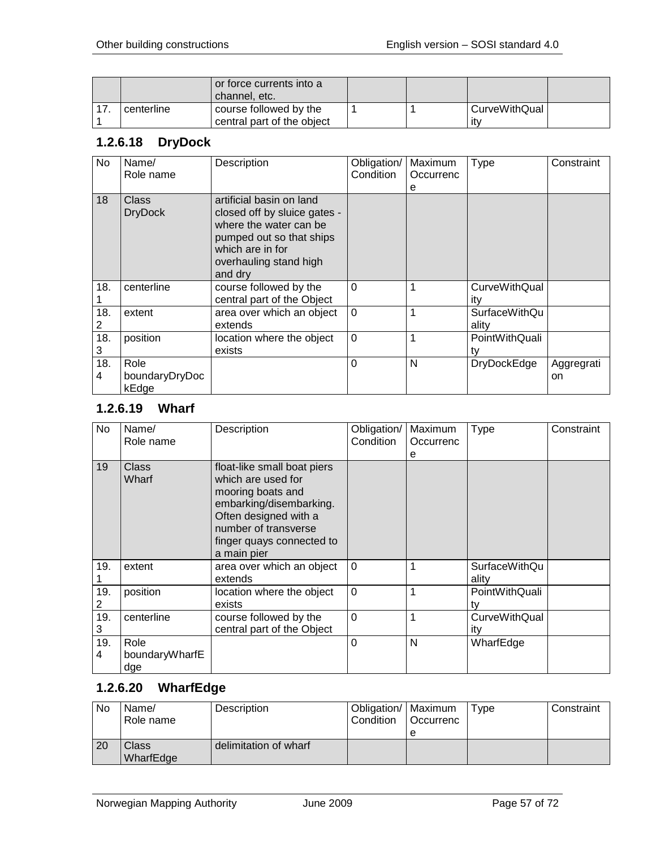|            | or force currents into a<br>channel. etc. |  |               |  |
|------------|-------------------------------------------|--|---------------|--|
| centerline | course followed by the                    |  | CurveWithQual |  |
|            | central part of the object                |  | ∣it∨          |  |

# **1.2.6.18 DryDock**

| No       | Name/<br>Role name              | Description                                                                                                                                                             | Obligation/<br>Condition | Maximum<br>Occurrenc<br>е | <b>Type</b>                   | Constraint       |
|----------|---------------------------------|-------------------------------------------------------------------------------------------------------------------------------------------------------------------------|--------------------------|---------------------------|-------------------------------|------------------|
| 18       | Class<br><b>DryDock</b>         | artificial basin on land<br>closed off by sluice gates -<br>where the water can be<br>pumped out so that ships<br>which are in for<br>overhauling stand high<br>and dry |                          |                           |                               |                  |
| 18.      | centerline                      | course followed by the<br>central part of the Object                                                                                                                    | $\Omega$                 |                           | <b>CurveWithQual</b><br>itv   |                  |
| 18.<br>2 | extent                          | area over which an object<br>extends                                                                                                                                    | $\Omega$                 |                           | <b>SurfaceWithQu</b><br>ality |                  |
| 18.<br>3 | position                        | location where the object<br>exists                                                                                                                                     | $\overline{0}$           |                           | PointWithQuali<br>tv          |                  |
| 18.<br>4 | Role<br>boundaryDryDoc<br>kEdge |                                                                                                                                                                         | 0                        | N                         | <b>DryDockEdge</b>            | Aggregrati<br>on |

## **1.2.6.19 Wharf**

| No       | Name/<br>Role name            | Description                                                                                                                                                                                    | Obligation/<br>Condition | Maximum<br>Occurrenc<br>e | Type                          | Constraint |
|----------|-------------------------------|------------------------------------------------------------------------------------------------------------------------------------------------------------------------------------------------|--------------------------|---------------------------|-------------------------------|------------|
| 19       | <b>Class</b><br>Wharf         | float-like small boat piers<br>which are used for<br>mooring boats and<br>embarking/disembarking.<br>Often designed with a<br>number of transverse<br>finger quays connected to<br>a main pier |                          |                           |                               |            |
| 19.      | extent                        | area over which an object<br>extends                                                                                                                                                           | $\Omega$                 | 1                         | <b>SurfaceWithQu</b><br>ality |            |
| 19.<br>2 | position                      | location where the object<br>exists                                                                                                                                                            | $\overline{0}$           | 1                         | PointWithQuali<br>tv          |            |
| 19.<br>3 | centerline                    | course followed by the<br>central part of the Object                                                                                                                                           | $\overline{0}$           | 1                         | <b>CurveWithQual</b><br>ity   |            |
| 19.<br>4 | Role<br>boundaryWharfE<br>dge |                                                                                                                                                                                                | $\Omega$                 | N                         | WharfEdge                     |            |

## **1.2.6.20 WharfEdge**

| <b>No</b> | Name/<br>Role name | Description           | Obligation/ Maximum<br>Condition | <b>Occurrenc</b> | Tvpe | Constraint |
|-----------|--------------------|-----------------------|----------------------------------|------------------|------|------------|
| 20        | Class<br>WharfEdge | delimitation of wharf |                                  |                  |      |            |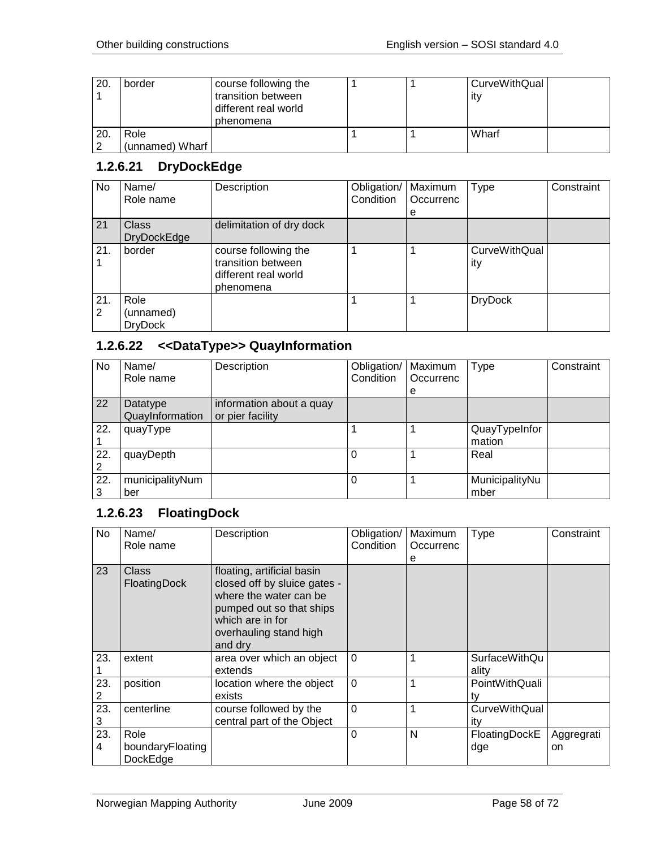| 20. | border          | course following the |  | CurveWithQual |  |
|-----|-----------------|----------------------|--|---------------|--|
|     |                 | transition between   |  | ∣it∨          |  |
|     |                 | different real world |  |               |  |
|     |                 | phenomena            |  |               |  |
| 20. | Role            |                      |  | Wharf         |  |
|     | (unnamed) Wharf |                      |  |               |  |

## **1.2.6.21 DryDockEdge**

| No       | Name/<br>Role name                  | Description                                                                     | Obligation/<br>Condition | Maximum<br>Occurrenc | <b>Type</b>                 | Constraint |
|----------|-------------------------------------|---------------------------------------------------------------------------------|--------------------------|----------------------|-----------------------------|------------|
|          |                                     |                                                                                 |                          | е                    |                             |            |
| 21       | <b>Class</b>                        | delimitation of dry dock                                                        |                          |                      |                             |            |
|          | <b>DryDockEdge</b>                  |                                                                                 |                          |                      |                             |            |
| 21.      | border                              | course following the<br>transition between<br>different real world<br>phenomena |                          |                      | <b>CurveWithQual</b><br>ity |            |
| 21.<br>2 | Role<br>(unnamed)<br><b>DryDock</b> |                                                                                 |                          |                      | <b>DryDock</b>              |            |

# **1.2.6.22 <<DataType>> QuayInformation**

| No.      | Name/<br>Role name          | Description                                  | Obligation/   Maximum<br>Condition | Occurrenc<br>е | Type                    | Constraint |
|----------|-----------------------------|----------------------------------------------|------------------------------------|----------------|-------------------------|------------|
| 22       | Datatype<br>QuayInformation | information about a quay<br>or pier facility |                                    |                |                         |            |
| 22.      | quayType                    |                                              |                                    |                | QuayTypeInfor<br>mation |            |
| 22.      | quayDepth                   |                                              | $\Omega$                           |                | Real                    |            |
| 22.<br>3 | municipalityNum<br>ber      |                                              | $\Omega$                           |                | MunicipalityNu<br>mber  |            |

## **1.2.6.23 FloatingDock**

| No       | Name/<br>Role name                   | Description                                                                                                                                                               | Obligation/<br>Condition | Maximum<br>Occurrenc<br>е | <b>Type</b>                 | Constraint       |
|----------|--------------------------------------|---------------------------------------------------------------------------------------------------------------------------------------------------------------------------|--------------------------|---------------------------|-----------------------------|------------------|
| 23       | Class<br>FloatingDock                | floating, artificial basin<br>closed off by sluice gates -<br>where the water can be<br>pumped out so that ships<br>which are in for<br>overhauling stand high<br>and dry |                          |                           |                             |                  |
| 23.      | extent                               | area over which an object<br>extends                                                                                                                                      | $\Omega$                 |                           | SurfaceWithQu<br>ality      |                  |
| 23.      | position                             | location where the object<br>exists                                                                                                                                       | $\Omega$                 |                           | PointWithQuali<br>tv        |                  |
| 23.<br>3 | centerline                           | course followed by the<br>central part of the Object                                                                                                                      | $\mathbf 0$              |                           | <b>CurveWithQual</b><br>itv |                  |
| 23.<br>4 | Role<br>boundaryFloating<br>DockEdge |                                                                                                                                                                           | 0                        | N                         | FloatingDockE<br>dge        | Aggregrati<br>on |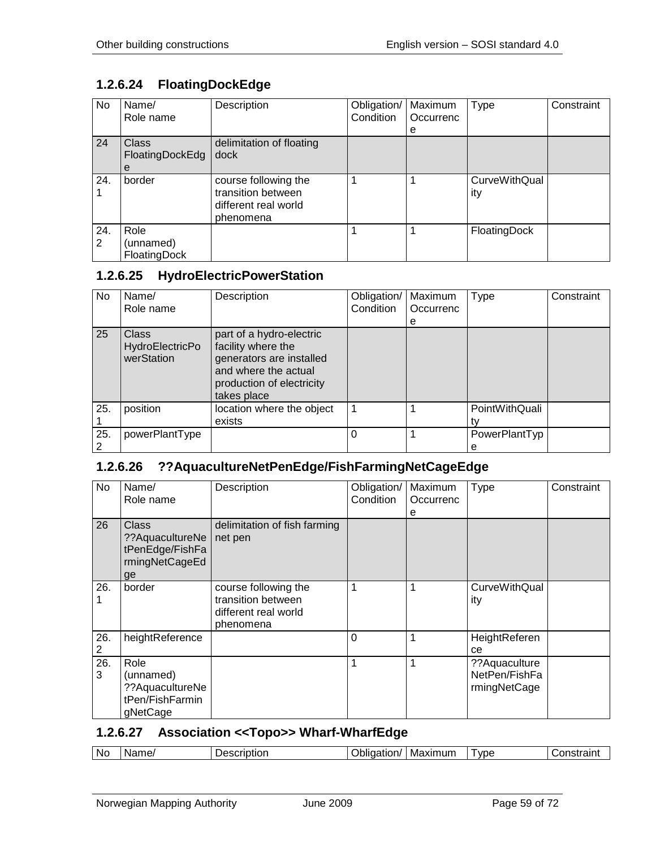# **1.2.6.24 FloatingDockEdge**

| No       | Name/<br>Role name                   | Description                                                                     | Obligation/<br>Condition | Maximum<br>Occurrenc<br>e | <b>Type</b>          | Constraint |
|----------|--------------------------------------|---------------------------------------------------------------------------------|--------------------------|---------------------------|----------------------|------------|
| 24       | <b>Class</b><br>FloatingDockEdg<br>е | delimitation of floating<br>dock                                                |                          |                           |                      |            |
| 24.      | border                               | course following the<br>transition between<br>different real world<br>phenomena |                          |                           | CurveWithQual<br>ity |            |
| 24.<br>2 | Role<br>(unnamed)<br>FloatingDock    |                                                                                 |                          |                           | FloatingDock         |            |

## **1.2.6.25 HydroElectricPowerStation**

| No. | Name/<br>Role name                            | Description                                                                                                                                    | Obligation/<br>Condition | Maximum<br>Occurrenc | <b>Type</b>        | Constraint |
|-----|-----------------------------------------------|------------------------------------------------------------------------------------------------------------------------------------------------|--------------------------|----------------------|--------------------|------------|
|     |                                               |                                                                                                                                                |                          | е                    |                    |            |
| 25  | Class<br><b>HydroElectricPo</b><br>werStation | part of a hydro-electric<br>facility where the<br>generators are installed<br>and where the actual<br>production of electricity<br>takes place |                          |                      |                    |            |
| 25. | position                                      | location where the object<br>exists                                                                                                            | 1                        |                      | PointWithQuali     |            |
| 25. | powerPlantType                                |                                                                                                                                                | $\Omega$                 |                      | PowerPlantTyp<br>е |            |

## **1.2.6.26 ??AquacultureNetPenEdge/FishFarmingNetCageEdge**

| No.      | Name/<br>Role name                                                   | Description                                                                     | Obligation/<br>Condition | Maximum<br>Occurrenc<br>е | <b>Type</b>                                     | Constraint |
|----------|----------------------------------------------------------------------|---------------------------------------------------------------------------------|--------------------------|---------------------------|-------------------------------------------------|------------|
| 26       | Class<br>?? AquacultureNe<br>tPenEdge/FishFa<br>rmingNetCageEd<br>ge | delimitation of fish farming<br>net pen                                         |                          |                           |                                                 |            |
| 26.      | border                                                               | course following the<br>transition between<br>different real world<br>phenomena | 1                        | 1                         | <b>CurveWithQual</b><br>ity                     |            |
| 26.      | heightReference                                                      |                                                                                 | $\Omega$                 | 1                         | HeightReferen<br>ce                             |            |
| 26.<br>3 | Role<br>(unnamed)<br>??AquacultureNe<br>tPen/FishFarmin<br>gNetCage  |                                                                                 | 1                        | 1                         | ?? Aquaculture<br>NetPen/FishFa<br>rmingNetCage |            |

## **1.2.6.27 Association <<Topo>> Wharf-WharfEdge**

| Νc | ame,<br>-N-<br>. с. | - - - - - - <b>1</b> . - .<br>TC<br>≅ription<br>┒ | ווסודי -<br>วแ<br> | axımum<br>IVI: | vde | ---------- |
|----|---------------------|---------------------------------------------------|--------------------|----------------|-----|------------|
|----|---------------------|---------------------------------------------------|--------------------|----------------|-----|------------|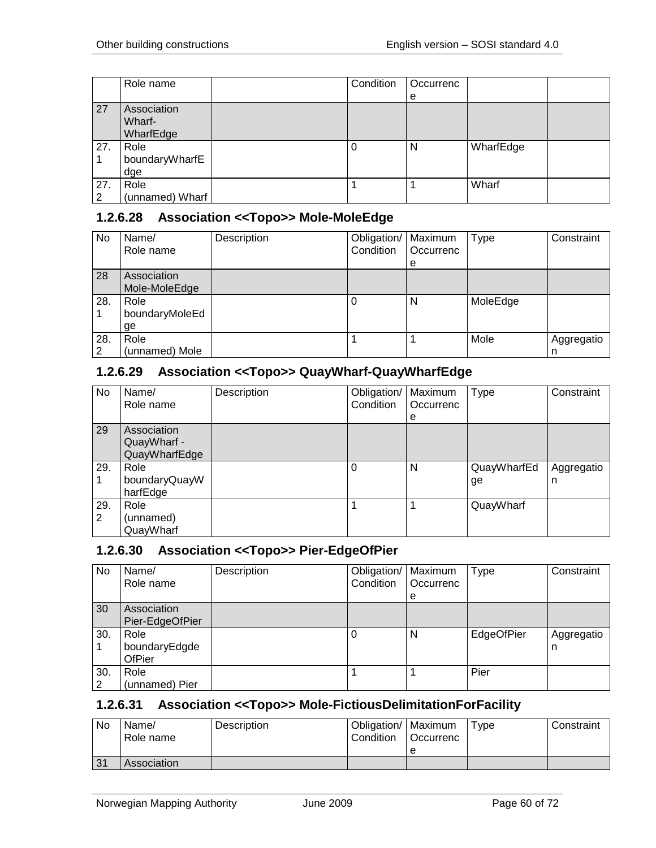|          | Role name                          | Condition | Occurrenc |           |  |
|----------|------------------------------------|-----------|-----------|-----------|--|
|          |                                    |           | е         |           |  |
| 27       | Association<br>Wharf-<br>WharfEdge |           |           |           |  |
| 27.      | Role<br>boundaryWharfE<br>dge      | U         | N         | WharfEdge |  |
| 27.<br>2 | Role<br>(unnamed) Wharf            |           |           | Wharf     |  |

### **1.2.6.28 Association <<Topo>> Mole-MoleEdge**

| No       | Name/<br>Role name           | Description | Obligation/<br>Condition | Maximum<br>Occurrenc<br>e | <b>Type</b> | Constraint      |
|----------|------------------------------|-------------|--------------------------|---------------------------|-------------|-----------------|
| 28       | Association<br>Mole-MoleEdge |             |                          |                           |             |                 |
| 28.      | Role<br>boundaryMoleEd<br>ge |             | U                        | N                         | MoleEdge    |                 |
| 28.<br>2 | Role<br>(unnamed) Mole       |             |                          |                           | Mole        | Aggregatio<br>n |

### **1.2.6.29 Association <<Topo>> QuayWharf-QuayWharfEdge**

| No       | Name/<br>Role name                          | Description | Obligation/   Maximum<br>Condition | Occurrenc<br>e | <b>Type</b>       | Constraint      |
|----------|---------------------------------------------|-------------|------------------------------------|----------------|-------------------|-----------------|
| 29       | Association<br>QuayWharf -<br>QuayWharfEdge |             |                                    |                |                   |                 |
| 29.      | Role<br>boundaryQuayW<br>harfEdge           |             | $\Omega$                           | N              | QuayWharfEd<br>ge | Aggregatio<br>n |
| 29.<br>2 | Role<br>(unnamed)<br>QuayWharf              |             |                                    |                | QuayWharf         |                 |

### **1.2.6.30 Association <<Topo>> Pier-EdgeOfPier**

| No       | Name/<br>Role name              | Description | Obligation/<br>Condition | Maximum<br>Occurrenc<br>e | Type       | Constraint      |
|----------|---------------------------------|-------------|--------------------------|---------------------------|------------|-----------------|
| 30       | Association<br>Pier-EdgeOfPier  |             |                          |                           |            |                 |
| 30.      | Role<br>boundaryEdgde<br>OfPier |             |                          | N                         | EdgeOfPier | Aggregatio<br>n |
| 30.<br>2 | Role<br>(unnamed) Pier          |             |                          |                           | Pier       |                 |

### **1.2.6.31 Association <<Topo>> Mole-FictiousDelimitationForFacility**

| <b>No</b> | Name/<br>Role name | Description | Obligation/   Maximum<br>Condition | <sup>1</sup> Occurrenc | Type | Constraint |
|-----------|--------------------|-------------|------------------------------------|------------------------|------|------------|
|           |                    |             |                                    | е                      |      |            |
| 31        | Association        |             |                                    |                        |      |            |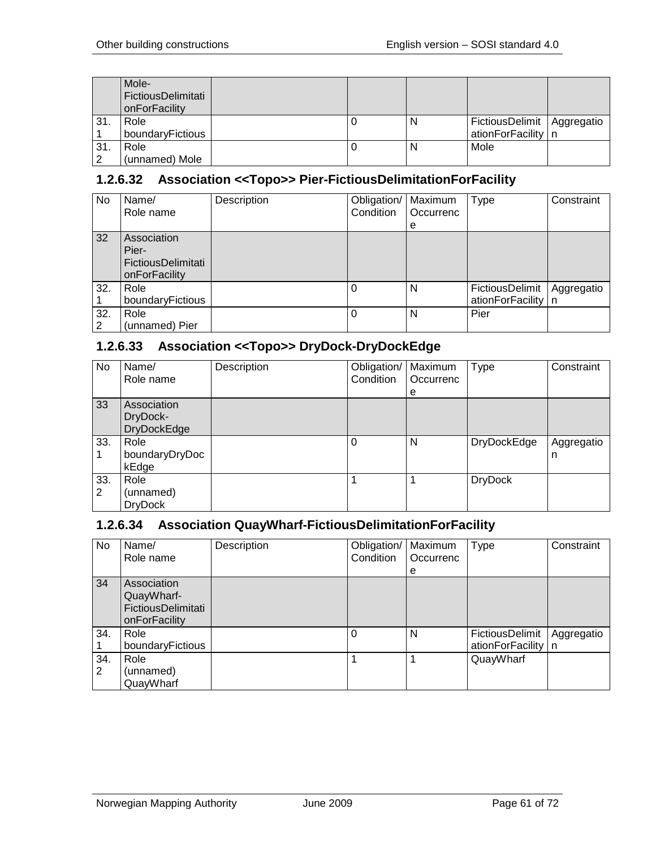|     | Mole-<br>FictiousDelimitati<br>onForFacility |  |   |                              |  |
|-----|----------------------------------------------|--|---|------------------------------|--|
| 31. | Role                                         |  | N | FictiousDelimit   Aggregatio |  |
|     | boundaryFictious                             |  |   | ationForFacility   n         |  |
| 31. | Role                                         |  | N | Mole                         |  |
|     | (unnamed) Mole                               |  |   |                              |  |

## **1.2.6.32 Association <<Topo>> Pier-FictiousDelimitationForFacility**

| No       | Name/<br>Role name                                          | Description | Obligation/   Maximum<br>Condition | Occurrenc<br>e | <b>Type</b>                             | Constraint |
|----------|-------------------------------------------------------------|-------------|------------------------------------|----------------|-----------------------------------------|------------|
| 32       | Association<br>Pier-<br>FictiousDelimitati<br>onForFacility |             |                                    |                |                                         |            |
| 32.      | Role<br>boundaryFictious                                    |             | 0                                  | N              | FictiousDelimit<br>ationForFacility   n | Aggregatio |
| 32.<br>2 | Role<br>(unnamed) Pier                                      |             | 0                                  | N              | Pier                                    |            |

## **1.2.6.33 Association <<Topo>> DryDock-DryDockEdge**

| <b>No</b> | Name/<br>Role name                            | Description | Obligation/   Maximum<br>Condition | Occurrenc<br>е | <b>Type</b>        | Constraint      |
|-----------|-----------------------------------------------|-------------|------------------------------------|----------------|--------------------|-----------------|
| 33        | Association<br>DryDock-<br><b>DryDockEdge</b> |             |                                    |                |                    |                 |
| 33.       | Role<br>boundaryDryDoc<br>kEdge               |             | $\Omega$                           | N              | <b>DryDockEdge</b> | Aggregatio<br>n |
| 33.<br>2  | Role<br>(unnamed)<br><b>DryDock</b>           |             |                                    |                | <b>DryDock</b>     |                 |

## **1.2.6.34 Association QuayWharf-FictiousDelimitationForFacility**

| No.      | Name/<br>Role name                                               | Description | Obligation/   Maximum<br>Condition | Occurrenc<br>е | Type                                    | Constraint |
|----------|------------------------------------------------------------------|-------------|------------------------------------|----------------|-----------------------------------------|------------|
| 34       | Association<br>QuayWharf-<br>FictiousDelimitati<br>onForFacility |             |                                    |                |                                         |            |
| 34.      | Role<br>boundaryFictious                                         |             | $\Omega$                           | N              | FictiousDelimit<br>ationForFacility   n | Aggregatio |
| 34.<br>2 | Role<br>(unnamed)<br>QuayWharf                                   |             |                                    | 1              | QuayWharf                               |            |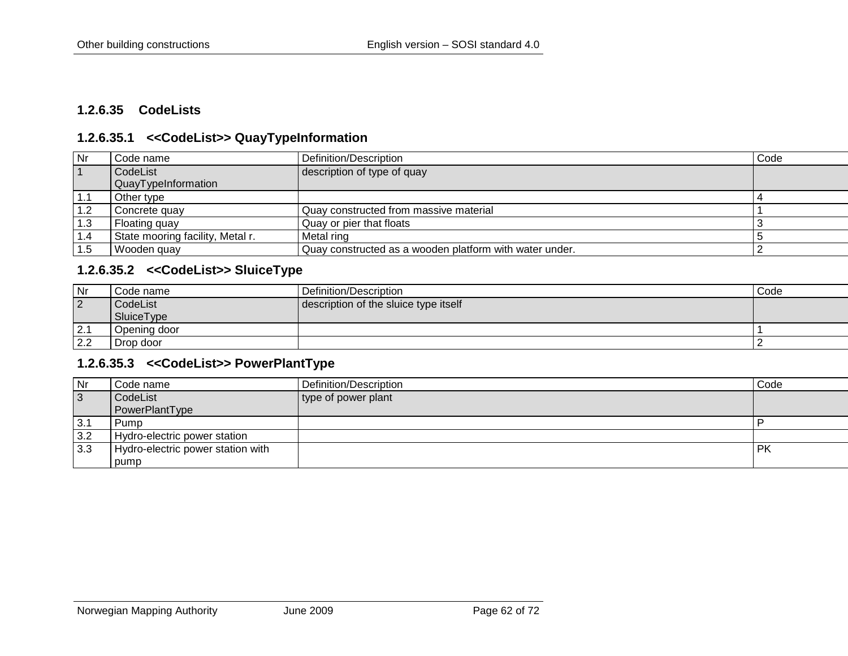### **1.2.6.35 CodeLists**

### **1.2.6.35.1 <<CodeList>> QuayTypeInformation**

| Nr        | Code name                        | Definition/Description                                  | Code |
|-----------|----------------------------------|---------------------------------------------------------|------|
| $\vert$ 1 | CodeList                         | description of type of quay                             |      |
|           | QuayTypeInformation              |                                                         |      |
| 1.1       | Other type                       |                                                         |      |
| 1.2       | Concrete quay                    | Quay constructed from massive material                  |      |
| 1.3       | Floating quay                    | Quay or pier that floats                                |      |
| 1.4       | State mooring facility, Metal r. | Metal ring                                              |      |
| 1.5       | Wooden guay                      | Quay constructed as a wooden platform with water under. |      |

## **1.2.6.35.2 <<CodeList>> SluiceType**

| l Nr | Code name    | Definition/Description                | Code |
|------|--------------|---------------------------------------|------|
| 2    | CodeList     | description of the sluice type itself |      |
|      | SluiceType   |                                       |      |
| 2.1  | Opening door |                                       |      |
| 2.2  | Drop door    |                                       |      |

#### **1.2.6.35.3 <<CodeList>> PowerPlantType**

| Nr             | Code name                         | Definition/Description | Code      |
|----------------|-----------------------------------|------------------------|-----------|
| $\overline{3}$ | CodeList                          | type of power plant    |           |
|                | PowerPlantType                    |                        |           |
| 3.1            | ' Pump                            |                        |           |
| 3.2            | Hydro-electric power station      |                        |           |
| 3.3            | Hydro-electric power station with |                        | <b>PK</b> |
|                | pump                              |                        |           |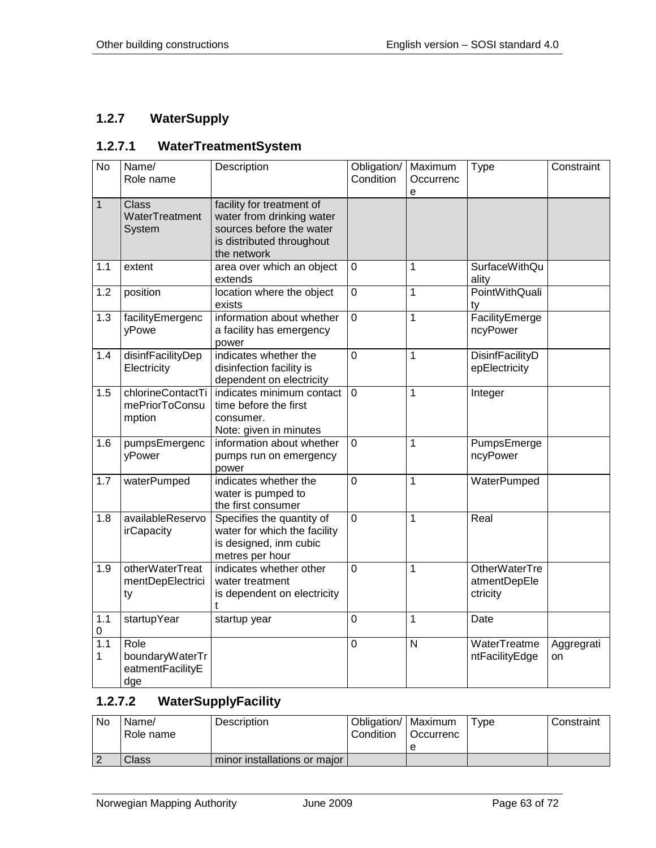## **1.2.7 WaterSupply**

### **1.2.7.1 WaterTreatmentSystem**

| <b>No</b>    | Name/<br>Role name                                 | Description                                                                                                                    | Obligation/<br>Condition | Maximum<br>Occurrenc<br>e | <b>Type</b>                                      | Constraint       |
|--------------|----------------------------------------------------|--------------------------------------------------------------------------------------------------------------------------------|--------------------------|---------------------------|--------------------------------------------------|------------------|
| $\mathbf{1}$ | <b>Class</b><br>WaterTreatment<br>System           | facility for treatment of<br>water from drinking water<br>sources before the water<br>is distributed throughout<br>the network |                          |                           |                                                  |                  |
| 1.1          | extent                                             | area over which an object<br>extends                                                                                           | 0                        | 1                         | <b>SurfaceWithQu</b><br>ality                    |                  |
| 1.2          | position                                           | location where the object<br>exists                                                                                            | $\overline{0}$           | 1                         | <b>PointWithQuali</b><br>tv                      |                  |
| 1.3          | facilityEmergenc<br>yPowe                          | information about whether<br>a facility has emergency<br>power                                                                 | 0                        | 1                         | FacilityEmerge<br>ncyPower                       |                  |
| 1.4          | disinfFacilityDep<br>Electricity                   | indicates whether the<br>disinfection facility is<br>dependent on electricity                                                  | $\overline{0}$           | 1                         | DisinfFacilityD<br>epElectricity                 |                  |
| 1.5          | chlorineContactTi<br>mePriorToConsu<br>mption      | indicates minimum contact<br>time before the first<br>consumer.<br>Note: given in minutes                                      | $\Omega$                 | 1                         | Integer                                          |                  |
| 1.6          | pumpsEmergenc<br>yPower                            | information about whether<br>pumps run on emergency<br>power                                                                   | 0                        | 1                         | PumpsEmerge<br>ncyPower                          |                  |
| 1.7          | waterPumped                                        | indicates whether the<br>water is pumped to<br>the first consumer                                                              | $\mathbf 0$              | 1                         | WaterPumped                                      |                  |
| 1.8          | availableReservo<br>irCapacity                     | Specifies the quantity of<br>water for which the facility<br>is designed, inm cubic<br>metres per hour                         | $\overline{0}$           | 1                         | Real                                             |                  |
| 1.9          | otherWaterTreat<br>mentDepElectrici<br>ty          | indicates whether other<br>water treatment<br>is dependent on electricity<br>t                                                 | 0                        | 1                         | <b>OtherWaterTre</b><br>atmentDepEle<br>ctricity |                  |
| 1.1<br>0     | startupYear                                        | startup year                                                                                                                   | 0                        | 1                         | Date                                             |                  |
| 1.1<br>1     | Role<br>boundaryWaterTr<br>eatmentFacilityE<br>dge |                                                                                                                                | 0                        | $\mathsf{N}$              | WaterTreatme<br>ntFacilityEdge                   | Aggregrati<br>on |

# **1.2.7.2 WaterSupplyFacility**

| No | Name/<br>Role name | Description                  | Obligation/   Maximum<br>Condition | Occurrenc | $v$ pe | Constraint |
|----|--------------------|------------------------------|------------------------------------|-----------|--------|------------|
|    |                    |                              |                                    |           |        |            |
|    | Class              | minor installations or major |                                    |           |        |            |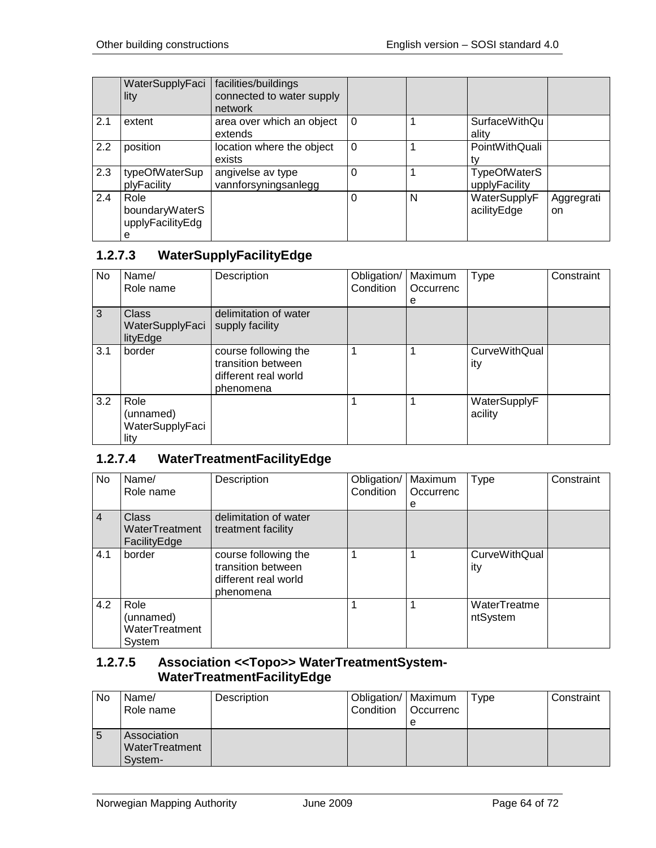|     | WaterSupplyFaci<br>lity                         | facilities/buildings<br>connected to water supply<br>network |          |   |                                      |                  |
|-----|-------------------------------------------------|--------------------------------------------------------------|----------|---|--------------------------------------|------------------|
| 2.1 | extent                                          | area over which an object<br>extends                         | $\Omega$ |   | <b>SurfaceWithQu</b><br>ality        |                  |
| 2.2 | position                                        | location where the object<br>exists                          | $\Omega$ |   | PointWithQuali                       |                  |
| 2.3 | typeOfWaterSup<br>plyFacility                   | angivelse av type<br>vannforsyningsanlegg                    | 0        |   | <b>TypeOfWaterS</b><br>upplyFacility |                  |
| 2.4 | Role<br>boundaryWaterS<br>upplyFacilityEdg<br>е |                                                              | 0        | N | WaterSupplyF<br>acilityEdge          | Aggregrati<br>on |

## **1.2.7.3 WaterSupplyFacilityEdge**

| <b>No</b> | Name/<br>Role name                           | Description                                                                     | Obligation/<br>Condition | Maximum<br>Occurrenc<br>е | Type                    | Constraint |
|-----------|----------------------------------------------|---------------------------------------------------------------------------------|--------------------------|---------------------------|-------------------------|------------|
| 3         | <b>Class</b><br>WaterSupplyFaci<br>lityEdge  | delimitation of water<br>supply facility                                        |                          |                           |                         |            |
| 3.1       | border                                       | course following the<br>transition between<br>different real world<br>phenomena |                          |                           | CurveWithQual<br>ity    |            |
| 3.2       | Role<br>(unnamed)<br>WaterSupplyFaci<br>lity |                                                                                 |                          |                           | WaterSupplyF<br>acility |            |

# **1.2.7.4 WaterTreatmentFacilityEdge**

| No             | Name/<br>Role name                            | Description                                                                     | Obligation/<br>Condition | Maximum<br>Occurrenc<br>е | Type                        | Constraint |
|----------------|-----------------------------------------------|---------------------------------------------------------------------------------|--------------------------|---------------------------|-----------------------------|------------|
| $\overline{4}$ | Class<br>WaterTreatment<br>FacilityEdge       | delimitation of water<br>treatment facility                                     |                          |                           |                             |            |
| 4.1            | border                                        | course following the<br>transition between<br>different real world<br>phenomena |                          |                           | <b>CurveWithQual</b><br>ity |            |
| 4.2            | Role<br>(unnamed)<br>WaterTreatment<br>System |                                                                                 |                          |                           | WaterTreatme<br>ntSystem    |            |

### **1.2.7.5 Association <<Topo>> WaterTreatmentSystem-WaterTreatmentFacilityEdge**

| No | Name/<br>Role name                       | Description | Obligation/   Maximum<br>l Condition | <b>Occurrenc</b> | Type | Constraint |
|----|------------------------------------------|-------------|--------------------------------------|------------------|------|------------|
| C  | Association<br>WaterTreatment<br>System- |             |                                      | e                |      |            |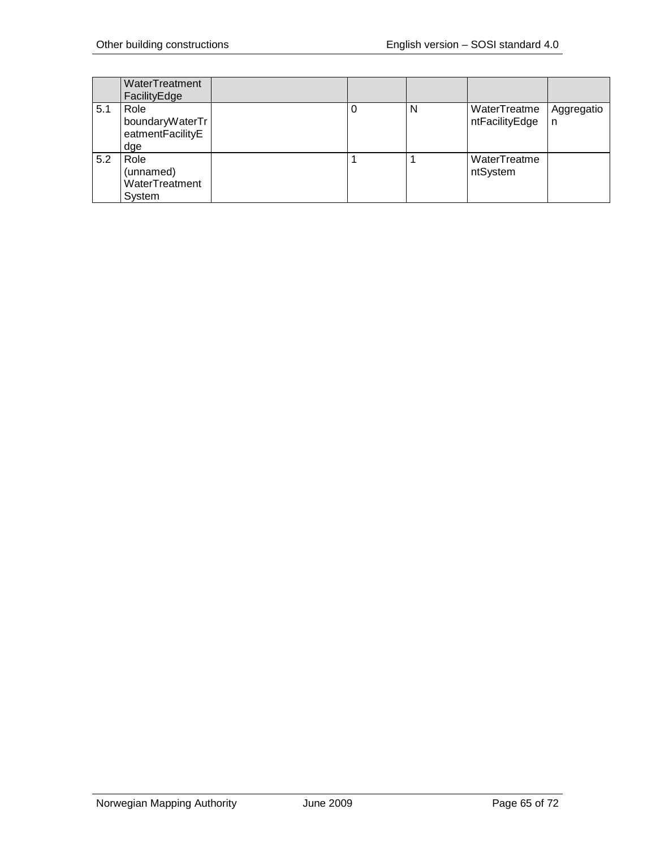|     | WaterTreatment<br>FacilityEdge                     |  |   |                                |                 |
|-----|----------------------------------------------------|--|---|--------------------------------|-----------------|
| 5.1 | Role<br>boundaryWaterTr<br>eatmentFacilityE<br>dge |  | N | WaterTreatme<br>ntFacilityEdge | Aggregatio<br>n |
| 5.2 | Role<br>(unnamed)<br>WaterTreatment<br>System      |  |   | WaterTreatme<br>ntSystem       |                 |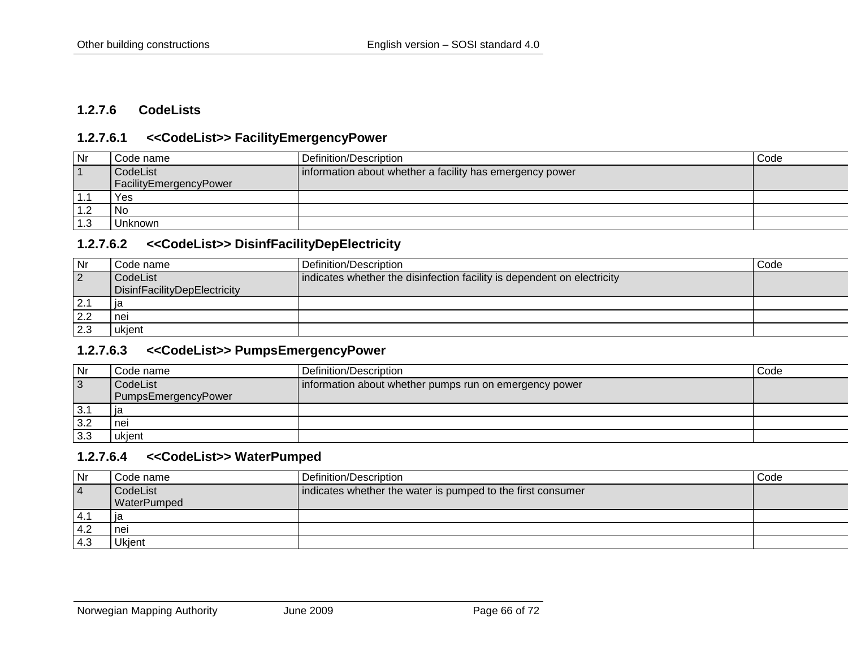### **1.2.7.6 CodeLists**

### **1.2.7.6.1 <<CodeList>> FacilityEmergencyPower**

| Nr  | Code name              | Definition/Description                                   | Code |
|-----|------------------------|----------------------------------------------------------|------|
|     | CodeList               | information about whether a facility has emergency power |      |
|     | FacilityEmergencyPower |                                                          |      |
| .   | Yes                    |                                                          |      |
|     | No.                    |                                                          |      |
| 1.3 | Unknown                |                                                          |      |

#### **1.2.7.6.2 <<CodeList>> DisinfFacilityDepElectricity**

| Nr             | Code name                    | Definition/Description                                                  | Code |
|----------------|------------------------------|-------------------------------------------------------------------------|------|
| $\overline{2}$ | CodeList                     | indicates whether the disinfection facility is dependent on electricity |      |
|                | DisinfFacilityDepElectricity |                                                                         |      |
| 2.1            |                              |                                                                         |      |
| 2.2            | nei                          |                                                                         |      |
| 2.3            | ukjent                       |                                                                         |      |

### **1.2.7.6.3 <<CodeList>> PumpsEmergencyPower**

| Nr  | Code name           | Definition/Description                                 | Code |
|-----|---------------------|--------------------------------------------------------|------|
| 3   | CodeList            | Information about whether pumps run on emergency power |      |
|     | PumpsEmergencyPower |                                                        |      |
| 3.1 | ۱а                  |                                                        |      |
| 3.2 | nei                 |                                                        |      |
| 3.3 | ukjent              |                                                        |      |

### **1.2.7.6.4 <<CodeList>> WaterPumped**

| Nr   | Code name          | Definition/Description                                      | Code |
|------|--------------------|-------------------------------------------------------------|------|
| -4   | CodeList           | indicates whether the water is pumped to the first consumer |      |
|      | <b>WaterPumped</b> |                                                             |      |
| -4.1 | ıa                 |                                                             |      |
| -4.2 | ' nei              |                                                             |      |
| -4.3 | Ukjent             |                                                             |      |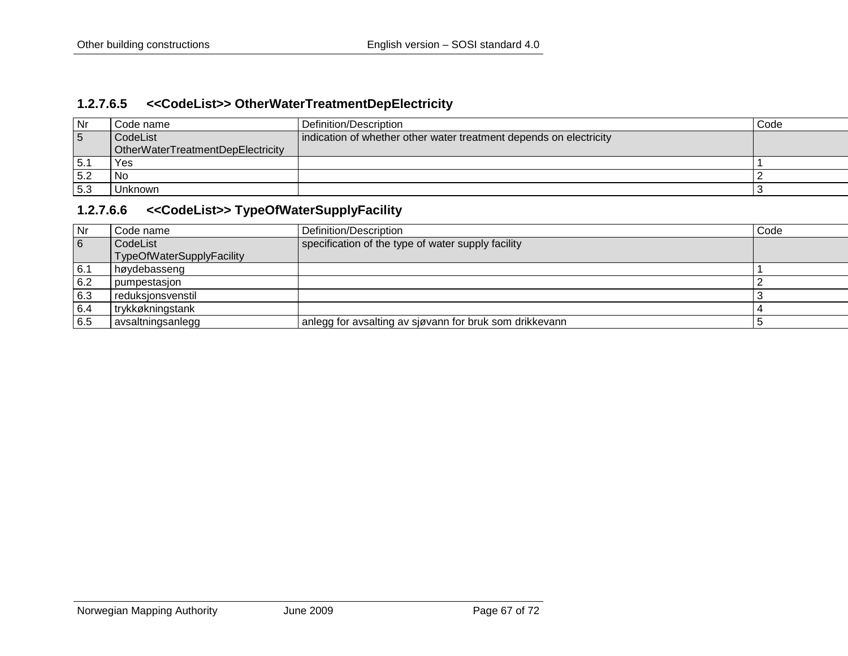### **1.2.7.6.5 <<CodeList>> OtherWaterTreatmentDepElectricity**

| Nr  | Code name                         | Definition/Description                                             | Code |
|-----|-----------------------------------|--------------------------------------------------------------------|------|
| 5   | CodeList                          | indication of whether other water treatment depends on electricity |      |
|     | OtherWaterTreatmentDepElectricity |                                                                    |      |
| 5.1 | Yes                               |                                                                    |      |
| 5.2 | No.                               |                                                                    |      |
| 5.3 | Unknown                           |                                                                    |      |

### **1.2.7.6.6 <<CodeList>> TypeOfWaterSupplyFacility**

| Nr  | Code name                 | Definition/Description                                  | Code |
|-----|---------------------------|---------------------------------------------------------|------|
| 6   | CodeList                  | specification of the type of water supply facility      |      |
|     | TypeOfWaterSupplyFacility |                                                         |      |
| 6.1 | høydebasseng              |                                                         |      |
| 6.2 | l pumpestasion            |                                                         |      |
| 6.3 | l reduksionsvenstil       |                                                         |      |
| 6.4 | trykkøkningstank          |                                                         |      |
| 6.5 | avsaltningsanlegg         | anlegg for avsalting av sjøvann for bruk som drikkevann |      |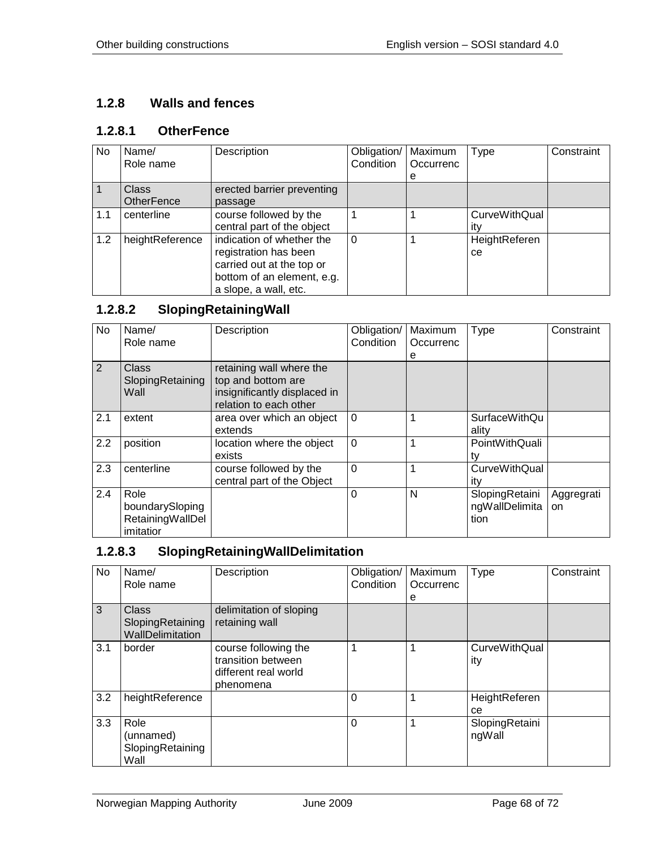# **1.2.8 Walls and fences**

## **1.2.8.1 OtherFence**

| No  | Name/             | Description                | Obligation/ | Maximum   | <b>Type</b>          | Constraint |
|-----|-------------------|----------------------------|-------------|-----------|----------------------|------------|
|     | Role name         |                            | Condition   | Occurrenc |                      |            |
|     |                   |                            |             | е         |                      |            |
|     | <b>Class</b>      | erected barrier preventing |             |           |                      |            |
|     | <b>OtherFence</b> | passage                    |             |           |                      |            |
| 1.1 | centerline        | course followed by the     |             |           | <b>CurveWithQual</b> |            |
|     |                   | central part of the object |             |           | itv                  |            |
| 1.2 | heightReference   | indication of whether the  | $\Omega$    |           | HeightReferen        |            |
|     |                   | registration has been      |             |           | <sub>ce</sub>        |            |
|     |                   | carried out at the top or  |             |           |                      |            |
|     |                   | bottom of an element, e.g. |             |           |                      |            |
|     |                   | a slope, a wall, etc.      |             |           |                      |            |

# **1.2.8.2 SlopingRetainingWall**

| No  | Name/<br>Role name                                       | Description                                                                                              | Obligation/<br>Condition | Maximum<br>Occurrenc<br>е | Type                                     | Constraint              |
|-----|----------------------------------------------------------|----------------------------------------------------------------------------------------------------------|--------------------------|---------------------------|------------------------------------------|-------------------------|
| 2   | Class<br>SlopingRetaining<br>Wall                        | retaining wall where the<br>top and bottom are<br>insignificantly displaced in<br>relation to each other |                          |                           |                                          |                         |
| 2.1 | extent                                                   | area over which an object<br>extends                                                                     | $\Omega$                 | 1                         | <b>SurfaceWithQu</b><br>ality            |                         |
| 2.2 | position                                                 | location where the object<br>exists                                                                      | $\overline{0}$           | 1                         | PointWithQuali<br>tv                     |                         |
| 2.3 | centerline                                               | course followed by the<br>central part of the Object                                                     | $\Omega$                 | 1                         | CurveWithQual<br>itv                     |                         |
| 2.4 | Role<br>boundarySloping<br>RetainingWallDel<br>imitatior |                                                                                                          | $\Omega$                 | N                         | SlopingRetaini<br>ngWallDelimita<br>tion | Aggregrati<br><b>on</b> |

# **1.2.8.3 SlopingRetainingWallDelimitation**

| No  | Name/<br>Role name                                   | Description                                                                     | Obligation/<br>Condition | Maximum<br>Occurrenc<br>е | <b>Type</b>                 | Constraint |
|-----|------------------------------------------------------|---------------------------------------------------------------------------------|--------------------------|---------------------------|-----------------------------|------------|
| 3   | <b>Class</b><br>SlopingRetaining<br>WallDelimitation | delimitation of sloping<br>retaining wall                                       |                          |                           |                             |            |
| 3.1 | border                                               | course following the<br>transition between<br>different real world<br>phenomena |                          |                           | <b>CurveWithQual</b><br>ity |            |
| 3.2 | heightReference                                      |                                                                                 | 0                        |                           | HeightReferen<br>ce         |            |
| 3.3 | Role<br>(unnamed)<br>SlopingRetaining<br>Wall        |                                                                                 | 0                        |                           | SlopingRetaini<br>ngWall    |            |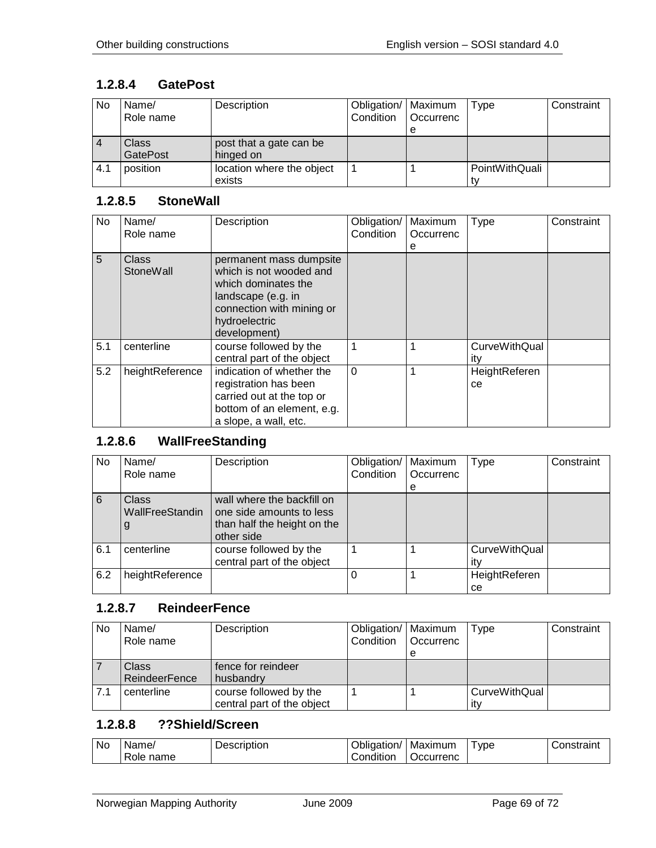### **1.2.8.4 GatePost**

| No  | Name/<br>Role name | Description               | Obligation/   Maximum<br>Condition | Occurrenc | Type           | Constraint |
|-----|--------------------|---------------------------|------------------------------------|-----------|----------------|------------|
|     |                    |                           |                                    | e         |                |            |
|     | Class              | post that a gate can be   |                                    |           |                |            |
|     | <b>GatePost</b>    | hinged on                 |                                    |           |                |            |
| 4.1 | position           | location where the object |                                    |           | PointWithQuali |            |
|     |                    | exists                    |                                    |           |                |            |

#### **1.2.8.5 StoneWall**

| No  | Name/<br>Role name        | Description                                                                                                                                                   | Obligation/<br>Condition | Maximum<br>Occurrenc<br>е | Type                        | Constraint |
|-----|---------------------------|---------------------------------------------------------------------------------------------------------------------------------------------------------------|--------------------------|---------------------------|-----------------------------|------------|
| 5   | <b>Class</b><br>StoneWall | permanent mass dumpsite<br>which is not wooded and<br>which dominates the<br>landscape (e.g. in<br>connection with mining or<br>hydroelectric<br>development) |                          |                           |                             |            |
| 5.1 | centerline                | course followed by the<br>central part of the object                                                                                                          | 1                        |                           | <b>CurveWithQual</b><br>itv |            |
| 5.2 | heightReference           | indication of whether the<br>registration has been<br>carried out at the top or<br>bottom of an element, e.g.<br>a slope, a wall, etc.                        | $\Omega$                 |                           | HeightReferen<br>ce         |            |

## **1.2.8.6 WallFreeStanding**

| No. | Name/<br>Role name            | Description                                                                                         | Obligation/<br>Condition | Maximum<br>Occurrenc<br>e | Type                        | Constraint |
|-----|-------------------------------|-----------------------------------------------------------------------------------------------------|--------------------------|---------------------------|-----------------------------|------------|
| 6   | Class<br>WallFreeStandin<br>g | wall where the backfill on<br>one side amounts to less<br>than half the height on the<br>other side |                          |                           |                             |            |
| 6.1 | centerline                    | course followed by the<br>central part of the object                                                |                          |                           | <b>CurveWithQual</b><br>itv |            |
| 6.2 | heightReference               |                                                                                                     | $\Omega$                 |                           | HeightReferen<br>ce         |            |

### **1.2.8.7 ReindeerFence**

| No  | Name/                | Description                | Obligation/   Maximum |                  | Type          | Constraint |
|-----|----------------------|----------------------------|-----------------------|------------------|---------------|------------|
|     | Role name            |                            | Condition             | <b>Occurrenc</b> |               |            |
|     |                      |                            |                       |                  |               |            |
|     | Class                | fence for reindeer         |                       |                  |               |            |
|     | <b>ReindeerFence</b> | husbandry                  |                       |                  |               |            |
| 7.1 | centerline           | course followed by the     |                       |                  | CurveWithQual |            |
|     |                      | central part of the object |                       |                  | itv           |            |

## **1.2.8.8 ??Shield/Screen**

| <b>No</b> | Name <sub></sub> | Description | Obligation/        | Maximum   | vpe | Constraint |
|-----------|------------------|-------------|--------------------|-----------|-----|------------|
|           | name<br>Role     |             | 1.1.1<br>Condition | Occurrenc |     |            |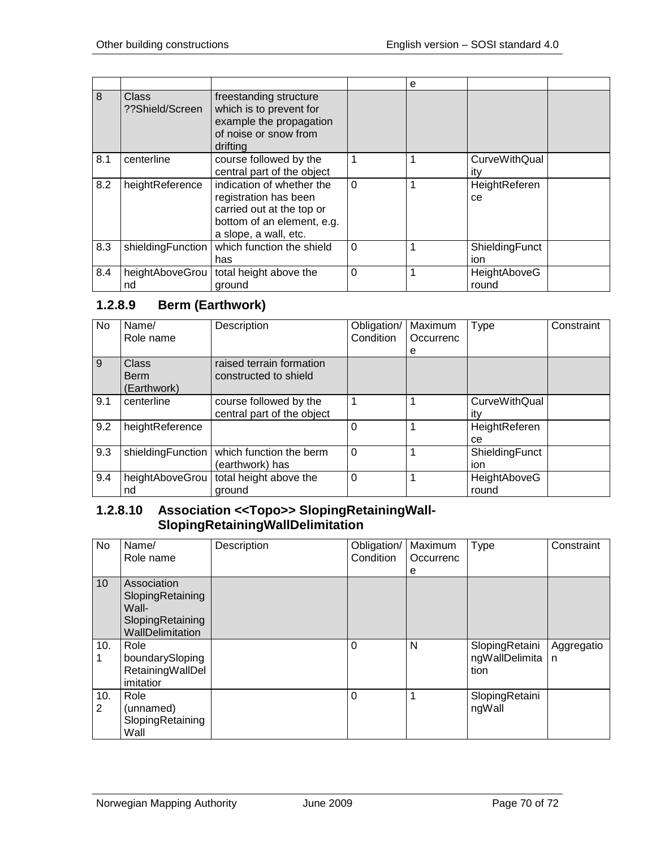|     |                                 |                                                                                                                                        |          | е |                             |  |
|-----|---------------------------------|----------------------------------------------------------------------------------------------------------------------------------------|----------|---|-----------------------------|--|
| 8   | <b>Class</b><br>??Shield/Screen | freestanding structure<br>which is to prevent for<br>example the propagation<br>of noise or snow from<br>drifting                      |          |   |                             |  |
| 8.1 | centerline                      | course followed by the<br>central part of the object                                                                                   | 1        |   | <b>CurveWithQual</b><br>ity |  |
| 8.2 | heightReference                 | indication of whether the<br>registration has been<br>carried out at the top or<br>bottom of an element, e.g.<br>a slope, a wall, etc. | $\Omega$ |   | HeightReferen<br>ce         |  |
| 8.3 | shieldingFunction               | which function the shield<br>has                                                                                                       | $\Omega$ |   | ShieldingFunct<br>ion       |  |
| 8.4 | heightAboveGrou<br>nd           | total height above the<br>around                                                                                                       | $\Omega$ |   | HeightAboveG<br>round       |  |

## **1.2.8.9 Berm (Earthwork)**

| <b>No</b>      | Name/<br>Role name | Description                | Obligation/<br>Condition | Maximum<br>Occurrenc | <b>Type</b>          | Constraint |
|----------------|--------------------|----------------------------|--------------------------|----------------------|----------------------|------------|
|                |                    |                            |                          | e                    |                      |            |
| $\overline{9}$ | Class              | raised terrain formation   |                          |                      |                      |            |
|                | Berm               | constructed to shield      |                          |                      |                      |            |
|                | (Earthwork)        |                            |                          |                      |                      |            |
| 9.1            | centerline         | course followed by the     |                          |                      | <b>CurveWithQual</b> |            |
|                |                    | central part of the object |                          |                      | itv                  |            |
| 9.2            | heightReference    |                            | 0                        |                      | HeightReferen        |            |
|                |                    |                            |                          |                      | ce.                  |            |
| 9.3            | shieldingFunction  | which function the berm    | $\Omega$                 |                      | ShieldingFunct       |            |
|                |                    | (earthwork) has            |                          |                      | ion                  |            |
| 9.4            | heightAboveGrou    | total height above the     | 0                        |                      | HeightAboveG         |            |
|                | nd                 | around                     |                          |                      | round                |            |

### **1.2.8.10 Association <<Topo>> SlopingRetainingWall-SlopingRetainingWallDelimitation**

| No       | Name/<br>Role name                                                               | Description | Obligation/<br>Condition | Maximum<br>Occurrenc<br>е | <b>Type</b>                              | Constraint                 |
|----------|----------------------------------------------------------------------------------|-------------|--------------------------|---------------------------|------------------------------------------|----------------------------|
| 10       | Association<br>SlopingRetaining<br>Wall-<br>SlopingRetaining<br>WallDelimitation |             |                          |                           |                                          |                            |
| 10.      | Role<br>boundarySloping<br>RetainingWallDel<br>imitatior                         |             | $\Omega$                 | N                         | SlopingRetaini<br>ngWallDelimita<br>tion | Aggregatio<br>$\mathsf{n}$ |
| 10.<br>2 | Role<br>(unnamed)<br>SlopingRetaining<br>Wall                                    |             | 0                        |                           | SlopingRetaini<br>ngWall                 |                            |